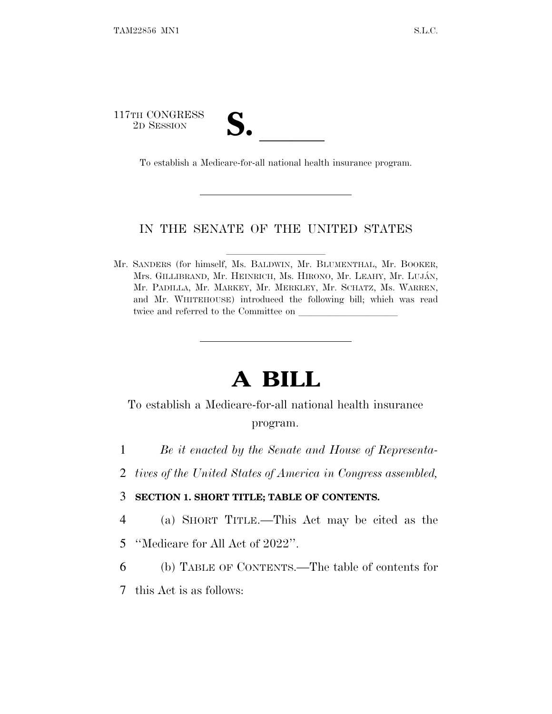117TH CONGRESS TH CONGRESS<br>
2D SESSION<br>
To establish a Medicare-for-all national health insurance program.

## IN THE SENATE OF THE UNITED STATES

Mr. SANDERS (for himself, Ms. BALDWIN, Mr. BLUMENTHAL, Mr. BOOKER, Mrs. GILLIBRAND, Mr. HEINRICH, Ms. HIRONO, Mr. LEAHY, Mr. LUJÁN, Mr. PADILLA, Mr. MARKEY, Mr. MERKLEY, Mr. SCHATZ, Ms. WARREN, and Mr. WHITEHOUSE) introduced the following bill; which was read twice and referred to the Committee on

# **A BILL**

## To establish a Medicare-for-all national health insurance program.

- 1 *Be it enacted by the Senate and House of Representa-*
- 2 *tives of the United States of America in Congress assembled,*

## 3 **SECTION 1. SHORT TITLE; TABLE OF CONTENTS.**

- 4 (a) SHORT TITLE.—This Act may be cited as the
- 5 ''Medicare for All Act of 2022''.
- 6 (b) TABLE OF CONTENTS.—The table of contents for
- 7 this Act is as follows: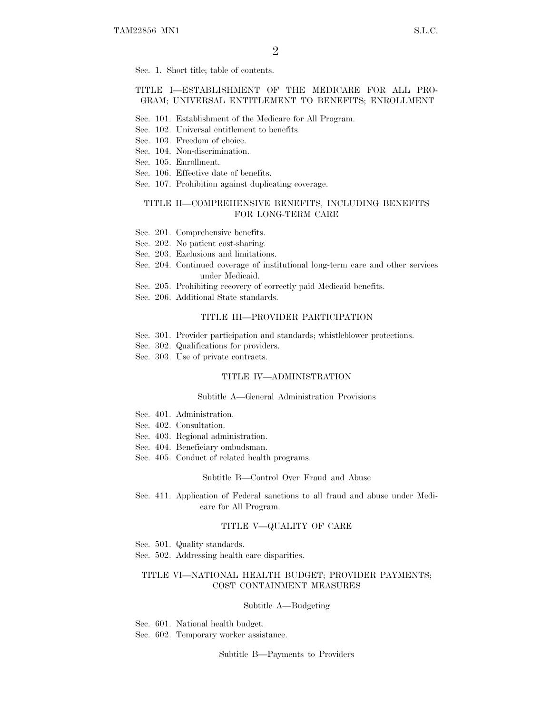Sec. 1. Short title; table of contents.

### TITLE I—ESTABLISHMENT OF THE MEDICARE FOR ALL PRO-GRAM; UNIVERSAL ENTITLEMENT TO BENEFITS; ENROLLMENT

- Sec. 101. Establishment of the Medicare for All Program.
- Sec. 102. Universal entitlement to benefits.
- Sec. 103. Freedom of choice.
- Sec. 104. Non-discrimination.
- Sec. 105. Enrollment.
- Sec. 106. Effective date of benefits.
- Sec. 107. Prohibition against duplicating coverage.

### TITLE II—COMPREHENSIVE BENEFITS, INCLUDING BENEFITS FOR LONG-TERM CARE

- Sec. 201. Comprehensive benefits.
- Sec. 202. No patient cost-sharing.
- Sec. 203. Exclusions and limitations.
- Sec. 204. Continued coverage of institutional long-term care and other services under Medicaid.
- Sec. 205. Prohibiting recovery of correctly paid Medicaid benefits.
- Sec. 206. Additional State standards.

### TITLE III—PROVIDER PARTICIPATION

- Sec. 301. Provider participation and standards; whistleblower protections.
- Sec. 302. Qualifications for providers.
- Sec. 303. Use of private contracts.

### TITLE IV—ADMINISTRATION

### Subtitle A—General Administration Provisions

- Sec. 401. Administration.
- Sec. 402. Consultation.
- Sec. 403. Regional administration.
- Sec. 404. Beneficiary ombudsman.
- Sec. 405. Conduct of related health programs.

#### Subtitle B—Control Over Fraud and Abuse

Sec. 411. Application of Federal sanctions to all fraud and abuse under Medicare for All Program.

### TITLE V—QUALITY OF CARE

Sec. 501. Quality standards.

Sec. 502. Addressing health care disparities.

### TITLE VI—NATIONAL HEALTH BUDGET; PROVIDER PAYMENTS; COST CONTAINMENT MEASURES

#### Subtitle A—Budgeting

Sec. 601. National health budget.

Sec. 602. Temporary worker assistance.

Subtitle B—Payments to Providers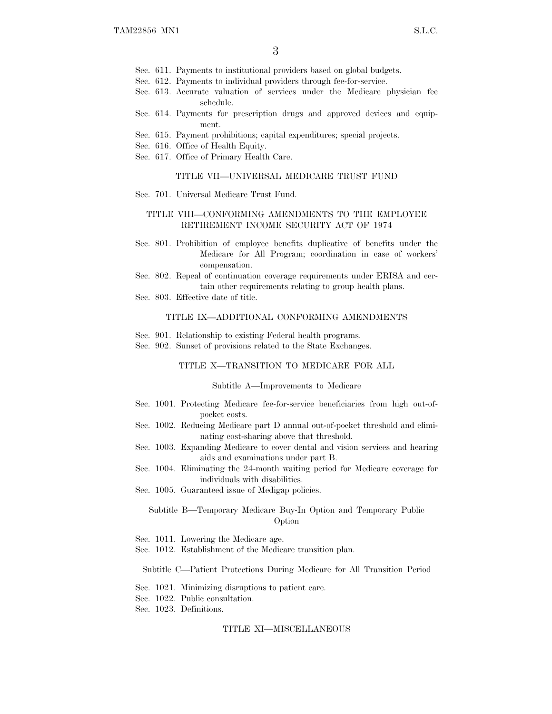- Sec. 611. Payments to institutional providers based on global budgets.
- Sec. 612. Payments to individual providers through fee-for-service.
- Sec. 613. Accurate valuation of services under the Medicare physician fee schedule.
- Sec. 614. Payments for prescription drugs and approved devices and equipment.
- Sec. 615. Payment prohibitions; capital expenditures; special projects.
- Sec. 616. Office of Health Equity.
- Sec. 617. Office of Primary Health Care.

#### TITLE VII—UNIVERSAL MEDICARE TRUST FUND

Sec. 701. Universal Medicare Trust Fund.

### TITLE VIII—CONFORMING AMENDMENTS TO THE EMPLOYEE RETIREMENT INCOME SECURITY ACT OF 1974

- Sec. 801. Prohibition of employee benefits duplicative of benefits under the Medicare for All Program; coordination in case of workers' compensation.
- Sec. 802. Repeal of continuation coverage requirements under ERISA and certain other requirements relating to group health plans.
- Sec. 803. Effective date of title.

### TITLE IX—ADDITIONAL CONFORMING AMENDMENTS

- Sec. 901. Relationship to existing Federal health programs.
- Sec. 902. Sunset of provisions related to the State Exchanges.

### TITLE X—TRANSITION TO MEDICARE FOR ALL

### Subtitle A—Improvements to Medicare

- Sec. 1001. Protecting Medicare fee-for-service beneficiaries from high out-ofpocket costs.
- Sec. 1002. Reducing Medicare part D annual out-of-pocket threshold and eliminating cost-sharing above that threshold.
- Sec. 1003. Expanding Medicare to cover dental and vision services and hearing aids and examinations under part B.
- Sec. 1004. Eliminating the 24-month waiting period for Medicare coverage for individuals with disabilities.
- Sec. 1005. Guaranteed issue of Medigap policies.

### Subtitle B—Temporary Medicare Buy-In Option and Temporary Public Option

- Sec. 1011. Lowering the Medicare age.
- Sec. 1012. Establishment of the Medicare transition plan.

Subtitle C—Patient Protections During Medicare for All Transition Period

- Sec. 1021. Minimizing disruptions to patient care.
- Sec. 1022. Public consultation.
- Sec. 1023. Definitions.

### TITLE XI—MISCELLANEOUS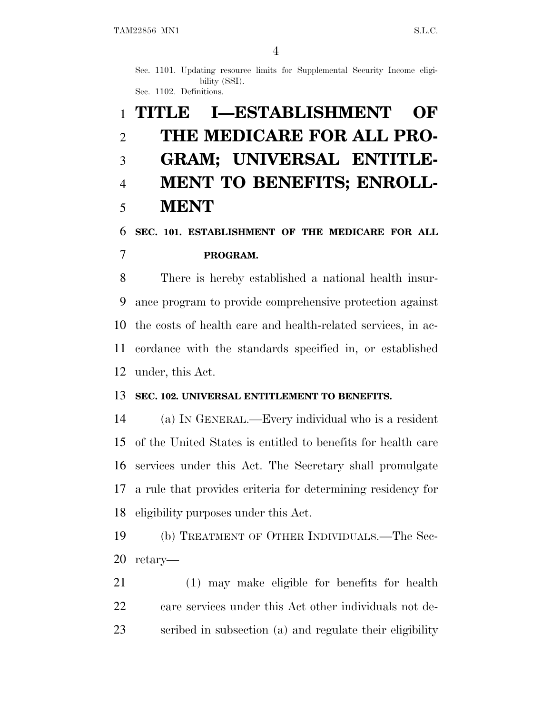Sec. 1101. Updating resource limits for Supplemental Security Income eligibility (SSI).

Sec. 1102. Definitions.

# **TITLE I—ESTABLISHMENT OF THE MEDICARE FOR ALL PRO- GRAM; UNIVERSAL ENTITLE- MENT TO BENEFITS; ENROLL-MENT**

## **SEC. 101. ESTABLISHMENT OF THE MEDICARE FOR ALL**

## **PROGRAM.**

 There is hereby established a national health insur- ance program to provide comprehensive protection against the costs of health care and health-related services, in ac- cordance with the standards specified in, or established under, this Act.

## **SEC. 102. UNIVERSAL ENTITLEMENT TO BENEFITS.**

 (a) I<sup>N</sup> GENERAL.—Every individual who is a resident of the United States is entitled to benefits for health care services under this Act. The Secretary shall promulgate a rule that provides criteria for determining residency for eligibility purposes under this Act.

 (b) TREATMENT OF OTHER INDIVIDUALS.—The Sec-retary—

 (1) may make eligible for benefits for health 22 care services under this Act other individuals not de-scribed in subsection (a) and regulate their eligibility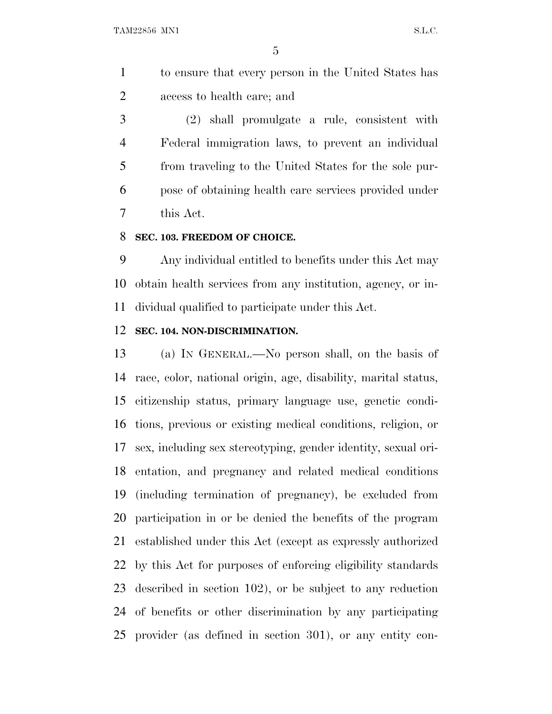to ensure that every person in the United States has access to health care; and

 (2) shall promulgate a rule, consistent with Federal immigration laws, to prevent an individual from traveling to the United States for the sole pur- pose of obtaining health care services provided under this Act.

## **SEC. 103. FREEDOM OF CHOICE.**

 Any individual entitled to benefits under this Act may obtain health services from any institution, agency, or in-dividual qualified to participate under this Act.

## **SEC. 104. NON-DISCRIMINATION.**

 (a) I<sup>N</sup> GENERAL.—No person shall, on the basis of race, color, national origin, age, disability, marital status, citizenship status, primary language use, genetic condi- tions, previous or existing medical conditions, religion, or sex, including sex stereotyping, gender identity, sexual ori- entation, and pregnancy and related medical conditions (including termination of pregnancy), be excluded from participation in or be denied the benefits of the program established under this Act (except as expressly authorized by this Act for purposes of enforcing eligibility standards described in section 102), or be subject to any reduction of benefits or other discrimination by any participating provider (as defined in section 301), or any entity con-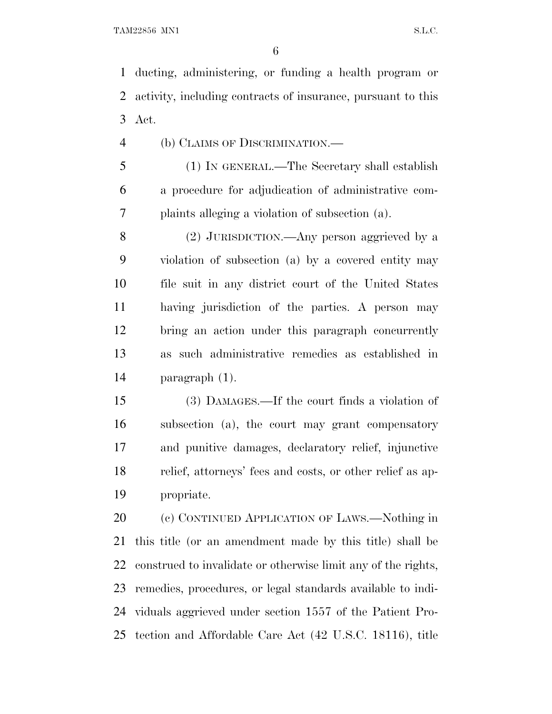ducting, administering, or funding a health program or activity, including contracts of insurance, pursuant to this Act.

(b) CLAIMS OF DISCRIMINATION.—

 (1) IN GENERAL.—The Secretary shall establish a procedure for adjudication of administrative com-plaints alleging a violation of subsection (a).

 (2) JURISDICTION.—Any person aggrieved by a violation of subsection (a) by a covered entity may file suit in any district court of the United States having jurisdiction of the parties. A person may bring an action under this paragraph concurrently as such administrative remedies as established in paragraph (1).

 (3) DAMAGES.—If the court finds a violation of subsection (a), the court may grant compensatory and punitive damages, declaratory relief, injunctive relief, attorneys' fees and costs, or other relief as ap-propriate.

 (c) CONTINUED APPLICATION OF LAWS.—Nothing in this title (or an amendment made by this title) shall be construed to invalidate or otherwise limit any of the rights, remedies, procedures, or legal standards available to indi- viduals aggrieved under section 1557 of the Patient Pro-tection and Affordable Care Act (42 U.S.C. 18116), title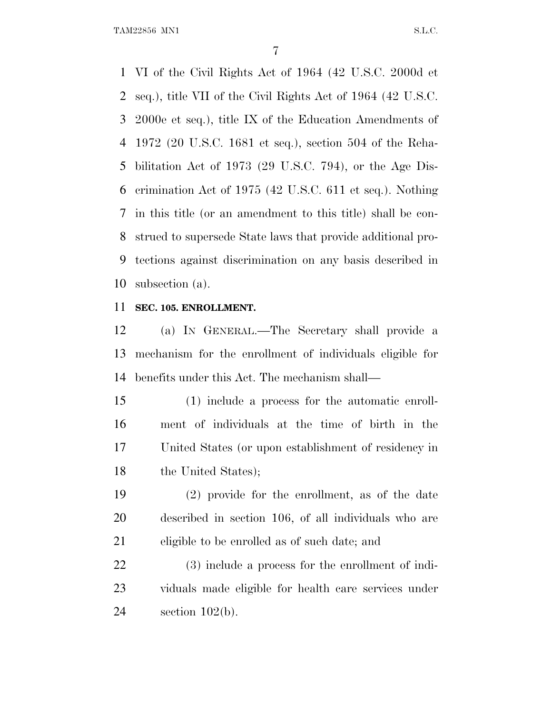TAM22856 MN1 S.L.C.

 VI of the Civil Rights Act of 1964 (42 U.S.C. 2000d et seq.), title VII of the Civil Rights Act of 1964 (42 U.S.C. 2000e et seq.), title IX of the Education Amendments of 1972 (20 U.S.C. 1681 et seq.), section 504 of the Reha- bilitation Act of 1973 (29 U.S.C. 794), or the Age Dis- crimination Act of 1975 (42 U.S.C. 611 et seq.). Nothing in this title (or an amendment to this title) shall be con- strued to supersede State laws that provide additional pro- tections against discrimination on any basis described in subsection (a).

## **SEC. 105. ENROLLMENT.**

 (a) I<sup>N</sup> GENERAL.—The Secretary shall provide a mechanism for the enrollment of individuals eligible for benefits under this Act. The mechanism shall—

 (1) include a process for the automatic enroll- ment of individuals at the time of birth in the United States (or upon establishment of residency in 18 the United States);

 (2) provide for the enrollment, as of the date described in section 106, of all individuals who are eligible to be enrolled as of such date; and

 (3) include a process for the enrollment of indi- viduals made eligible for health care services under section 102(b).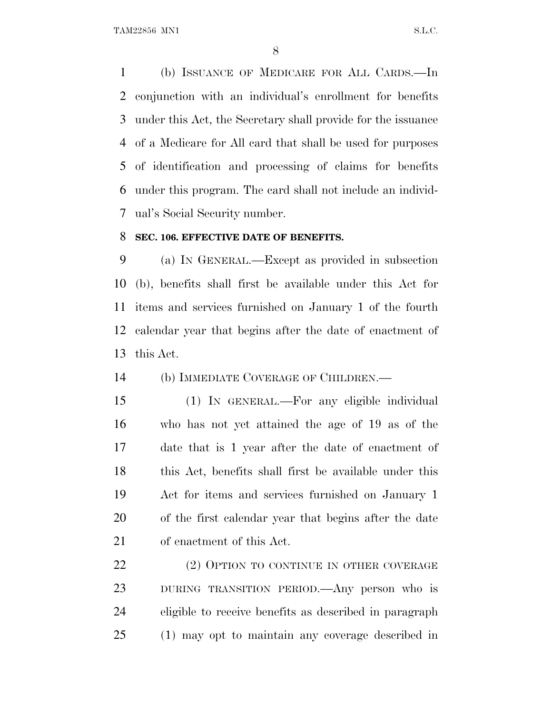TAM22856 MN1 S.L.C.

 (b) ISSUANCE OF MEDICARE FOR ALL CARDS.—In conjunction with an individual's enrollment for benefits under this Act, the Secretary shall provide for the issuance of a Medicare for All card that shall be used for purposes of identification and processing of claims for benefits under this program. The card shall not include an individ-ual's Social Security number.

## **SEC. 106. EFFECTIVE DATE OF BENEFITS.**

 (a) I<sup>N</sup> GENERAL.—Except as provided in subsection (b), benefits shall first be available under this Act for items and services furnished on January 1 of the fourth calendar year that begins after the date of enactment of this Act.

(b) IMMEDIATE COVERAGE OF CHILDREN.—

 (1) IN GENERAL.—For any eligible individual who has not yet attained the age of 19 as of the date that is 1 year after the date of enactment of this Act, benefits shall first be available under this Act for items and services furnished on January 1 of the first calendar year that begins after the date of enactment of this Act.

22 (2) OPTION TO CONTINUE IN OTHER COVERAGE DURING TRANSITION PERIOD.—Any person who is eligible to receive benefits as described in paragraph (1) may opt to maintain any coverage described in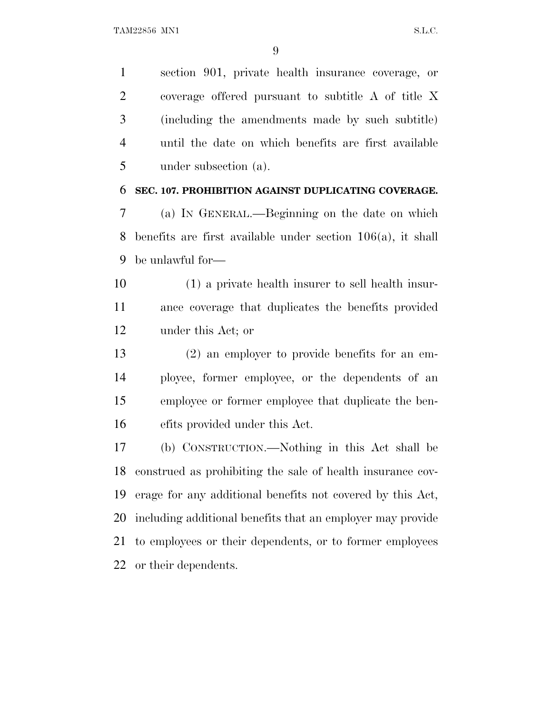section 901, private health insurance coverage, or coverage offered pursuant to subtitle A of title X (including the amendments made by such subtitle) until the date on which benefits are first available under subsection (a).

### **SEC. 107. PROHIBITION AGAINST DUPLICATING COVERAGE.**

 (a) I<sup>N</sup> GENERAL.—Beginning on the date on which benefits are first available under section 106(a), it shall be unlawful for—

 (1) a private health insurer to sell health insur- ance coverage that duplicates the benefits provided under this Act; or

 (2) an employer to provide benefits for an em- ployee, former employee, or the dependents of an employee or former employee that duplicate the ben-efits provided under this Act.

 (b) CONSTRUCTION.—Nothing in this Act shall be construed as prohibiting the sale of health insurance cov- erage for any additional benefits not covered by this Act, including additional benefits that an employer may provide to employees or their dependents, or to former employees or their dependents.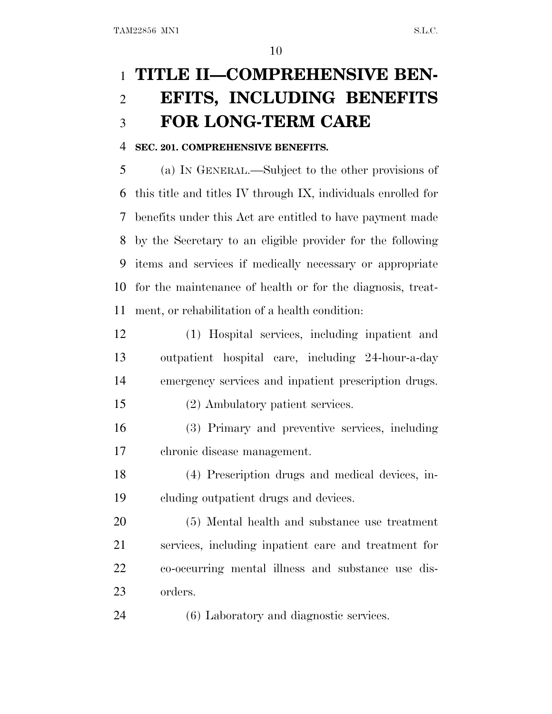# **TITLE II—COMPREHENSIVE BEN- EFITS, INCLUDING BENEFITS FOR LONG-TERM CARE**

## **SEC. 201. COMPREHENSIVE BENEFITS.**

 (a) I<sup>N</sup> GENERAL.—Subject to the other provisions of this title and titles IV through IX, individuals enrolled for benefits under this Act are entitled to have payment made by the Secretary to an eligible provider for the following items and services if medically necessary or appropriate for the maintenance of health or for the diagnosis, treat-ment, or rehabilitation of a health condition:

 (1) Hospital services, including inpatient and outpatient hospital care, including 24-hour-a-day emergency services and inpatient prescription drugs.

(2) Ambulatory patient services.

 (3) Primary and preventive services, including chronic disease management.

 (4) Prescription drugs and medical devices, in-cluding outpatient drugs and devices.

 (5) Mental health and substance use treatment services, including inpatient care and treatment for co-occurring mental illness and substance use dis-orders.

(6) Laboratory and diagnostic services.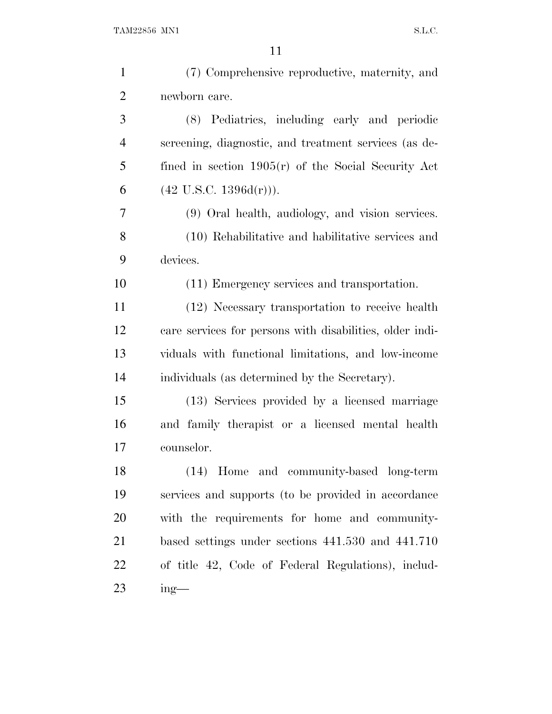| $\mathbf{1}$   | (7) Comprehensive reproductive, maternity, and           |
|----------------|----------------------------------------------------------|
| $\overline{2}$ | newborn care.                                            |
| 3              | (8) Pediatrics, including early and periodic             |
| $\overline{4}$ | screening, diagnostic, and treatment services (as de-    |
| 5              | fined in section $1905(r)$ of the Social Security Act    |
| 6              | $(42 \text{ U.S.C. } 1396d(r))$ .                        |
| 7              | (9) Oral health, audiology, and vision services.         |
| 8              | (10) Rehabilitative and habilitative services and        |
| 9              | devices.                                                 |
| 10             | (11) Emergency services and transportation.              |
| 11             | (12) Necessary transportation to receive health          |
| 12             | care services for persons with disabilities, older indi- |
| 13             | viduals with functional limitations, and low-income      |
| 14             | individuals (as determined by the Secretary).            |
| 15             | (13) Services provided by a licensed marriage            |
| 16             | and family therapist or a licensed mental health         |
| 17             | counselor.                                               |
| 18             | (14) Home and community-based long-term                  |
| 19             | services and supports (to be provided in accordance      |
| 20             | with the requirements for home and community-            |
| 21             | based settings under sections 441.530 and 441.710        |
| 22             | of title 42, Code of Federal Regulations), includ-       |
| 23             | $ing$ —                                                  |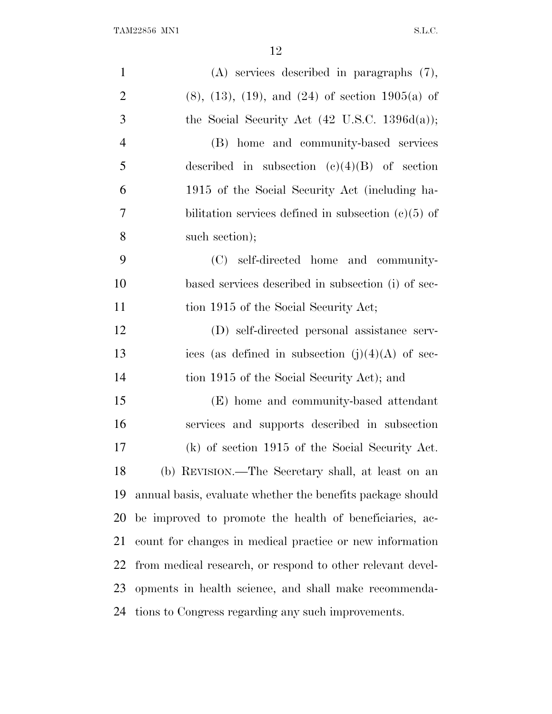| $\mathbf{1}$   | $(A)$ services described in paragraphs $(7)$ ,               |
|----------------|--------------------------------------------------------------|
| $\overline{2}$ | $(8)$ , $(13)$ , $(19)$ , and $(24)$ of section $1905(a)$ of |
| 3              | the Social Security Act $(42 \text{ U.S.C. } 1396d(a));$     |
| $\overline{4}$ | (B) home and community-based services                        |
| 5              | described in subsection $(c)(4)(B)$ of section               |
| 6              | 1915 of the Social Security Act (including ha-               |
| $\overline{7}$ | bilitation services defined in subsection $(c)(5)$ of        |
| 8              | such section);                                               |
| 9              | (C) self-directed home and community-                        |
| 10             | based services described in subsection (i) of sec-           |
| 11             | tion 1915 of the Social Security Act;                        |
| 12             | (D) self-directed personal assistance serv-                  |
| 13             | ices (as defined in subsection $(j)(4)(A)$ of sec-           |
| 14             | tion 1915 of the Social Security Act); and                   |
| 15             | (E) home and community-based attendant                       |
| 16             | services and supports described in subsection                |
| 17             | (k) of section 1915 of the Social Security Act.              |
| 18             | (b) REVISION.—The Secretary shall, at least on an            |
| 19             | annual basis, evaluate whether the benefits package should   |
| 20             | be improved to promote the health of beneficiaries, ac-      |
| 21             | count for changes in medical practice or new information     |
| 22             | from medical research, or respond to other relevant devel-   |
| 23             | opments in health science, and shall make recommenda-        |
| 24             | tions to Congress regarding any such improvements.           |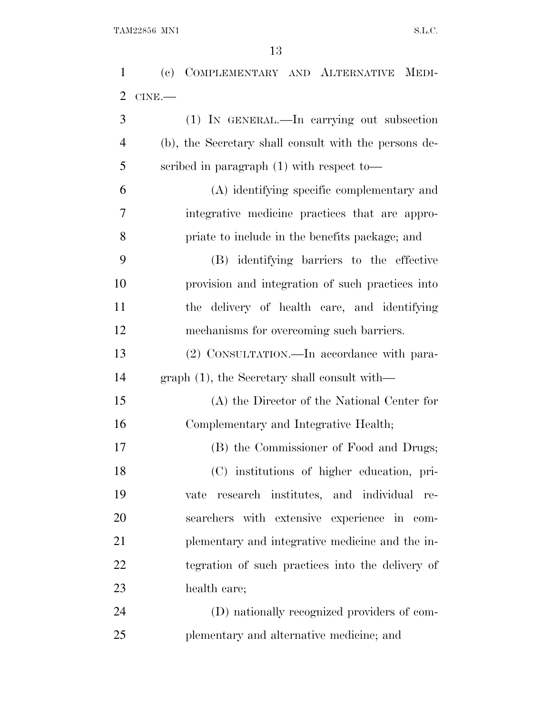| $\mathbf{1}$   | (c) COMPLEMENTARY AND ALTERNATIVE MEDI-               |
|----------------|-------------------------------------------------------|
| $\overline{2}$ | CINE.                                                 |
| 3              | (1) IN GENERAL.—In carrying out subsection            |
| $\overline{4}$ | (b), the Secretary shall consult with the persons de- |
| 5              | scribed in paragraph $(1)$ with respect to-           |
| 6              | (A) identifying specific complementary and            |
| 7              | integrative medicine practices that are appro-        |
| 8              | priate to include in the benefits package; and        |
| 9              | (B) identifying barriers to the effective             |
| 10             | provision and integration of such practices into      |
| 11             | the delivery of health care, and identifying          |
| 12             | mechanisms for overcoming such barriers.              |
| 13             | (2) CONSULTATION.—In accordance with para-            |
| 14             | graph $(1)$ , the Secretary shall consult with—       |
| 15             | (A) the Director of the National Center for           |
| 16             | Complementary and Integrative Health;                 |
| 17             | (B) the Commissioner of Food and Drugs;               |
| 18             | (C) institutions of higher education, pri-            |
| 19             | vate research institutes, and individual re-          |
| 20             | searchers with extensive experience in com-           |
| 21             | plementary and integrative medicine and the in-       |
| 22             | tegration of such practices into the delivery of      |
| 23             | health care;                                          |
| 24             | (D) nationally recognized providers of com-           |
| 25             | plementary and alternative medicine; and              |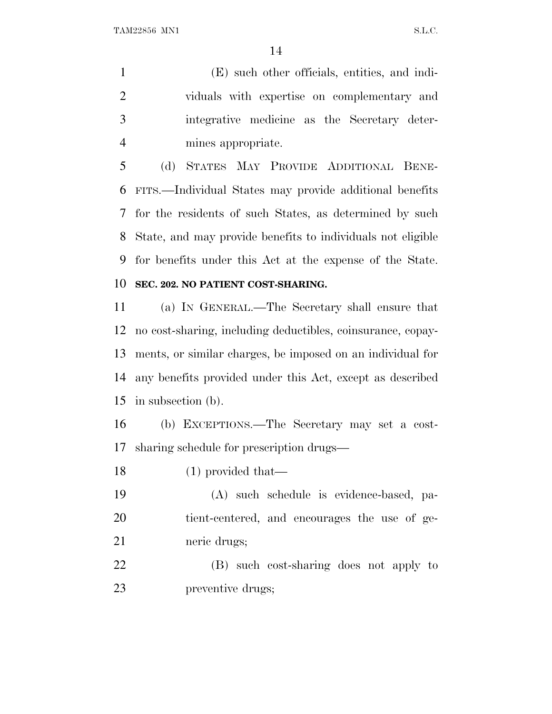(E) such other officials, entities, and indi- viduals with expertise on complementary and integrative medicine as the Secretary deter-mines appropriate.

 (d) STATES MAY PROVIDE ADDITIONAL BENE- FITS.—Individual States may provide additional benefits for the residents of such States, as determined by such State, and may provide benefits to individuals not eligible for benefits under this Act at the expense of the State.

## **SEC. 202. NO PATIENT COST-SHARING.**

 (a) I<sup>N</sup> GENERAL.—The Secretary shall ensure that no cost-sharing, including deductibles, coinsurance, copay- ments, or similar charges, be imposed on an individual for any benefits provided under this Act, except as described in subsection (b).

 (b) EXCEPTIONS.—The Secretary may set a cost-sharing schedule for prescription drugs—

(1) provided that—

 (A) such schedule is evidence-based, pa- tient-centered, and encourages the use of ge-neric drugs;

 (B) such cost-sharing does not apply to preventive drugs;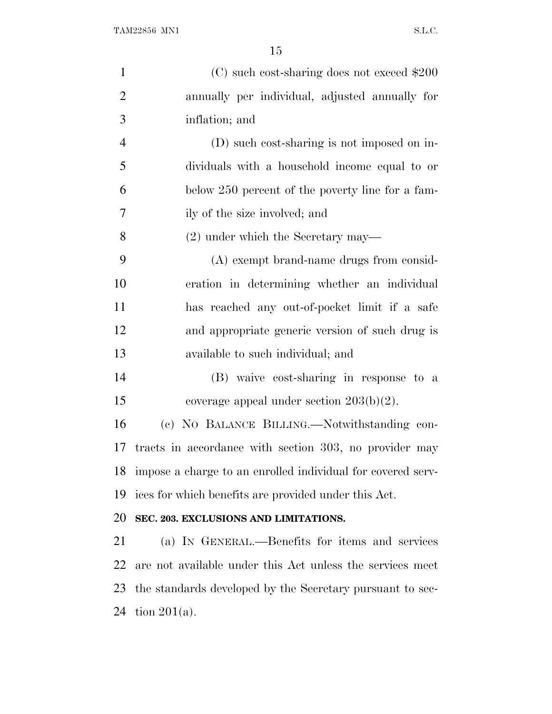| $\mathbf{1}$   | (C) such cost-sharing does not exceed \$200                 |
|----------------|-------------------------------------------------------------|
| $\overline{2}$ | annually per individual, adjusted annually for              |
| 3              | inflation; and                                              |
| $\overline{4}$ | (D) such cost-sharing is not imposed on in-                 |
| 5              | dividuals with a household income equal to or               |
| 6              | below 250 percent of the poverty line for a fam-            |
| $\tau$         | ily of the size involved; and                               |
| 8              | $(2)$ under which the Secretary may—                        |
| 9              | (A) exempt brand-name drugs from consid-                    |
| 10             | eration in determining whether an individual                |
| 11             | has reached any out-of-pocket limit if a safe               |
| 12             | and appropriate generic version of such drug is             |
| 13             | available to such individual; and                           |
| 14             | (B) waive cost-sharing in response to a                     |
| 15             | coverage appeal under section $203(b)(2)$ .                 |
| 16             | (c) NO BALANCE BILLING.—Notwithstanding con-                |
| 17             | tracts in accordance with section 303, no provider may      |
| 18             | impose a charge to an enrolled individual for covered serv- |
| 19             | ices for which benefits are provided under this Act.        |
| 20             | SEC. 203. EXCLUSIONS AND LIMITATIONS.                       |
| 21             | (a) IN GENERAL.—Benefits for items and services             |
| 22             | are not available under this Act unless the services meet   |
| 23             | the standards developed by the Secretary pursuant to sec-   |
| 24             | tion $201(a)$ .                                             |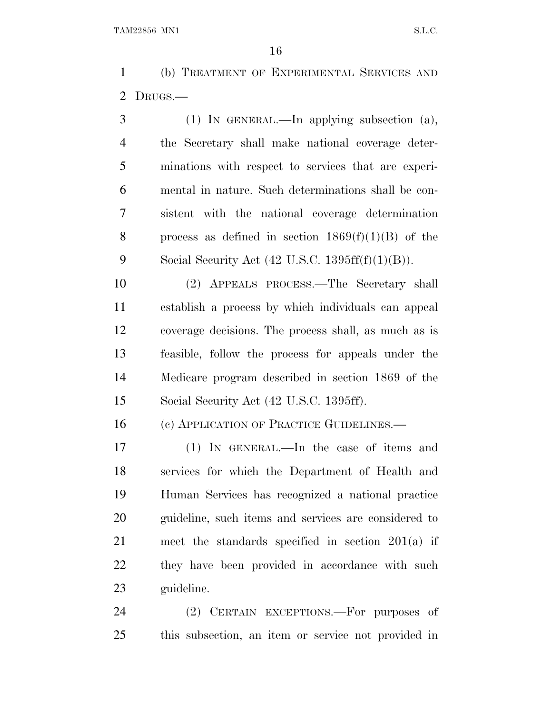(b) TREATMENT OF EXPERIMENTAL SERVICES AND DRUGS.—

 (1) IN GENERAL.—In applying subsection (a), the Secretary shall make national coverage deter- minations with respect to services that are experi- mental in nature. Such determinations shall be con- sistent with the national coverage determination 8 process as defined in section  $1869(f)(1)(B)$  of the 9 Social Security Act  $(42 \text{ U.S.C. } 1395 \text{ ff(f)}(1)(B)).$ 

 (2) APPEALS PROCESS.—The Secretary shall establish a process by which individuals can appeal coverage decisions. The process shall, as much as is feasible, follow the process for appeals under the Medicare program described in section 1869 of the Social Security Act (42 U.S.C. 1395ff).

16 (c) APPLICATION OF PRACTICE GUIDELINES.

 (1) IN GENERAL.—In the case of items and services for which the Department of Health and Human Services has recognized a national practice guideline, such items and services are considered to meet the standards specified in section 201(a) if they have been provided in accordance with such guideline.

24 (2) CERTAIN EXCEPTIONS.—For purposes of this subsection, an item or service not provided in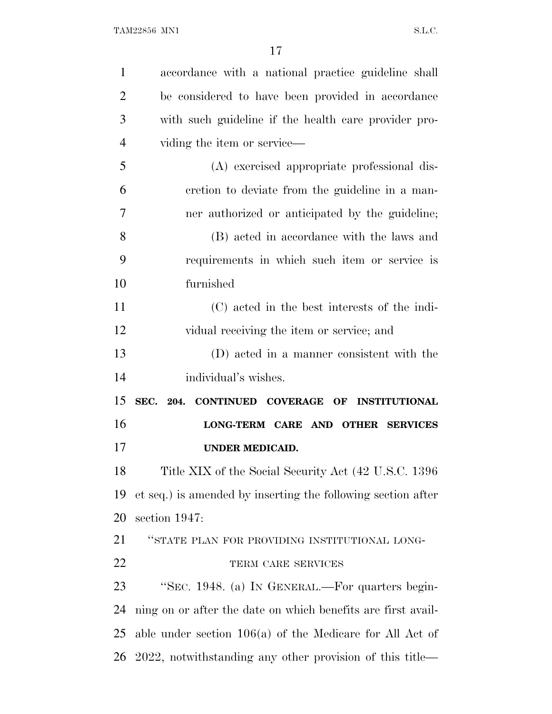| $\mathbf{1}$   | accordance with a national practice guideline shall          |
|----------------|--------------------------------------------------------------|
| $\overline{2}$ | be considered to have been provided in accordance            |
| 3              | with such guideline if the health care provider pro-         |
| $\overline{4}$ | viding the item or service—                                  |
| 5              | (A) exercised appropriate professional dis-                  |
| 6              | cretion to deviate from the guideline in a man-              |
| 7              | ner authorized or anticipated by the guideline;              |
| 8              | (B) acted in accordance with the laws and                    |
| 9              | requirements in which such item or service is                |
| 10             | furnished                                                    |
| 11             | (C) acted in the best interests of the indi-                 |
| 12             | vidual receiving the item or service; and                    |
| 13             | (D) acted in a manner consistent with the                    |
|                |                                                              |
| 14             | individual's wishes.                                         |
| 15             | SEC. 204. CONTINUED COVERAGE OF INSTITUTIONAL                |
| 16             | LONG-TERM CARE AND OTHER SERVICES                            |
| 17             | <b>UNDER MEDICAID.</b>                                       |
| 18             | Title XIX of the Social Security Act (42 U.S.C. 1396)        |
| 19             | et seq.) is amended by inserting the following section after |
| 20             | section 1947:                                                |
| 21             | "STATE PLAN FOR PROVIDING INSTITUTIONAL LONG-                |
| 22             | TERM CARE SERVICES                                           |
| 23             | "SEC. 1948. (a) IN GENERAL.—For quarters begin-              |
| 24             | ning on or after the date on which benefits are first avail- |
| 25             | able under section $106(a)$ of the Medicare for All Act of   |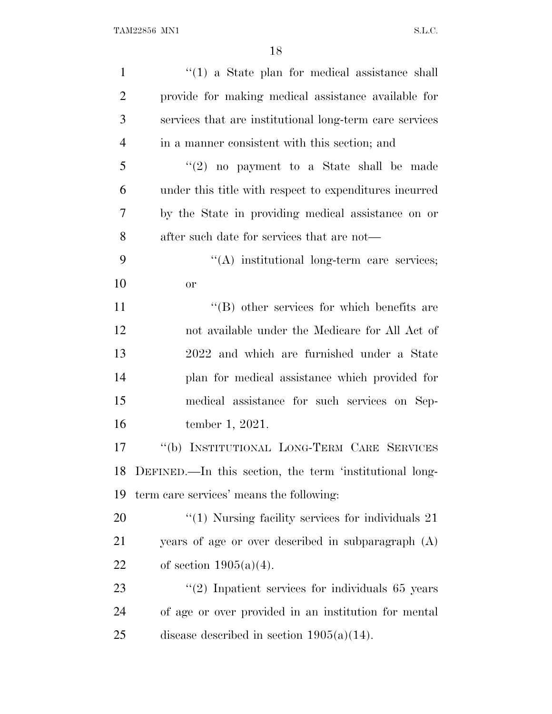| $\mathbf{1}$   | $f'(1)$ a State plan for medical assistance shall       |
|----------------|---------------------------------------------------------|
| $\overline{2}$ | provide for making medical assistance available for     |
| 3              | services that are institutional long-term care services |
| $\overline{4}$ | in a manner consistent with this section; and           |
| 5              | $\lq(2)$ no payment to a State shall be made            |
| 6              | under this title with respect to expenditures incurred  |
| 7              | by the State in providing medical assistance on or      |
| 8              | after such date for services that are not—              |
| 9              | "(A) institutional long-term care services;             |
| 10             | <b>or</b>                                               |
| 11             | $\lq\lq$ other services for which benefits are          |
| 12             | not available under the Medicare for All Act of         |
| 13             | 2022 and which are furnished under a State              |
| 14             | plan for medical assistance which provided for          |
| 15             | medical assistance for such services on Sep-            |
| 16             | tember 1, 2021.                                         |
| 17             | "(b) INSTITUTIONAL LONG-TERM CARE SERVICES              |
| 18             | DEFINED.—In this section, the term 'institutional long- |
| 19             | term care services' means the following:                |
| 20             | $\lq(1)$ Nursing facility services for individuals 21   |
| 21             | years of age or over described in subparagraph (A)      |
| 22             | of section $1905(a)(4)$ .                               |
| 23             | $\lq(2)$ Inpatient services for individuals 65 years    |
| 24             | of age or over provided in an institution for mental    |
| 25             | disease described in section $1905(a)(14)$ .            |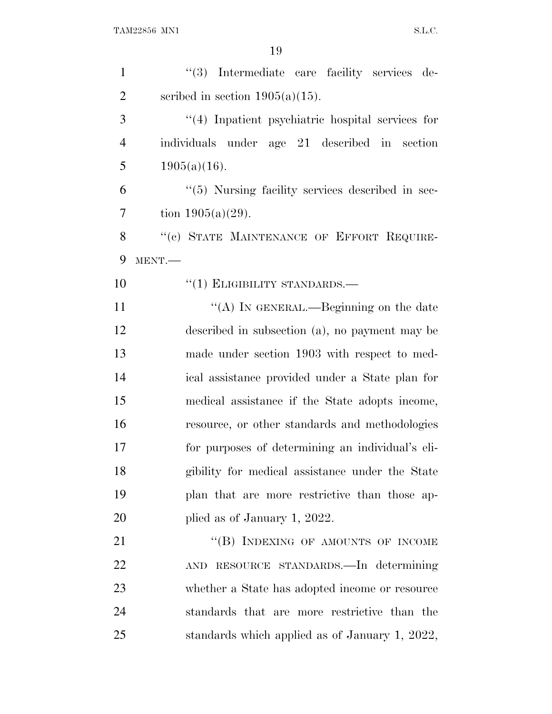| $\mathbf{1}$   | "(3) Intermediate care facility services de-            |
|----------------|---------------------------------------------------------|
| $\overline{2}$ | scribed in section $1905(a)(15)$ .                      |
| 3              | $\cdot$ (4) Inpatient psychiatric hospital services for |
| $\overline{4}$ | individuals under age 21 described in section           |
| 5              | $1905(a)(16)$ .                                         |
| 6              | $\lq(5)$ Nursing facility services described in sec-    |
| 7              | tion $1905(a)(29)$ .                                    |
| 8              | "(c) STATE MAINTENANCE OF EFFORT REQUIRE-               |
| 9              | MENT.-                                                  |
| 10             | $\cdot\cdot(1)$ ELIGIBILITY STANDARDS.—                 |
| 11             | "(A) IN GENERAL.—Beginning on the date                  |
| 12             | described in subsection (a), no payment may be          |
| 13             | made under section 1903 with respect to med-            |
| 14             | ical assistance provided under a State plan for         |
| 15             | medical assistance if the State adopts income,          |
| 16             | resource, or other standards and methodologies          |
| 17             | for purposes of determining an individual's eli-        |
| 18             | gibility for medical assistance under the State         |
| 19             | plan that are more restrictive than those ap-           |
| 20             | plied as of January 1, 2022.                            |
| 21             | "(B) INDEXING OF AMOUNTS OF INCOME                      |
| 22             | AND RESOURCE STANDARDS.—In determining                  |
| 23             | whether a State has adopted income or resource          |
| 24             | standards that are more restrictive than the            |
| 25             | standards which applied as of January 1, 2022,          |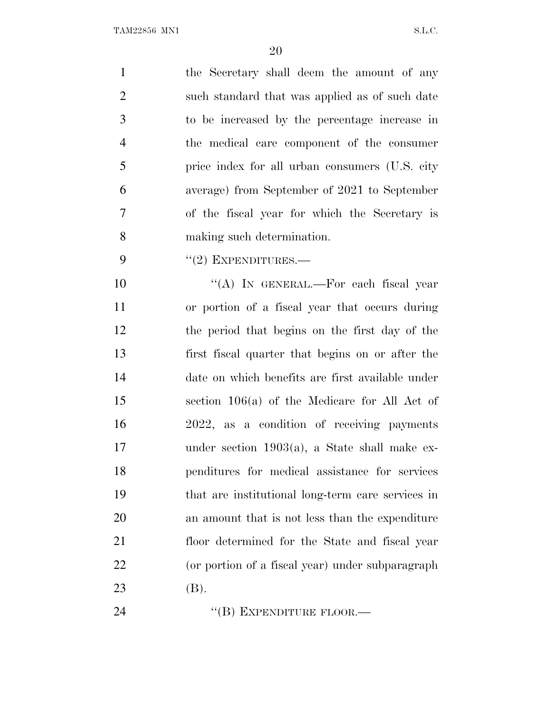| $\mathbf{1}$   | the Secretary shall deem the amount of any        |
|----------------|---------------------------------------------------|
| $\overline{2}$ | such standard that was applied as of such date    |
| 3              | to be increased by the percentage increase in     |
| $\overline{4}$ | the medical care component of the consumer        |
| 5              | price index for all urban consumers (U.S. city    |
| 6              | average) from September of 2021 to September      |
| 7              | of the fiscal year for which the Secretary is     |
| 8              | making such determination.                        |
| 9              | $``(2)$ EXPENDITURES.—                            |
| 10             | "(A) IN GENERAL.—For each fiscal year             |
| 11             | or portion of a fiscal year that occurs during    |
| 12             | the period that begins on the first day of the    |
| 13             | first fiscal quarter that begins on or after the  |
| 14             | date on which benefits are first available under  |
| 15             | section 106(a) of the Medicare for All Act of     |
| 16             | 2022, as a condition of receiving payments        |
| 17             | under section $1903(a)$ , a State shall make ex-  |
| 18             | penditures for medical assistance for services    |
| 19             | that are institutional long-term care services in |
| 20             | an amount that is not less than the expenditure   |
| 21             | floor determined for the State and fiscal year    |
| 22             | (or portion of a fiscal year) under subparagraph  |
| 23             | (B).                                              |
| 24             | $\lq$ <sup>"</sup> (B) EXPENDITURE FLOOR.—        |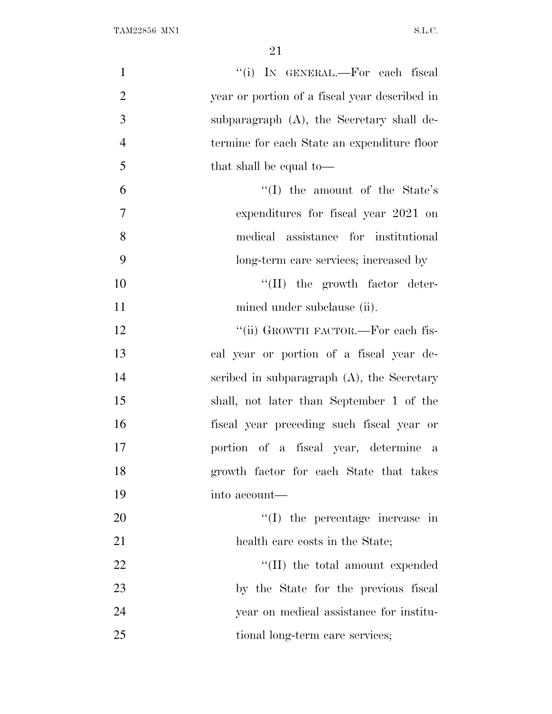| $\mathbf{1}$   | "(i) IN GENERAL.—For each fiscal              |
|----------------|-----------------------------------------------|
| $\overline{2}$ | year or portion of a fiscal year described in |
| 3              | subparagraph $(A)$ , the Secretary shall de-  |
| $\overline{4}$ | termine for each State an expenditure floor   |
| 5              | that shall be equal to—                       |
| 6              | $\lq\lq$ the amount of the State's            |
| 7              | expenditures for fiscal year 2021 on          |
| 8              | medical assistance for institutional          |
| 9              | long-term care services; increased by         |
| 10             | $\lq\lq$ (II) the growth factor deter-        |
| 11             | mined under subclause (ii).                   |
| 12             | "(ii) GROWTH FACTOR.—For each fis-            |
| 13             | cal year or portion of a fiscal year de-      |
| 14             | scribed in subparagraph $(A)$ , the Secretary |
| 15             | shall, not later than September 1 of the      |
| 16             | fiscal year preceding such fiscal year or     |
| 17             | portion of a fiscal year, determine a         |
| 18             | growth factor for each State that takes       |
| 19             | into account—                                 |
| 20             | $\lq\lq$ (I) the percentage increase in       |
| 21             | health care costs in the State;               |
| 22             | "(II) the total amount expended               |
| 23             | by the State for the previous fiscal          |
| 24             | year on medical assistance for institu-       |
| 25             | tional long-term care services;               |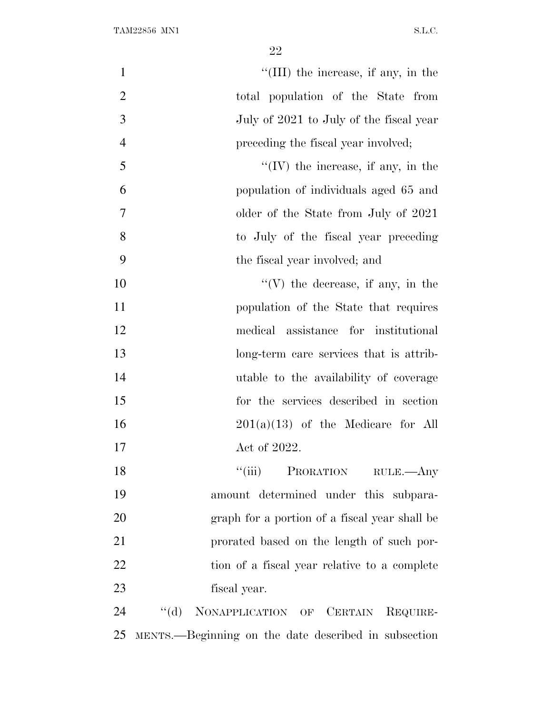| $\mathbf{1}$   | $\lq\lq$ (III) the increase, if any, in the          |
|----------------|------------------------------------------------------|
| $\overline{2}$ | total population of the State from                   |
| 3              | July of 2021 to July of the fiscal year              |
| $\overline{4}$ | preceding the fiscal year involved;                  |
| 5              | $\lq\lq$ (IV) the increase, if any, in the           |
| 6              | population of individuals aged 65 and                |
| $\overline{7}$ | older of the State from July of 2021                 |
| 8              | to July of the fiscal year preceding                 |
| 9              | the fiscal year involved; and                        |
| 10             | $\lq\lq(V)$ the decrease, if any, in the             |
| 11             | population of the State that requires                |
| 12             | medical assistance for institutional                 |
| 13             | long-term care services that is attrib-              |
| 14             | utable to the availability of coverage               |
| 15             | for the services described in section                |
| 16             | $201(a)(13)$ of the Medicare for All                 |
| 17             | Act of 2022.                                         |
| 18             | "(iii) PRORATION RULE.—Any                           |
| 19             | amount determined under this subpara-                |
| 20             | graph for a portion of a fiscal year shall be        |
| 21             | prorated based on the length of such por-            |
| 22             | tion of a fiscal year relative to a complete         |
| 23             | fiscal year.                                         |
| 24             | "(d) NONAPPLICATION OF CERTAIN REQUIRE-              |
| 25             | MENTS.—Beginning on the date described in subsection |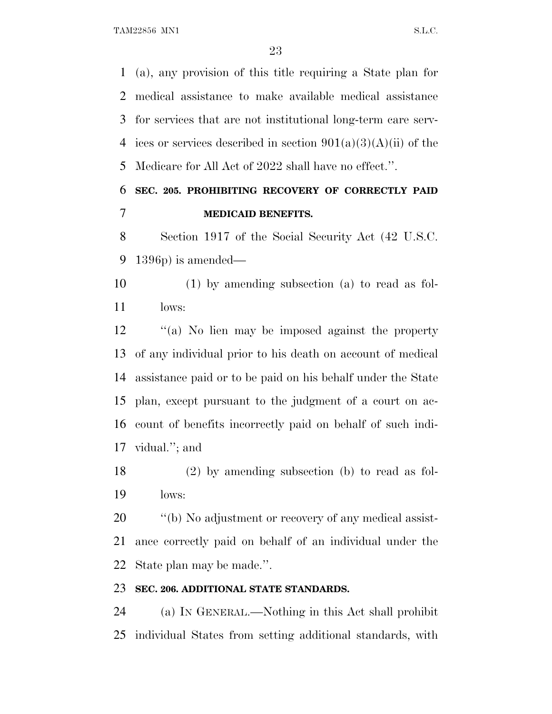TAM22856 MN1 S.L.C.

 (a), any provision of this title requiring a State plan for medical assistance to make available medical assistance for services that are not institutional long-term care serv-4 ices or services described in section  $901(a)(3)(A)(ii)$  of the Medicare for All Act of 2022 shall have no effect.''.

## **SEC. 205. PROHIBITING RECOVERY OF CORRECTLY PAID MEDICAID BENEFITS.**

 Section 1917 of the Social Security Act (42 U.S.C. 1396p) is amended—

 (1) by amending subsection (a) to read as fol-lows:

 ''(a) No lien may be imposed against the property of any individual prior to his death on account of medical assistance paid or to be paid on his behalf under the State plan, except pursuant to the judgment of a court on ac- count of benefits incorrectly paid on behalf of such indi-vidual.''; and

 (2) by amending subsection (b) to read as fol-lows:

20  $\qquad$  "(b) No adjustment or recovery of any medical assist- ance correctly paid on behalf of an individual under the State plan may be made.''.

## **SEC. 206. ADDITIONAL STATE STANDARDS.**

 (a) I<sup>N</sup> GENERAL.—Nothing in this Act shall prohibit individual States from setting additional standards, with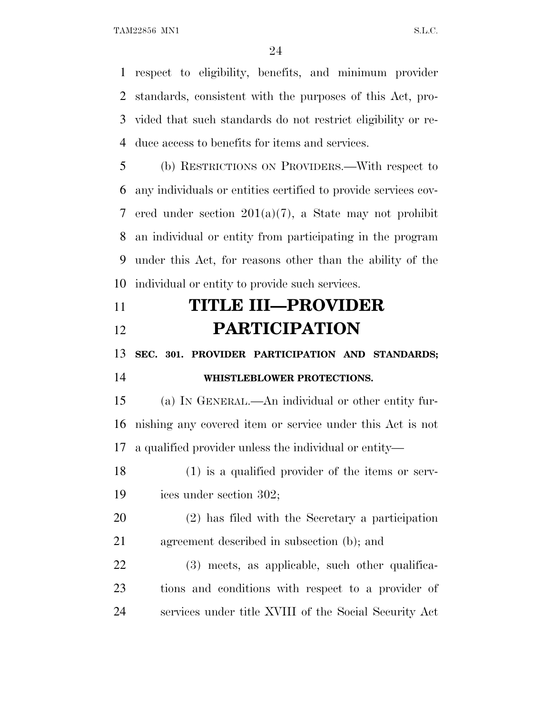respect to eligibility, benefits, and minimum provider standards, consistent with the purposes of this Act, pro- vided that such standards do not restrict eligibility or re-duce access to benefits for items and services.

 (b) RESTRICTIONS ON PROVIDERS.—With respect to any individuals or entities certified to provide services cov- ered under section 201(a)(7), a State may not prohibit an individual or entity from participating in the program under this Act, for reasons other than the ability of the individual or entity to provide such services.

## **TITLE III—PROVIDER PARTICIPATION**

**SEC. 301. PROVIDER PARTICIPATION AND STANDARDS;**

## **WHISTLEBLOWER PROTECTIONS.**

 (a) I<sup>N</sup> GENERAL.—An individual or other entity fur- nishing any covered item or service under this Act is not a qualified provider unless the individual or entity—

 (1) is a qualified provider of the items or serv-ices under section 302;

 (2) has filed with the Secretary a participation agreement described in subsection (b); and

 (3) meets, as applicable, such other qualifica- tions and conditions with respect to a provider of services under title XVIII of the Social Security Act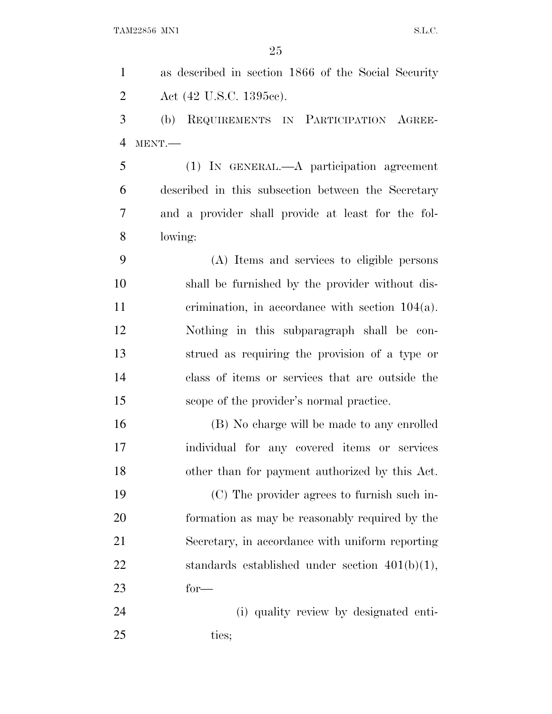as described in section 1866 of the Social Security 2 Act (42 U.S.C. 1395cc). (b) REQUIREMENTS IN PARTICIPATION AGREE- MENT.— (1) IN GENERAL.—A participation agreement described in this subsection between the Secretary and a provider shall provide at least for the fol- lowing: (A) Items and services to eligible persons shall be furnished by the provider without dis- crimination, in accordance with section 104(a). Nothing in this subparagraph shall be con- strued as requiring the provision of a type or class of items or services that are outside the scope of the provider's normal practice. (B) No charge will be made to any enrolled individual for any covered items or services other than for payment authorized by this Act. (C) The provider agrees to furnish such in- formation as may be reasonably required by the Secretary, in accordance with uniform reporting standards established under section 401(b)(1), for— (i) quality review by designated enti-25 ties: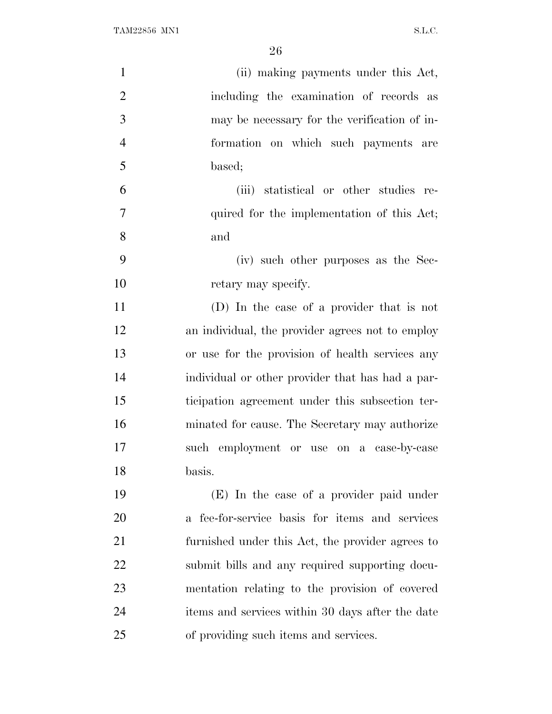| $\mathbf{1}$   | (ii) making payments under this Act,             |
|----------------|--------------------------------------------------|
| $\overline{2}$ | including the examination of records as          |
| 3              | may be necessary for the verification of in-     |
| $\overline{4}$ | formation on which such payments are             |
| 5              | based;                                           |
| 6              | (iii) statistical or other studies re-           |
| $\overline{7}$ | quired for the implementation of this Act;       |
| 8              | and                                              |
| 9              | (iv) such other purposes as the Sec-             |
| 10             | retary may specify.                              |
| 11             | (D) In the case of a provider that is not        |
| 12             | an individual, the provider agrees not to employ |
| 13             | or use for the provision of health services any  |
| 14             | individual or other provider that has had a par- |
| 15             | ticipation agreement under this subsection ter-  |
| 16             | minated for cause. The Secretary may authorize   |
| 17             | such employment or use on a case-by-case         |
| 18             | basis.                                           |
| 19             | (E) In the case of a provider paid under         |
| 20             | a fee-for-service basis for items and services   |
| 21             | furnished under this Act, the provider agrees to |
| 22             | submit bills and any required supporting docu-   |
| 23             | mentation relating to the provision of covered   |
| 24             | items and services within 30 days after the date |
| 25             | of providing such items and services.            |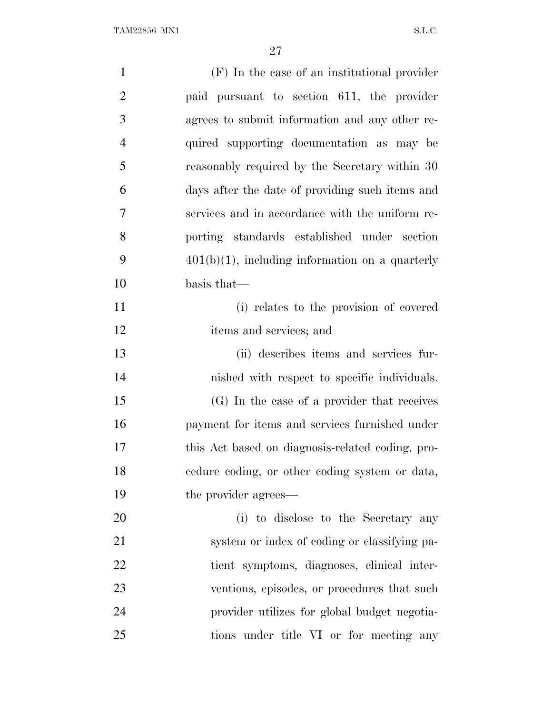| $\mathbf{1}$   | $(F)$ In the case of an institutional provider     |
|----------------|----------------------------------------------------|
| $\overline{2}$ | paid pursuant to section 611, the provider         |
| 3              | agrees to submit information and any other re-     |
| $\overline{4}$ | quired supporting documentation as may be          |
| 5              | reasonably required by the Secretary within 30     |
| 6              | days after the date of providing such items and    |
| 7              | services and in accordance with the uniform re-    |
| 8              | porting standards established under section        |
| 9              | $401(b)(1)$ , including information on a quarterly |
| 10             | basis that-                                        |
| 11             | (i) relates to the provision of covered            |
| 12             | items and services; and                            |
| 13             | (ii) describes items and services fur-             |
| 14             | nished with respect to specific individuals.       |
| 15             | (G) In the case of a provider that receives        |
| 16             | payment for items and services furnished under     |
| 17             | this Act based on diagnosis-related coding, pro-   |
| 18             | cedure coding, or other coding system or data,     |
| 19             | the provider agrees—                               |
| 20             | (i) to disclose to the Secretary any               |
| 21             | system or index of coding or classifying pa-       |
| 22             | tient symptoms, diagnoses, clinical inter-         |
| 23             | ventions, episodes, or procedures that such        |
| 24             | provider utilizes for global budget negotia-       |
| 25             | tions under title VI or for meeting any            |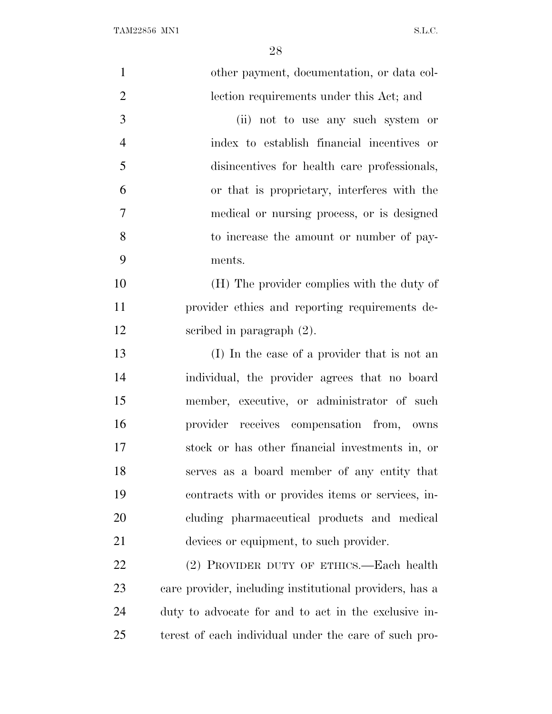| $\mathbf{1}$   | other payment, documentation, or data col-              |
|----------------|---------------------------------------------------------|
| $\mathfrak{2}$ | lection requirements under this Act; and                |
| 3              | (ii) not to use any such system or                      |
| $\overline{4}$ | index to establish financial incentives or              |
| 5              | disincentives for health care professionals,            |
| 6              | or that is proprietary, interferes with the             |
| $\tau$         | medical or nursing process, or is designed              |
| 8              | to increase the amount or number of pay-                |
| 9              | ments.                                                  |
| 10             | (H) The provider complies with the duty of              |
| 11             | provider ethics and reporting requirements de-          |
| 12             | scribed in paragraph $(2)$ .                            |
| 13             | (I) In the case of a provider that is not an            |
| 14             | individual, the provider agrees that no board           |
| 15             | member, executive, or administrator of such             |
| 16             | provider receives compensation from, owns               |
| 17             | stock or has other financial investments in, or         |
| 18             | serves as a board member of any entity that             |
| 19             | contracts with or provides items or services, in-       |
| 20             | cluding pharmaceutical products and medical             |
| 21             | devices or equipment, to such provider.                 |
| 22             | (2) PROVIDER DUTY OF ETHICS.—Each health                |
| 23             | care provider, including institutional providers, has a |
| 24             | duty to advocate for and to act in the exclusive in-    |
| 25             | terest of each individual under the care of such pro-   |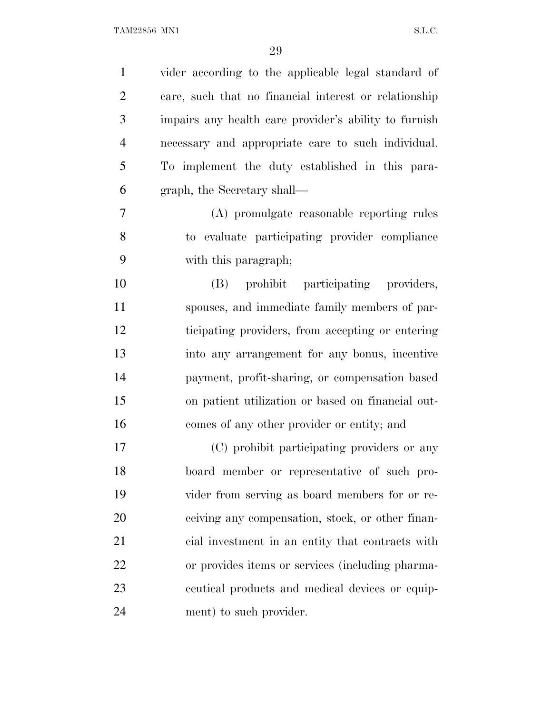| $\mathbf{1}$   | vider according to the applicable legal standard of   |
|----------------|-------------------------------------------------------|
| $\overline{2}$ | care, such that no financial interest or relationship |
| 3              | impairs any health care provider's ability to furnish |
| $\overline{4}$ | necessary and appropriate care to such individual.    |
| 5              | To implement the duty established in this para-       |
| 6              | graph, the Secretary shall—                           |
| $\tau$         | (A) promulgate reasonable reporting rules             |
| 8              | to evaluate participating provider compliance         |
| 9              | with this paragraph;                                  |
| 10             | prohibit participating providers,<br>(B)              |
| 11             | spouses, and immediate family members of par-         |
| 12             | ticipating providers, from accepting or entering      |
| 13             | into any arrangement for any bonus, incentive         |
| 14             | payment, profit-sharing, or compensation based        |
| 15             | on patient utilization or based on financial out-     |
| 16             | comes of any other provider or entity; and            |
| 17             | (C) prohibit participating providers or any           |
| 18             | board member or representative of such pro-           |
| 19             | vider from serving as board members for or re-        |
| 20             | ceiving any compensation, stock, or other finan-      |
| 21             | cial investment in an entity that contracts with      |
| 22             | or provides items or services (including pharma-      |
| 23             | equal products and medical devices or equip-          |
| 24             | ment) to such provider.                               |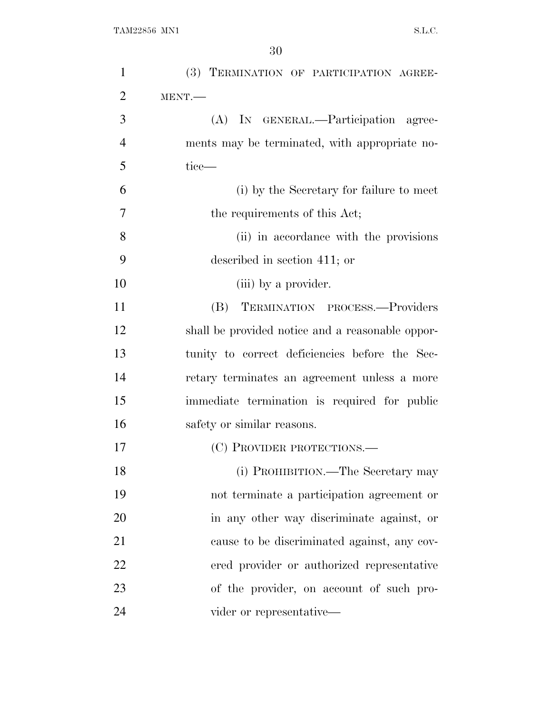| $\mathbf{1}$   | (3) TERMINATION OF PARTICIPATION AGREE-          |
|----------------|--------------------------------------------------|
| $\overline{2}$ | MENT.                                            |
| 3              | (A) IN GENERAL.—Participation agree-             |
| $\overline{4}$ | ments may be terminated, with appropriate no-    |
| 5              | tice—                                            |
| 6              | (i) by the Secretary for failure to meet         |
| 7              | the requirements of this Act;                    |
| 8              | (ii) in accordance with the provisions           |
| 9              | described in section 411; or                     |
| 10             | (iii) by a provider.                             |
| 11             | TERMINATION PROCESS.-Providers<br>(B)            |
| 12             | shall be provided notice and a reasonable oppor- |
| 13             | tunity to correct deficiencies before the Sec-   |
| 14             | retary terminates an agreement unless a more     |
| 15             | immediate termination is required for public     |
| 16             | safety or similar reasons.                       |
| 17             | (C) PROVIDER PROTECTIONS.—                       |
| 18             | (i) PROHIBITION.—The Secretary may               |
| 19             | not terminate a participation agreement or       |
| 20             | in any other way discriminate against, or        |
| 21             | cause to be discriminated against, any cov-      |
| 22             | ered provider or authorized representative       |
| 23             | of the provider, on account of such pro-         |
| 24             | vider or representative—                         |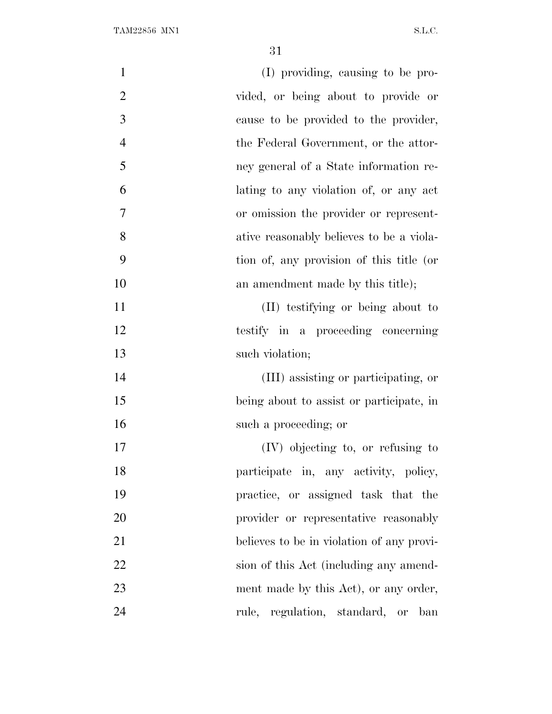| $\mathbf{1}$   | (I) providing, causing to be pro-         |
|----------------|-------------------------------------------|
| $\overline{2}$ | vided, or being about to provide or       |
| 3              | cause to be provided to the provider,     |
| $\overline{4}$ | the Federal Government, or the attor-     |
| 5              | ney general of a State information re-    |
| 6              | lating to any violation of, or any act    |
| 7              | or omission the provider or represent-    |
| 8              | ative reasonably believes to be a viola-  |
| 9              | tion of, any provision of this title (or  |
| 10             | an amendment made by this title);         |
| 11             | (II) testifying or being about to         |
| 12             | testify in a proceeding concerning        |
| 13             | such violation;                           |
| 14             | (III) assisting or participating, or      |
| 15             | being about to assist or participate, in  |
| 16             | such a proceeding; or                     |
| 17             | (IV) objecting to, or refusing to         |
| 18             | participate in, any activity, policy,     |
| 19             | practice, or assigned task that the       |
| 20             | provider or representative reasonably     |
| 21             | believes to be in violation of any provi- |
| 22             | sion of this Act (including any amend-    |
| 23             | ment made by this Act), or any order,     |
| 24             | rule, regulation, standard, or ban        |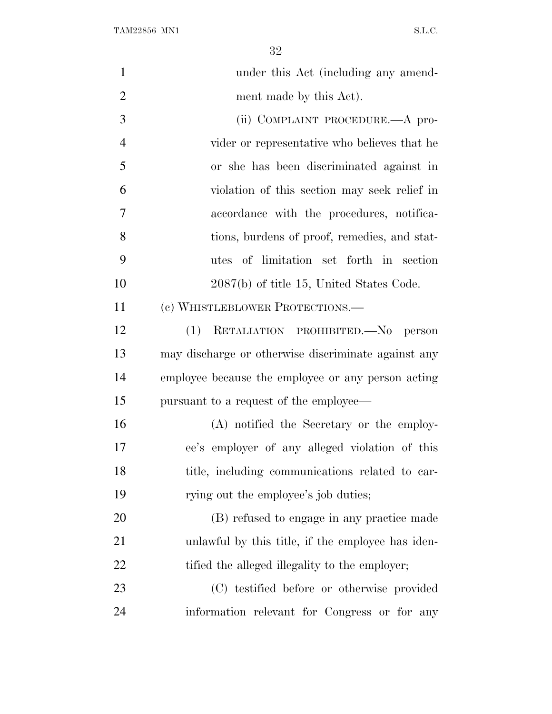$\begin{minipage}{0.9\linewidth} \textbf{TAM22856} \textbf{ MNI} \end{minipage}$ 

| $\mathbf{1}$   | under this Act (including any amend-                |
|----------------|-----------------------------------------------------|
| $\overline{2}$ | ment made by this Act).                             |
| 3              | (ii) COMPLAINT PROCEDURE.—A pro-                    |
| $\overline{4}$ | vider or representative who believes that he        |
| 5              | or she has been discriminated against in            |
| 6              | violation of this section may seek relief in        |
| 7              | accordance with the procedures, notifica-           |
| 8              | tions, burdens of proof, remedies, and stat-        |
| 9              | utes of limitation set forth in section             |
| 10             | $2087(b)$ of title 15, United States Code.          |
| 11             | (c) WHISTLEBLOWER PROTECTIONS.—                     |
| 12             | RETALIATION PROHIBITED. No person<br>(1)            |
| 13             | may discharge or otherwise discriminate against any |
| 14             | employee because the employee or any person acting  |
| 15             | pursuant to a request of the employee—              |
| 16             | (A) notified the Secretary or the employ-           |
| 17             | ee's employer of any alleged violation of this      |
| 18             | title, including communications related to car-     |
| 19             | rying out the employee's job duties;                |
| 20             | (B) refused to engage in any practice made          |
| 21             | unlawful by this title, if the employee has iden-   |
| 22             | tified the alleged illegality to the employer;      |
| 23             | (C) testified before or otherwise provided          |
| 24             | information relevant for Congress or for any        |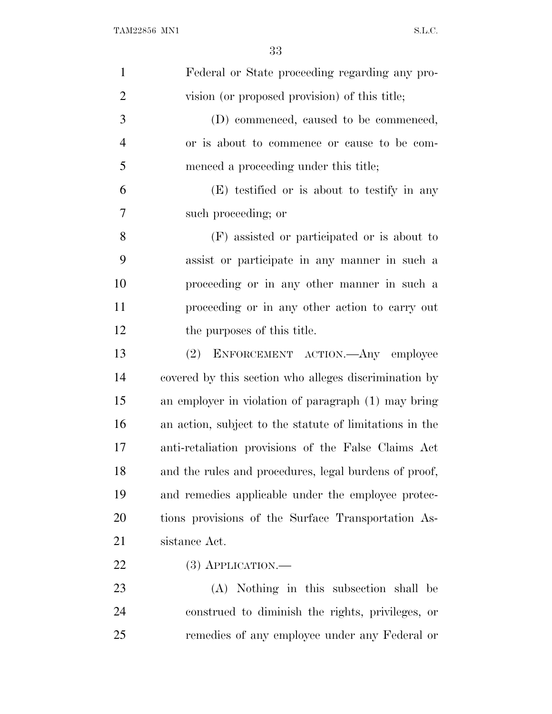| $\mathbf{1}$   | Federal or State proceeding regarding any pro-          |
|----------------|---------------------------------------------------------|
| $\overline{2}$ | vision (or proposed provision) of this title;           |
| 3              | (D) commenced, caused to be commenced,                  |
| $\overline{4}$ | or is about to commence or cause to be com-             |
| 5              | menced a proceeding under this title;                   |
| 6              | (E) testified or is about to testify in any             |
| 7              | such proceeding; or                                     |
| 8              | (F) assisted or participated or is about to             |
| 9              | assist or participate in any manner in such a           |
| 10             | proceeding or in any other manner in such a             |
| 11             | proceeding or in any other action to carry out          |
| 12             | the purposes of this title.                             |
| 13             | ENFORCEMENT ACTION. Any employee<br>(2)                 |
| 14             | covered by this section who alleges discrimination by   |
| 15             | an employer in violation of paragraph (1) may bring     |
| 16             | an action, subject to the statute of limitations in the |
| 17             | anti-retaliation provisions of the False Claims Act     |
| 18             | and the rules and procedures, legal burdens of proof,   |
| 19             | and remedies applicable under the employee protec-      |
| 20             | tions provisions of the Surface Transportation As-      |
| 21             | sistance Act.                                           |
| 22             | $(3)$ APPLICATION.—                                     |
| 23             | (A) Nothing in this subsection shall be                 |
| 24             | construed to diminish the rights, privileges, or        |
| 25             | remedies of any employee under any Federal or           |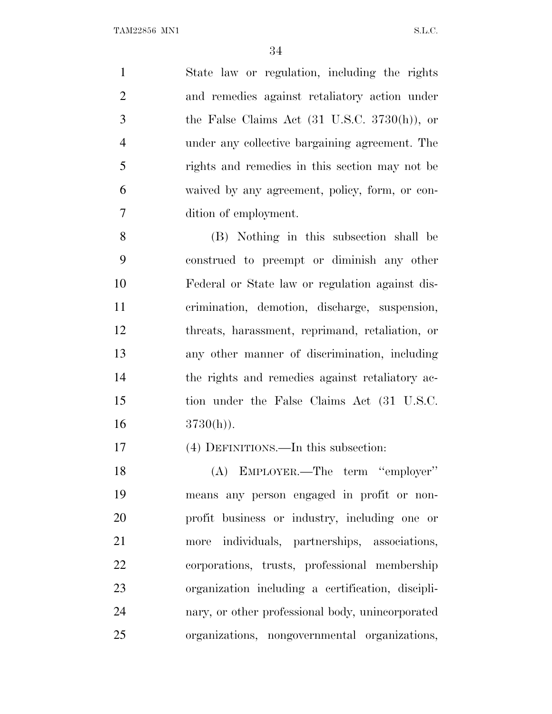State law or regulation, including the rights and remedies against retaliatory action under the False Claims Act (31 U.S.C. 3730(h)), or under any collective bargaining agreement. The rights and remedies in this section may not be waived by any agreement, policy, form, or con-dition of employment.

 (B) Nothing in this subsection shall be construed to preempt or diminish any other Federal or State law or regulation against dis- crimination, demotion, discharge, suspension, threats, harassment, reprimand, retaliation, or any other manner of discrimination, including the rights and remedies against retaliatory ac- tion under the False Claims Act (31 U.S.C. 16  $3730(h)$ .

(4) DEFINITIONS.—In this subsection:

 (A) EMPLOYER.—The term ''employer'' means any person engaged in profit or non- profit business or industry, including one or more individuals, partnerships, associations, corporations, trusts, professional membership organization including a certification, discipli- nary, or other professional body, unincorporated organizations, nongovernmental organizations,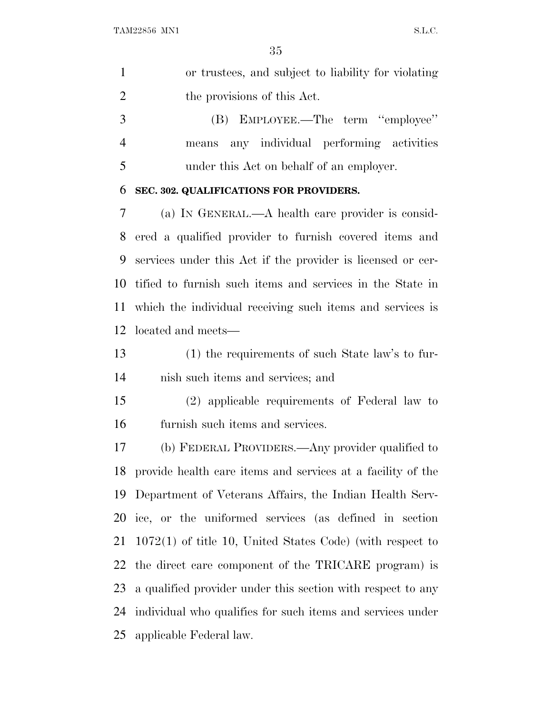|   | or trustees, and subject to liability for violating |
|---|-----------------------------------------------------|
|   | the provisions of this Act.                         |
| 3 | (B) EMPLOYEE.—The term "employee"                   |
|   | any individual performing activities<br>means       |
|   | under this Act on behalf of an employer.            |

## **SEC. 302. QUALIFICATIONS FOR PROVIDERS.**

 (a) I<sup>N</sup> GENERAL.—A health care provider is consid- ered a qualified provider to furnish covered items and services under this Act if the provider is licensed or cer- tified to furnish such items and services in the State in which the individual receiving such items and services is located and meets—

 (1) the requirements of such State law's to fur-nish such items and services; and

 (2) applicable requirements of Federal law to furnish such items and services.

 (b) FEDERAL PROVIDERS.—Any provider qualified to provide health care items and services at a facility of the Department of Veterans Affairs, the Indian Health Serv- ice, or the uniformed services (as defined in section 1072(1) of title 10, United States Code) (with respect to the direct care component of the TRICARE program) is a qualified provider under this section with respect to any individual who qualifies for such items and services under applicable Federal law.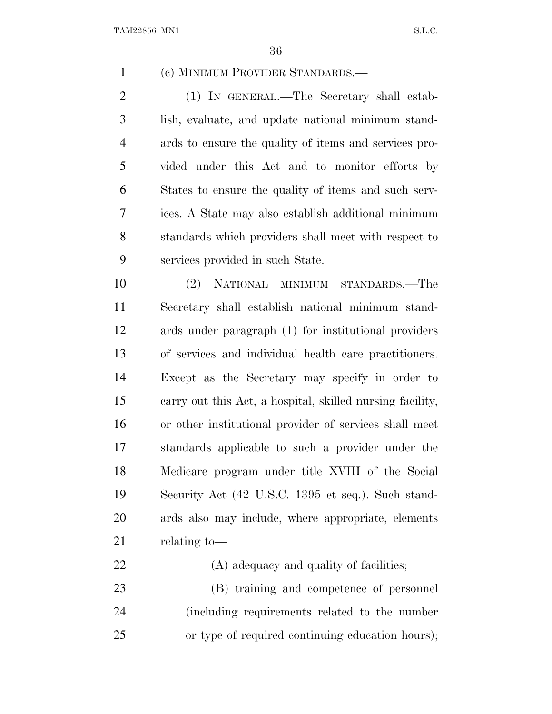(c) MINIMUM PROVIDER STANDARDS.—

 (1) IN GENERAL.—The Secretary shall estab- lish, evaluate, and update national minimum stand- ards to ensure the quality of items and services pro- vided under this Act and to monitor efforts by States to ensure the quality of items and such serv- ices. A State may also establish additional minimum standards which providers shall meet with respect to services provided in such State.

 (2) NATIONAL MINIMUM STANDARDS.—The Secretary shall establish national minimum stand- ards under paragraph (1) for institutional providers of services and individual health care practitioners. Except as the Secretary may specify in order to carry out this Act, a hospital, skilled nursing facility, or other institutional provider of services shall meet standards applicable to such a provider under the Medicare program under title XVIII of the Social Security Act (42 U.S.C. 1395 et seq.). Such stand- ards also may include, where appropriate, elements relating to—

22 (A) adequacy and quality of facilities; (B) training and competence of personnel (including requirements related to the number or type of required continuing education hours);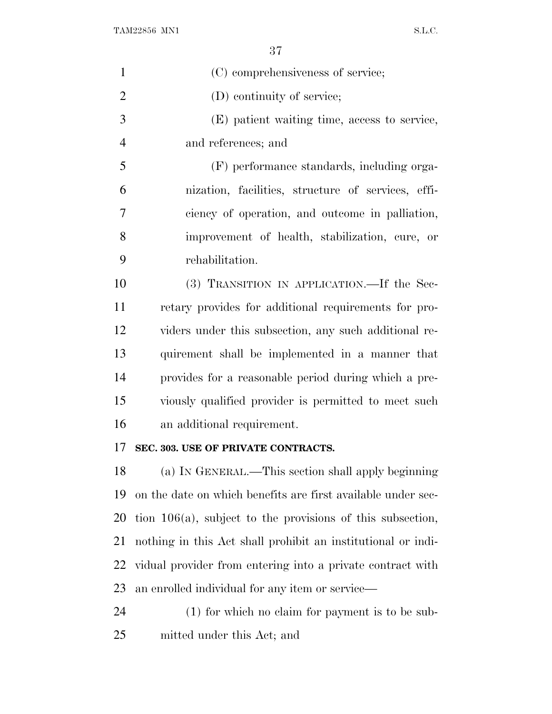$\begin{minipage}{0.9\linewidth} \textbf{TAM22856} \textbf{ MNI} \end{minipage}$ 

| $\mathbf{1}$   | (C) comprehensiveness of service;                             |
|----------------|---------------------------------------------------------------|
| $\overline{2}$ | (D) continuity of service;                                    |
| 3              | (E) patient waiting time, access to service,                  |
| $\overline{4}$ | and references; and                                           |
| 5              | (F) performance standards, including orga-                    |
| 6              | nization, facilities, structure of services, effi-            |
| 7              | ciency of operation, and outcome in palliation,               |
| 8              | improvement of health, stabilization, cure, or                |
| 9              | rehabilitation.                                               |
| 10             | (3) TRANSITION IN APPLICATION.—If the Sec-                    |
| 11             | retary provides for additional requirements for pro-          |
| 12             | viders under this subsection, any such additional re-         |
| 13             | quirement shall be implemented in a manner that               |
| 14             | provides for a reasonable period during which a pre-          |
| 15             | viously qualified provider is permitted to meet such          |
| 16             | an additional requirement.                                    |
| 17             | SEC. 303. USE OF PRIVATE CONTRACTS.                           |
| 18             | (a) IN GENERAL.—This section shall apply beginning            |
| 19             | on the date on which benefits are first available under sec-  |
| 20             | tion $106(a)$ , subject to the provisions of this subsection, |
| 21             | nothing in this Act shall prohibit an institutional or indi-  |
| 22             | vidual provider from entering into a private contract with    |
| 23             | an enrolled individual for any item or service—               |
| 24             | $(1)$ for which no claim for payment is to be sub-            |
| 25             | mitted under this Act; and                                    |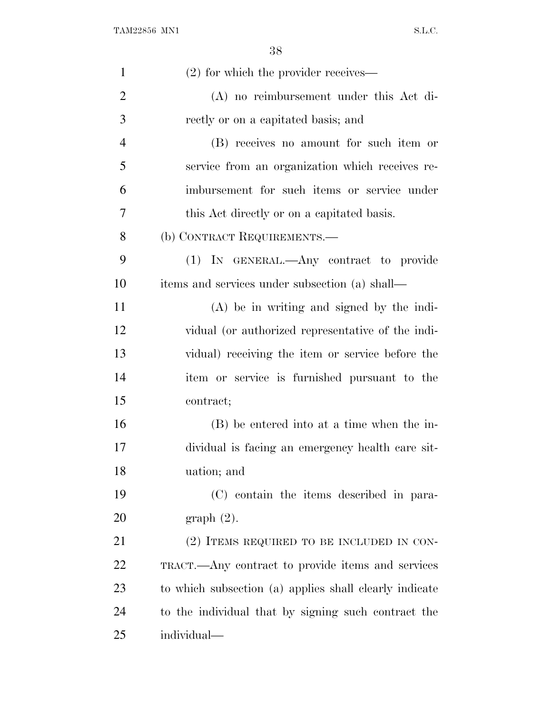| $\mathbf{1}$   | $(2)$ for which the provider receives—                 |
|----------------|--------------------------------------------------------|
| $\overline{2}$ | $(A)$ no reimbursement under this Act di-              |
| 3              | rectly or on a capitated basis; and                    |
| $\overline{4}$ | (B) receives no amount for such item or                |
| 5              | service from an organization which receives re-        |
| 6              | imbursement for such items or service under            |
| 7              | this Act directly or on a capitated basis.             |
| 8              | (b) CONTRACT REQUIREMENTS.—                            |
| 9              | (1) IN GENERAL.—Any contract to provide                |
| 10             | items and services under subsection (a) shall—         |
| 11             | $(A)$ be in writing and signed by the indi-            |
| 12             | vidual (or authorized representative of the indi-      |
| 13             | vidual) receiving the item or service before the       |
| 14             | item or service is furnished pursuant to the           |
| 15             | contract;                                              |
| 16             | (B) be entered into at a time when the in-             |
| 17             | dividual is facing an emergency health care sit-       |
| 18             | uation; and                                            |
| 19             | (C) contain the items described in para-               |
| 20             | graph(2).                                              |
| 21             | (2) ITEMS REQUIRED TO BE INCLUDED IN CON-              |
| 22             | TRACT.—Any contract to provide items and services      |
| 23             | to which subsection (a) applies shall clearly indicate |
| 24             | to the individual that by signing such contract the    |
| 25             | individual—                                            |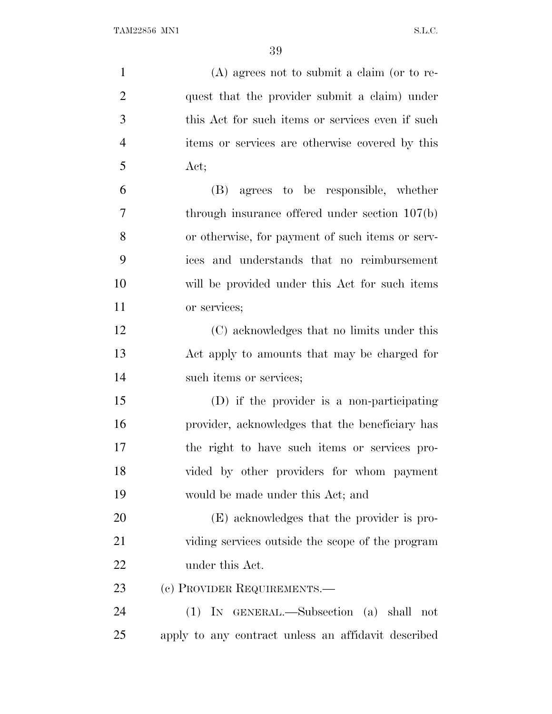| $\mathbf{1}$   | $(A)$ agrees not to submit a claim (or to re-       |
|----------------|-----------------------------------------------------|
| $\overline{2}$ | quest that the provider submit a claim) under       |
| 3              | this Act for such items or services even if such    |
| $\overline{4}$ | items or services are otherwise covered by this     |
| 5              | Act;                                                |
| 6              | (B) agrees to be responsible, whether               |
| 7              | through insurance offered under section $107(b)$    |
| 8              | or otherwise, for payment of such items or serv-    |
| 9              | ices and understands that no reimbursement          |
| 10             | will be provided under this Act for such items      |
| 11             | or services;                                        |
| 12             | (C) acknowledges that no limits under this          |
| 13             | Act apply to amounts that may be charged for        |
| 14             | such items or services;                             |
| 15             | (D) if the provider is a non-participating          |
| 16             | provider, acknowledges that the beneficiary has     |
| 17             | the right to have such items or services pro-       |
| 18             | vided by other providers for whom payment           |
| 19             | would be made under this Act; and                   |
| 20             | (E) acknowledges that the provider is pro-          |
| 21             | viding services outside the scope of the program    |
| <u>22</u>      | under this Act.                                     |
| 23             | (c) PROVIDER REQUIREMENTS.—                         |
| 24             | (1) IN GENERAL.—Subsection (a) shall not            |
| 25             | apply to any contract unless an affidavit described |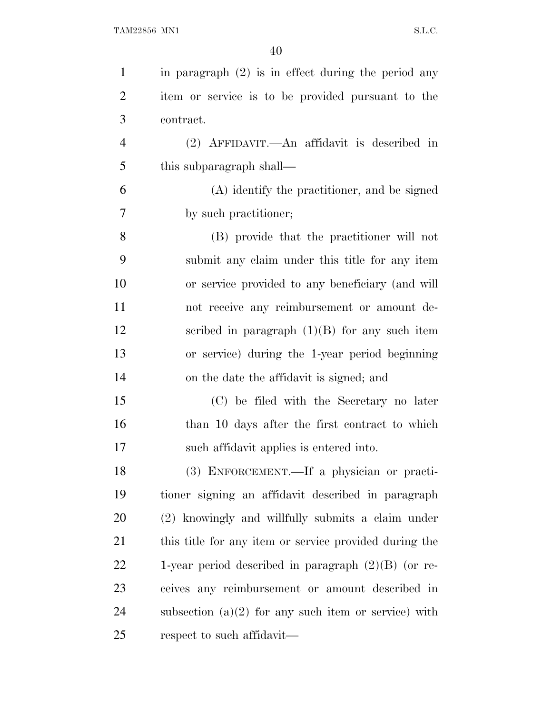| $\mathbf{1}$   | in paragraph $(2)$ is in effect during the period any  |
|----------------|--------------------------------------------------------|
| $\overline{2}$ | item or service is to be provided pursuant to the      |
| 3              | contract.                                              |
| $\overline{4}$ | $(2)$ AFFIDAVIT.—An affidavit is described in          |
| 5              | this subparagraph shall—                               |
| 6              | (A) identify the practitioner, and be signed           |
| 7              | by such practitioner;                                  |
| 8              | (B) provide that the practitioner will not             |
| 9              | submit any claim under this title for any item         |
| 10             | or service provided to any beneficiary (and will       |
| 11             | not receive any reimbursement or amount de-            |
| 12             | scribed in paragraph $(1)(B)$ for any such item        |
| 13             | or service) during the 1-year period beginning         |
| 14             | on the date the affidavit is signed; and               |
| 15             | (C) be filed with the Secretary no later               |
| 16             | than 10 days after the first contract to which         |
| 17             | such affidavit applies is entered into.                |
| 18             | (3) ENFORCEMENT.—If a physician or practi-             |
| 19             | tioner signing an affidavit described in paragraph     |
| 20             | (2) knowingly and willfully submits a claim under      |
| 21             | this title for any item or service provided during the |
| 22             | 1-year period described in paragraph $(2)(B)$ (or re-  |
| 23             | ceives any reimbursement or amount described in        |
| 24             | subsection $(a)(2)$ for any such item or service) with |
| 25             | respect to such affidavit—                             |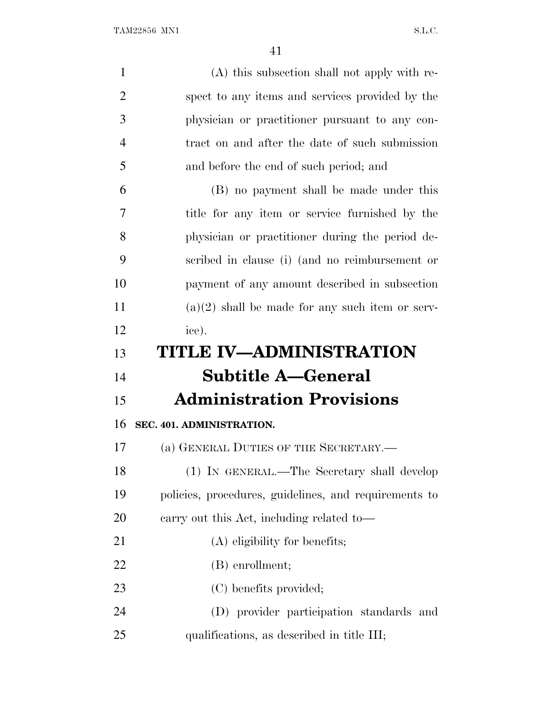| $\mathbf{1}$   | (A) this subsection shall not apply with re-          |
|----------------|-------------------------------------------------------|
| $\overline{2}$ | spect to any items and services provided by the       |
| 3              | physician or practitioner pursuant to any con-        |
| $\overline{4}$ | tract on and after the date of such submission        |
| 5              | and before the end of such period; and                |
| 6              | (B) no payment shall be made under this               |
| 7              | title for any item or service furnished by the        |
| 8              | physician or practitioner during the period de-       |
| 9              | scribed in clause (i) (and no reimbursement or        |
| 10             | payment of any amount described in subsection         |
| 11             | $(a)(2)$ shall be made for any such item or serv-     |
| 12             | ice).                                                 |
| 13             | TITLE IV—ADMINISTRATION                               |
| 14             | <b>Subtitle A–General</b>                             |
| 15             | <b>Administration Provisions</b>                      |
| 16             | SEC. 401. ADMINISTRATION.                             |
| 17             | (a) GENERAL DUTIES OF THE SECRETARY.—                 |
| 18             | (1) IN GENERAL.—The Secretary shall develop           |
| 19             | policies, procedures, guidelines, and requirements to |
| 20             | earry out this Act, including related to-             |
| 21             | $(A)$ eligibility for benefits;                       |
| 22             | (B) enrollment;                                       |
| 23             | (C) benefits provided;                                |
| 24             | (D) provider participation standards and              |
| 25             | qualifications, as described in title III;            |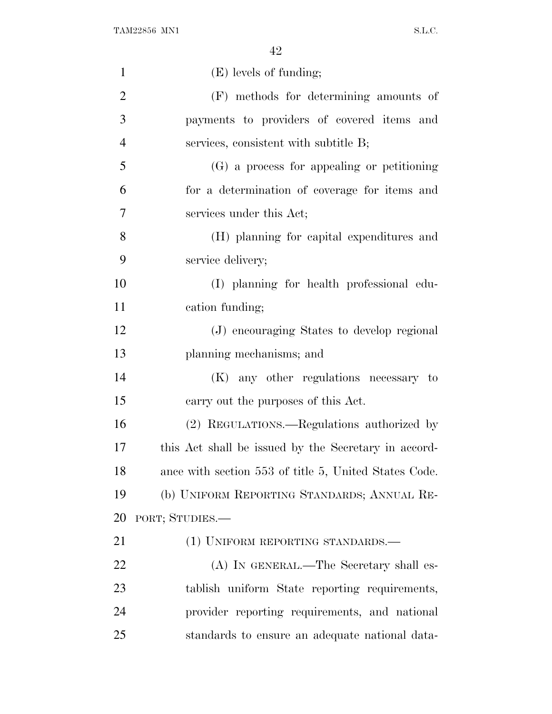| $\mathbf{1}$   | $(E)$ levels of funding;                              |
|----------------|-------------------------------------------------------|
| $\overline{2}$ | (F) methods for determining amounts of                |
| 3              | payments to providers of covered items and            |
| $\overline{4}$ | services, consistent with subtitle B;                 |
| 5              | (G) a process for appealing or petitioning            |
| 6              | for a determination of coverage for items and         |
| 7              | services under this Act;                              |
| 8              | (H) planning for capital expenditures and             |
| 9              | service delivery;                                     |
| 10             | (I) planning for health professional edu-             |
| 11             | cation funding;                                       |
| 12             | (J) encouraging States to develop regional            |
| 13             | planning mechanisms; and                              |
| 14             | (K) any other regulations necessary to                |
| 15             | carry out the purposes of this Act.                   |
| 16             | (2) REGULATIONS.—Regulations authorized by            |
| 17             | this Act shall be issued by the Secretary in accord-  |
| 18             | ance with section 553 of title 5, United States Code. |
| 19             | (b) UNIFORM REPORTING STANDARDS; ANNUAL RE-           |
| 20             | PORT; STUDIES.—                                       |
| 21             | (1) UNIFORM REPORTING STANDARDS.—                     |
| 22             | (A) IN GENERAL.—The Secretary shall es-               |
| 23             | tablish uniform State reporting requirements,         |
| 24             | provider reporting requirements, and national         |
| 25             | standards to ensure an adequate national data-        |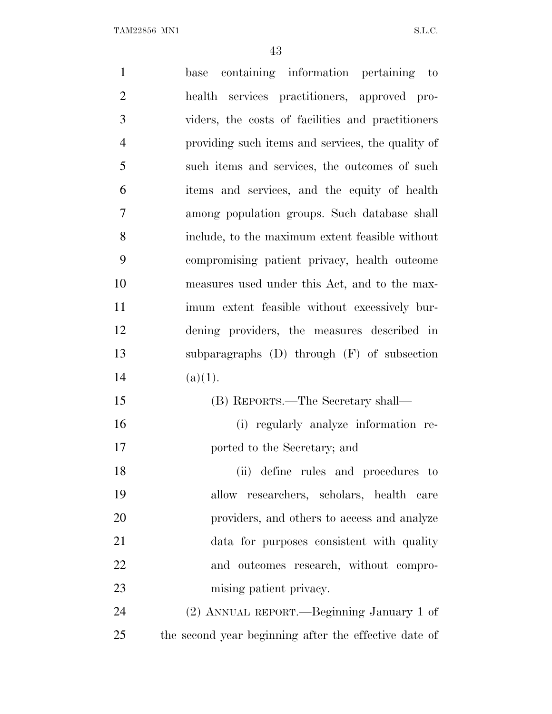| $\mathbf{1}$   | containing information pertaining to<br>base          |
|----------------|-------------------------------------------------------|
| $\overline{2}$ | health services practitioners, approved pro-          |
| 3              | viders, the costs of facilities and practitioners     |
| $\overline{4}$ | providing such items and services, the quality of     |
| 5              | such items and services, the outcomes of such         |
| 6              | items and services, and the equity of health          |
| 7              | among population groups. Such database shall          |
| 8              | include, to the maximum extent feasible without       |
| 9              | compromising patient privacy, health outcome          |
| 10             | measures used under this Act, and to the max-         |
| 11             | imum extent feasible without excessively bur-         |
| 12             | dening providers, the measures described in           |
| 13             | subparagraphs $(D)$ through $(F)$ of subsection       |
| 14             | (a)(1).                                               |
| 15             | (B) REPORTS.—The Secretary shall—                     |
| 16             | (i) regularly analyze information re-                 |
| 17             | ported to the Secretary; and                          |
| 18             | (ii) define rules and procedures to                   |
| 19             | researchers, scholars, health care<br>allow           |
| 20             | providers, and others to access and analyze           |
| 21             | data for purposes consistent with quality             |
| 22             | and outcomes research, without compro-                |
| 23             | mising patient privacy.                               |
| 24             | (2) ANNUAL REPORT.—Beginning January 1 of             |
| 25             | the second year beginning after the effective date of |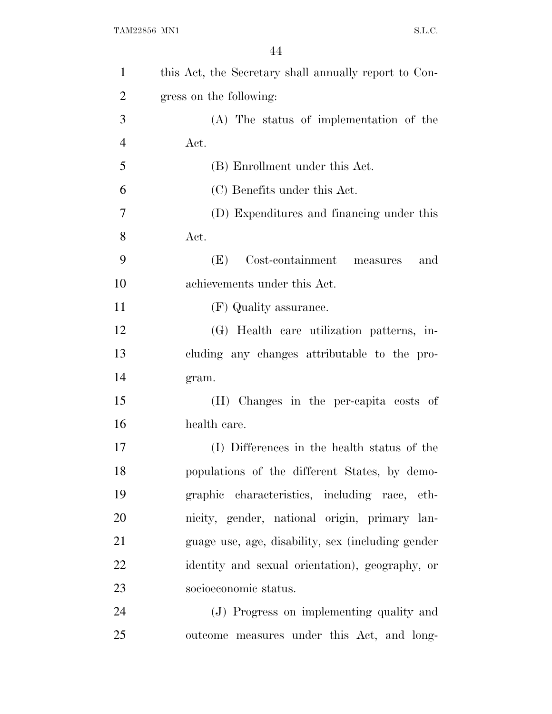| $\mathbf{1}$   | this Act, the Secretary shall annually report to Con- |
|----------------|-------------------------------------------------------|
| $\overline{2}$ | gress on the following:                               |
| 3              | (A) The status of implementation of the               |
| $\overline{4}$ | Act.                                                  |
| 5              | (B) Enrollment under this Act.                        |
| 6              | (C) Benefits under this Act.                          |
| 7              | (D) Expenditures and financing under this             |
| 8              | Act.                                                  |
| 9              | Cost-containment measures<br>(E)<br>and               |
| 10             | achievements under this Act.                          |
| 11             | (F) Quality assurance.                                |
| 12             | (G) Health care utilization patterns, in-             |
| 13             | cluding any changes attributable to the pro-          |
| 14             | gram.                                                 |
| 15             | (H) Changes in the per-capita costs of                |
| 16             | health care.                                          |
| 17             | (I) Differences in the health status of the           |
| 18             | populations of the different States, by demo-         |
| 19             | graphic characteristics, including race, eth-         |
| 20             | nicity, gender, national origin, primary lan-         |
| 21             | guage use, age, disability, sex (including gender     |
| 22             | identity and sexual orientation), geography, or       |
| 23             | socioeconomic status.                                 |
| 24             | (J) Progress on implementing quality and              |
| 25             | outcome measures under this Act, and long-            |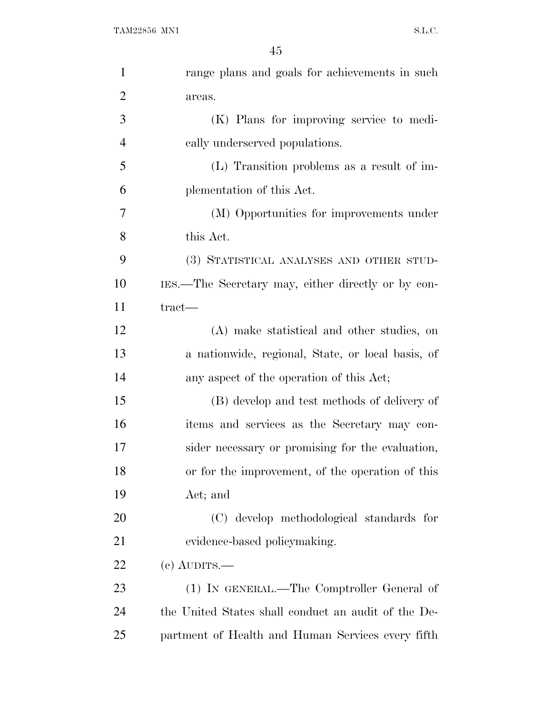| $\mathbf{1}$   | range plans and goals for achievements in such      |
|----------------|-----------------------------------------------------|
| $\overline{2}$ | areas.                                              |
| 3              | (K) Plans for improving service to medi-            |
| 4              | cally underserved populations.                      |
| 5              | (L) Transition problems as a result of im-          |
| 6              | plementation of this Act.                           |
| 7              | (M) Opportunities for improvements under            |
| 8              | this Act.                                           |
| 9              | (3) STATISTICAL ANALYSES AND OTHER STUD-            |
| 10             | IES.—The Secretary may, either directly or by con-  |
| 11             | tract—                                              |
| 12             | (A) make statistical and other studies, on          |
| 13             | a nationwide, regional, State, or local basis, of   |
| 14             | any aspect of the operation of this Act;            |
| 15             | (B) develop and test methods of delivery of         |
| 16             | items and services as the Secretary may con-        |
| 17             | sider necessary or promising for the evaluation,    |
| 18             | or for the improvement, of the operation of this    |
| 19             | Act; and                                            |
| 20             | (C) develop methodological standards for            |
| 21             | evidence-based policymaking.                        |
| 22             | $(e)$ AUDITS.—                                      |
| 23             | (1) IN GENERAL.—The Comptroller General of          |
| 24             | the United States shall conduct an audit of the De- |
| 25             | partment of Health and Human Services every fifth   |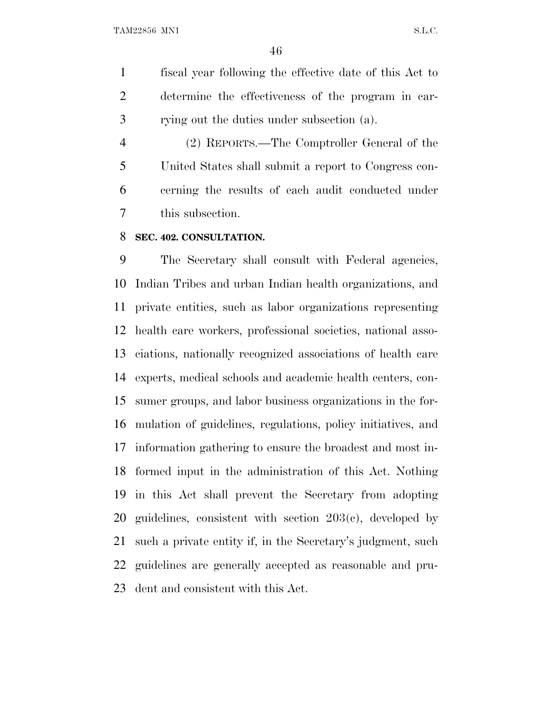fiscal year following the effective date of this Act to determine the effectiveness of the program in car-rying out the duties under subsection (a).

 (2) REPORTS.—The Comptroller General of the United States shall submit a report to Congress con- cerning the results of each audit conducted under this subsection.

#### **SEC. 402. CONSULTATION.**

 The Secretary shall consult with Federal agencies, Indian Tribes and urban Indian health organizations, and private entities, such as labor organizations representing health care workers, professional societies, national asso- ciations, nationally recognized associations of health care experts, medical schools and academic health centers, con- sumer groups, and labor business organizations in the for- mulation of guidelines, regulations, policy initiatives, and information gathering to ensure the broadest and most in- formed input in the administration of this Act. Nothing in this Act shall prevent the Secretary from adopting guidelines, consistent with section 203(c), developed by such a private entity if, in the Secretary's judgment, such guidelines are generally accepted as reasonable and pru-dent and consistent with this Act.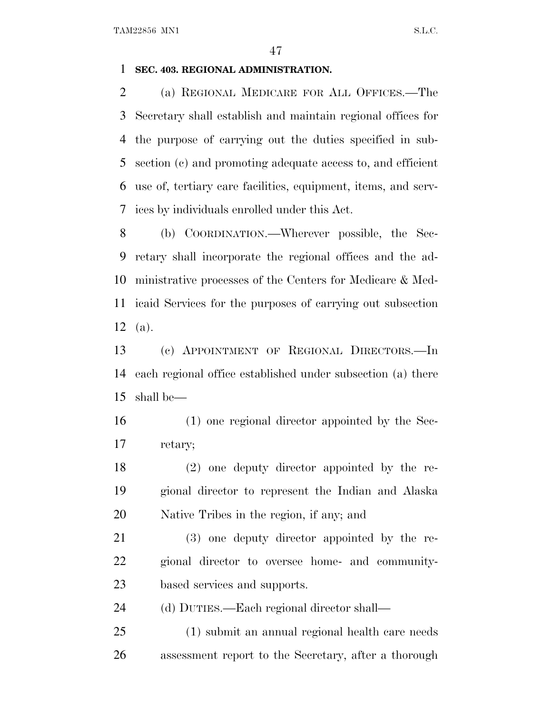#### **SEC. 403. REGIONAL ADMINISTRATION.**

 (a) REGIONAL MEDICARE FOR ALL OFFICES.—The Secretary shall establish and maintain regional offices for the purpose of carrying out the duties specified in sub- section (c) and promoting adequate access to, and efficient use of, tertiary care facilities, equipment, items, and serv-ices by individuals enrolled under this Act.

 (b) COORDINATION.—Wherever possible, the Sec- retary shall incorporate the regional offices and the ad- ministrative processes of the Centers for Medicare & Med- icaid Services for the purposes of carrying out subsection (a).

 (c) APPOINTMENT OF REGIONAL DIRECTORS.—In each regional office established under subsection (a) there shall be—

 (1) one regional director appointed by the Sec-retary;

 (2) one deputy director appointed by the re- gional director to represent the Indian and Alaska Native Tribes in the region, if any; and

 (3) one deputy director appointed by the re- gional director to oversee home- and community-based services and supports.

(d) DUTIES.—Each regional director shall—

 (1) submit an annual regional health care needs assessment report to the Secretary, after a thorough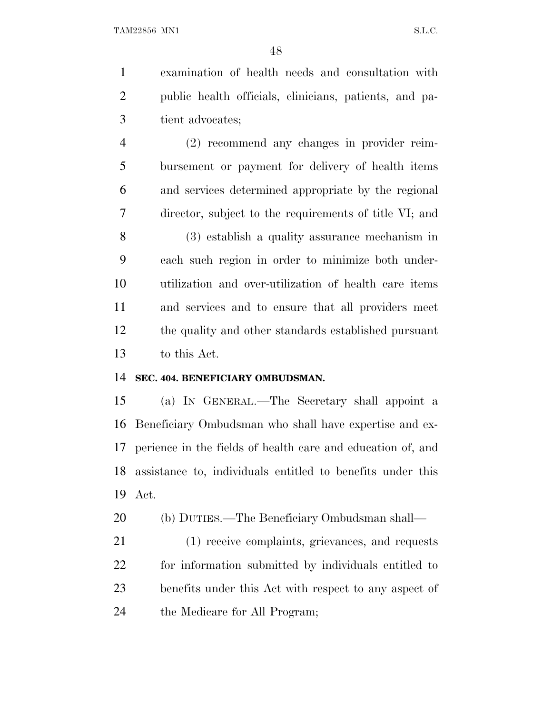examination of health needs and consultation with public health officials, clinicians, patients, and pa-tient advocates;

 (2) recommend any changes in provider reim- bursement or payment for delivery of health items and services determined appropriate by the regional director, subject to the requirements of title VI; and

 (3) establish a quality assurance mechanism in each such region in order to minimize both under- utilization and over-utilization of health care items and services and to ensure that all providers meet the quality and other standards established pursuant to this Act.

#### **SEC. 404. BENEFICIARY OMBUDSMAN.**

 (a) I<sup>N</sup> GENERAL.—The Secretary shall appoint a Beneficiary Ombudsman who shall have expertise and ex- perience in the fields of health care and education of, and assistance to, individuals entitled to benefits under this Act.

(b) DUTIES.—The Beneficiary Ombudsman shall—

 (1) receive complaints, grievances, and requests for information submitted by individuals entitled to benefits under this Act with respect to any aspect of the Medicare for All Program;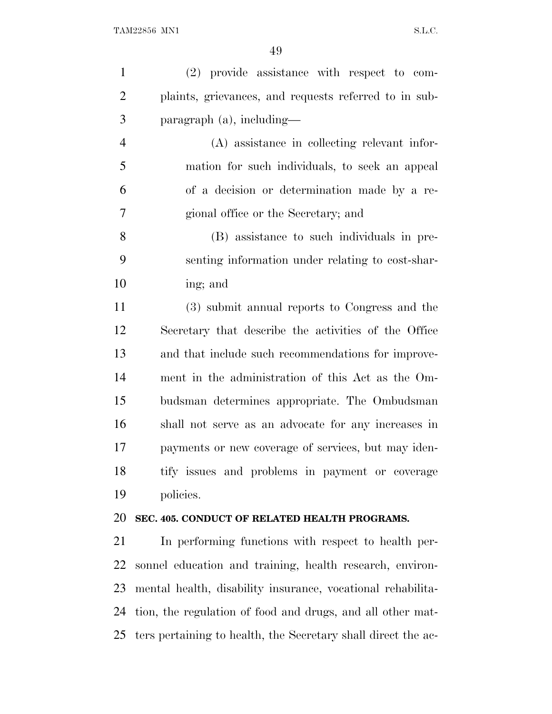| $\mathbf{1}$   | (2) provide assistance with respect to com-                   |
|----------------|---------------------------------------------------------------|
| $\overline{2}$ | plaints, grievances, and requests referred to in sub-         |
| 3              | $\frac{1}{2}$ paragraph (a), including—                       |
| $\overline{4}$ | (A) assistance in collecting relevant infor-                  |
| 5              | mation for such individuals, to seek an appeal                |
| 6              | of a decision or determination made by a re-                  |
| 7              | gional office or the Secretary; and                           |
| 8              | (B) assistance to such individuals in pre-                    |
| 9              | senting information under relating to cost-shar-              |
| 10             | ing; and                                                      |
| 11             | (3) submit annual reports to Congress and the                 |
| 12             | Secretary that describe the activities of the Office          |
| 13             | and that include such recommendations for improve-            |
| 14             | ment in the administration of this Act as the Om-             |
| 15             | budsman determines appropriate. The Ombudsman                 |
| 16             | shall not serve as an advocate for any increases in           |
| 17             | payments or new coverage of services, but may iden-           |
| 18             | tify issues and problems in payment or coverage               |
| 19             | policies.                                                     |
| 20             | SEC. 405. CONDUCT OF RELATED HEALTH PROGRAMS.                 |
| 21             | In performing functions with respect to health per-           |
| 22             | sonnel education and training, health research, environ-      |
| 23             | mental health, disability insurance, vocational rehabilita-   |
| 24             | tion, the regulation of food and drugs, and all other mat-    |
| 25             | ters pertaining to health, the Secretary shall direct the ac- |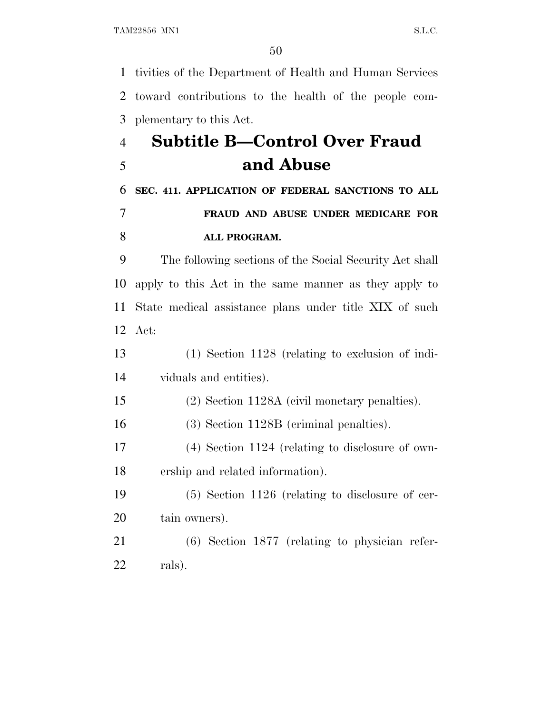tivities of the Department of Health and Human Services toward contributions to the health of the people com-plementary to this Act.

# **Subtitle B—Control Over Fraud and Abuse**

### **SEC. 411. APPLICATION OF FEDERAL SANCTIONS TO ALL FRAUD AND ABUSE UNDER MEDICARE FOR ALL PROGRAM.**

 The following sections of the Social Security Act shall apply to this Act in the same manner as they apply to State medical assistance plans under title XIX of such Act:

 (1) Section 1128 (relating to exclusion of indi-viduals and entities).

(2) Section 1128A (civil monetary penalties).

(3) Section 1128B (criminal penalties).

 (4) Section 1124 (relating to disclosure of own-ership and related information).

 (5) Section 1126 (relating to disclosure of cer-tain owners).

 (6) Section 1877 (relating to physician refer-rals).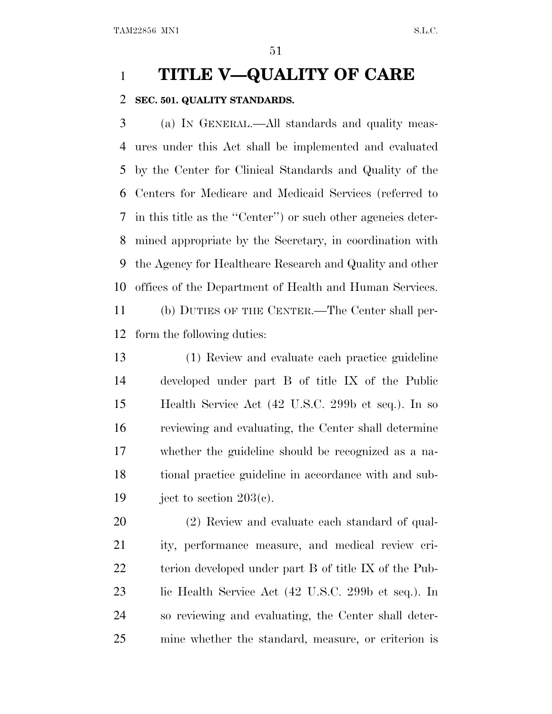### **TITLE V—QUALITY OF CARE**

#### **SEC. 501. QUALITY STANDARDS.**

 (a) I<sup>N</sup> GENERAL.—All standards and quality meas- ures under this Act shall be implemented and evaluated by the Center for Clinical Standards and Quality of the Centers for Medicare and Medicaid Services (referred to in this title as the ''Center'') or such other agencies deter- mined appropriate by the Secretary, in coordination with the Agency for Healthcare Research and Quality and other offices of the Department of Health and Human Services. (b) DUTIES OF THE CENTER.—The Center shall per-form the following duties:

 (1) Review and evaluate each practice guideline developed under part B of title IX of the Public Health Service Act (42 U.S.C. 299b et seq.). In so reviewing and evaluating, the Center shall determine whether the guideline should be recognized as a na- tional practice guideline in accordance with and sub-19 ject to section  $203(e)$ .

 (2) Review and evaluate each standard of qual- ity, performance measure, and medical review cri- terion developed under part B of title IX of the Pub- lic Health Service Act (42 U.S.C. 299b et seq.). In so reviewing and evaluating, the Center shall deter-mine whether the standard, measure, or criterion is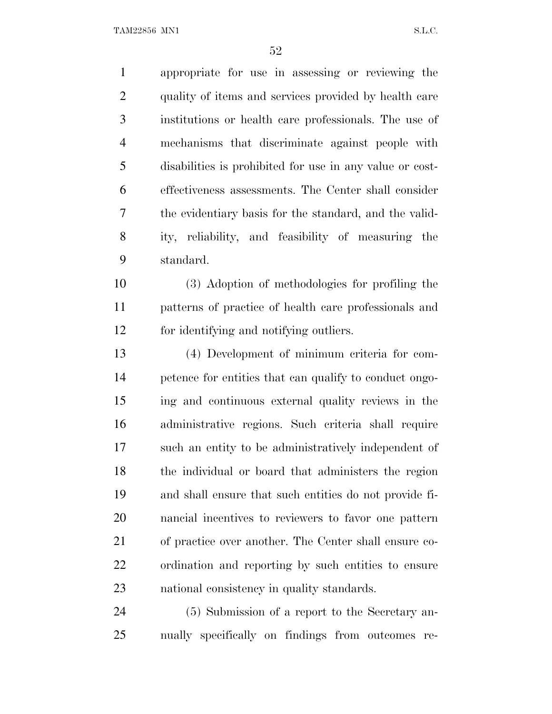TAM22856 MN1 S.L.C.

 appropriate for use in assessing or reviewing the quality of items and services provided by health care institutions or health care professionals. The use of mechanisms that discriminate against people with disabilities is prohibited for use in any value or cost- effectiveness assessments. The Center shall consider the evidentiary basis for the standard, and the valid- ity, reliability, and feasibility of measuring the standard. (3) Adoption of methodologies for profiling the patterns of practice of health care professionals and for identifying and notifying outliers. (4) Development of minimum criteria for com- petence for entities that can qualify to conduct ongo-ing and continuous external quality reviews in the

 administrative regions. Such criteria shall require such an entity to be administratively independent of the individual or board that administers the region and shall ensure that such entities do not provide fi- nancial incentives to reviewers to favor one pattern of practice over another. The Center shall ensure co- ordination and reporting by such entities to ensure national consistency in quality standards.

 (5) Submission of a report to the Secretary an-nually specifically on findings from outcomes re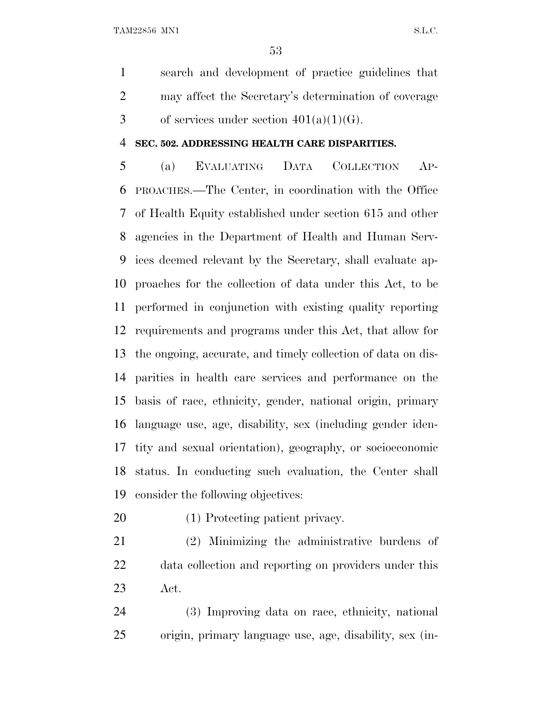TAM22856 MN1 S.L.C.

 search and development of practice guidelines that may affect the Secretary's determination of coverage 3 of services under section  $401(a)(1)(G)$ .

#### **SEC. 502. ADDRESSING HEALTH CARE DISPARITIES.**

 (a) EVALUATING DATA COLLECTION AP- PROACHES.—The Center, in coordination with the Office of Health Equity established under section 615 and other agencies in the Department of Health and Human Serv- ices deemed relevant by the Secretary, shall evaluate ap- proaches for the collection of data under this Act, to be performed in conjunction with existing quality reporting requirements and programs under this Act, that allow for the ongoing, accurate, and timely collection of data on dis- parities in health care services and performance on the basis of race, ethnicity, gender, national origin, primary language use, age, disability, sex (including gender iden- tity and sexual orientation), geography, or socioeconomic status. In conducting such evaluation, the Center shall consider the following objectives:

- (1) Protecting patient privacy.
- (2) Minimizing the administrative burdens of data collection and reporting on providers under this Act.

 (3) Improving data on race, ethnicity, national origin, primary language use, age, disability, sex (in-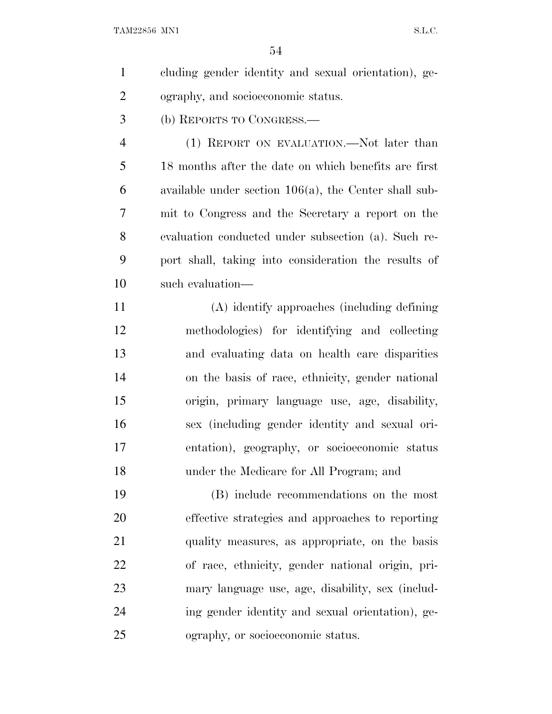| $\mathbf{1}$   | cluding gender identity and sexual orientation), ge-     |
|----------------|----------------------------------------------------------|
| $\overline{2}$ | ography, and socioeconomic status.                       |
| 3              | (b) REPORTS TO CONGRESS.—                                |
| $\overline{4}$ | (1) REPORT ON EVALUATION.—Not later than                 |
| 5              | 18 months after the date on which benefits are first     |
| 6              | available under section $106(a)$ , the Center shall sub- |
| 7              | mit to Congress and the Secretary a report on the        |
| 8              | evaluation conducted under subsection (a). Such re-      |
| 9              | port shall, taking into consideration the results of     |
| 10             | such evaluation—                                         |
| 11             | (A) identify approaches (including defining              |
| 12             | methodologies) for identifying and collecting            |
| 13             | and evaluating data on health care disparities           |
| 14             | on the basis of race, ethnicity, gender national         |
| 15             | origin, primary language use, age, disability,           |
| 16             | sex (including gender identity and sexual ori-           |
| 17             | entation), geography, or socioeconomic status            |
| 18             | under the Medicare for All Program; and                  |
| 19             | (B) include recommendations on the most                  |
| 20             | effective strategies and approaches to reporting         |
| 21             | quality measures, as appropriate, on the basis           |
| 22             | of race, ethnicity, gender national origin, pri-         |

mary language use, age, disability, sex (includ-

ing gender identity and sexual orientation), ge-

ography, or socioeconomic status.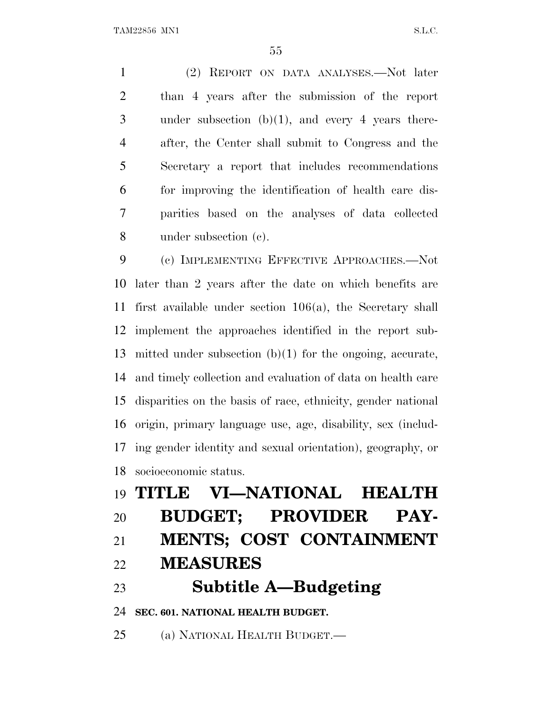(2) REPORT ON DATA ANALYSES.—Not later than 4 years after the submission of the report under subsection (b)(1), and every 4 years there- after, the Center shall submit to Congress and the Secretary a report that includes recommendations for improving the identification of health care dis- parities based on the analyses of data collected under subsection (c).

 (c) IMPLEMENTING EFFECTIVE APPROACHES.—Not later than 2 years after the date on which benefits are first available under section 106(a), the Secretary shall implement the approaches identified in the report sub- mitted under subsection (b)(1) for the ongoing, accurate, and timely collection and evaluation of data on health care disparities on the basis of race, ethnicity, gender national origin, primary language use, age, disability, sex (includ- ing gender identity and sexual orientation), geography, or socioeconomic status.

# **TITLE VI—NATIONAL HEALTH BUDGET; PROVIDER PAY- MENTS; COST CONTAINMENT MEASURES Subtitle A—Budgeting SEC. 601. NATIONAL HEALTH BUDGET.** (a) NATIONAL HEALTH BUDGET.—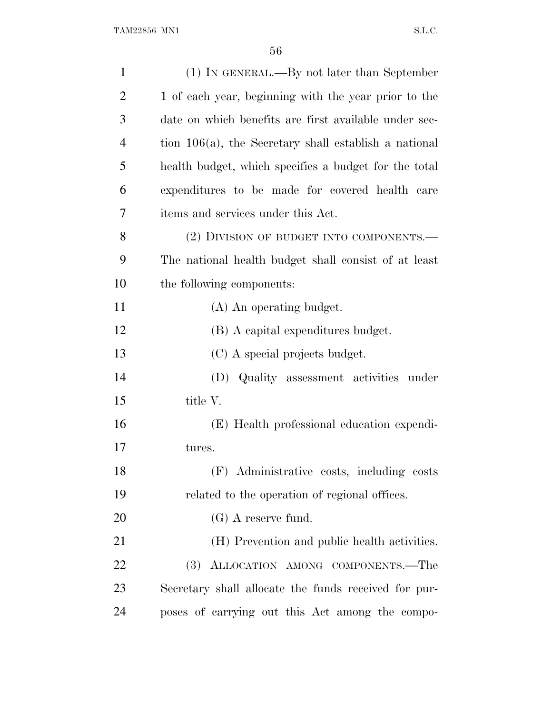| $\mathbf{1}$   | (1) IN GENERAL.—By not later than September              |
|----------------|----------------------------------------------------------|
| $\overline{2}$ | 1 of each year, beginning with the year prior to the     |
| 3              | date on which benefits are first available under sec-    |
| $\overline{4}$ | tion $106(a)$ , the Secretary shall establish a national |
| 5              | health budget, which specifies a budget for the total    |
| 6              | expenditures to be made for covered health care          |
| 7              | items and services under this Act.                       |
| 8              | (2) DIVISION OF BUDGET INTO COMPONENTS.—                 |
| 9              | The national health budget shall consist of at least     |
| 10             | the following components:                                |
| 11             | (A) An operating budget.                                 |
| 12             | (B) A capital expenditures budget.                       |
| 13             | (C) A special projects budget.                           |
| 14             | Quality assessment activities under<br>(D)               |
| 15             | title V.                                                 |
| 16             | (E) Health professional education expendi-               |
| 17             | tures.                                                   |
| 18             | (F) Administrative costs, including costs                |
| 19             | related to the operation of regional offices.            |
| 20             | $(G)$ A reserve fund.                                    |
| 21             | (H) Prevention and public health activities.             |
| 22             | (3) ALLOCATION AMONG COMPONENTS.-The                     |
| 23             | Secretary shall allocate the funds received for pur-     |
| 24             | poses of carrying out this Act among the compo-          |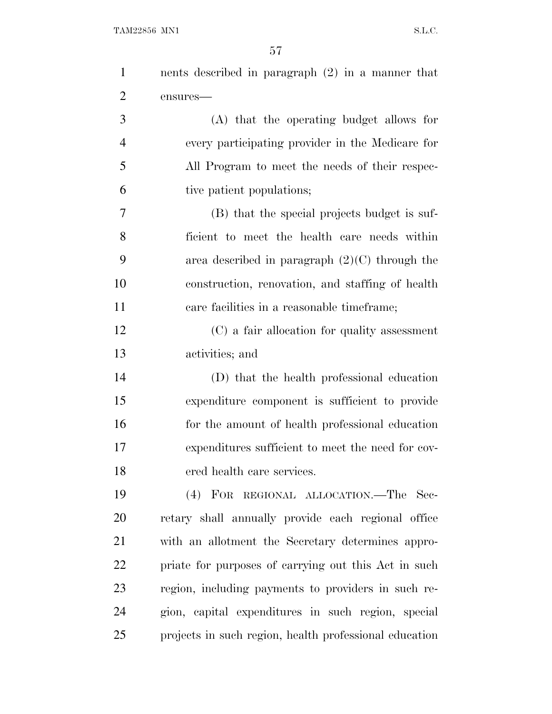| $\mathbf{1}$   | nents described in paragraph $(2)$ in a manner that    |
|----------------|--------------------------------------------------------|
| $\overline{2}$ | ensures-                                               |
| 3              | (A) that the operating budget allows for               |
| $\overline{4}$ | every participating provider in the Medicare for       |
| 5              | All Program to meet the needs of their respec-         |
| 6              | tive patient populations;                              |
| 7              | (B) that the special projects budget is suf-           |
| 8              | ficient to meet the health care needs within           |
| 9              | area described in paragraph $(2)(C)$ through the       |
| 10             | construction, renovation, and staffing of health       |
| 11             | care facilities in a reasonable time frame;            |
| 12             | (C) a fair allocation for quality assessment           |
| 13             | activities; and                                        |
| 14             | (D) that the health professional education             |
| 15             | expenditure component is sufficient to provide         |
| 16             | for the amount of health professional education        |
| 17             | expenditures sufficient to meet the need for cov-      |
| 18             | ered health care services.                             |
| 19             | (4) FOR REGIONAL ALLOCATION.—The Sec-                  |
| 20             | retary shall annually provide each regional office     |
| 21             | with an allotment the Secretary determines appro-      |
| 22             | priate for purposes of carrying out this Act in such   |
| 23             | region, including payments to providers in such re-    |
| 24             | gion, capital expenditures in such region, special     |
| 25             | projects in such region, health professional education |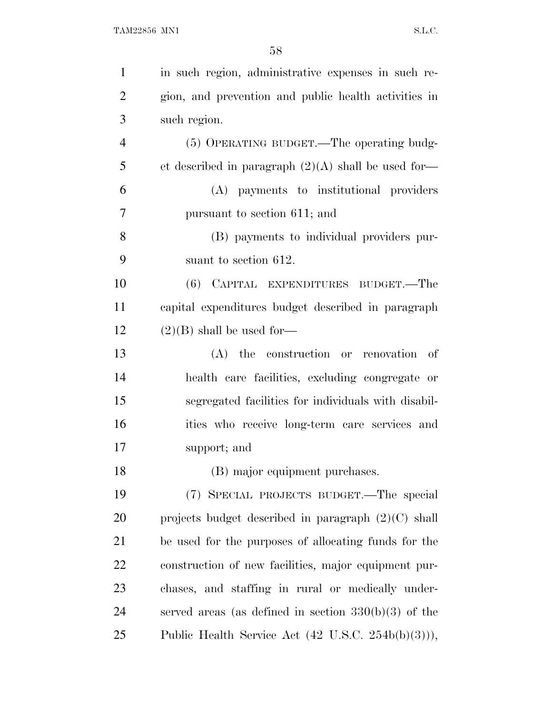| $\mathbf{1}$   | in such region, administrative expenses in such re-           |
|----------------|---------------------------------------------------------------|
| $\overline{2}$ | gion, and prevention and public health activities in          |
| 3              | such region.                                                  |
| $\overline{4}$ | (5) OPERATING BUDGET.—The operating budg-                     |
| 5              | et described in paragraph $(2)(A)$ shall be used for-         |
| 6              | (A) payments to institutional providers                       |
| 7              | pursuant to section 611; and                                  |
| 8              | (B) payments to individual providers pur-                     |
| 9              | suant to section 612.                                         |
| 10             | (6) CAPITAL EXPENDITURES BUDGET.—The                          |
| 11             | capital expenditures budget described in paragraph            |
| 12             | $(2)(B)$ shall be used for-                                   |
| 13             | (A) the construction or renovation<br>- of                    |
| 14             | health care facilities, excluding congregate or               |
| 15             | segregated facilities for individuals with disabil-           |
| 16             | ities who receive long-term care services and                 |
| 17             | support; and                                                  |
| 18             | (B) major equipment purchases.                                |
| 19             | (7) SPECIAL PROJECTS BUDGET.—The special                      |
| 20             | projects budget described in paragraph $(2)(C)$ shall         |
| 21             | be used for the purposes of allocating funds for the          |
| <u>22</u>      | construction of new facilities, major equipment pur-          |
| 23             | chases, and staffing in rural or medically under-             |
| 24             | served areas (as defined in section $330(b)(3)$ of the        |
| 25             | Public Health Service Act $(42 \text{ U.S.C. } 254b(b)(3))),$ |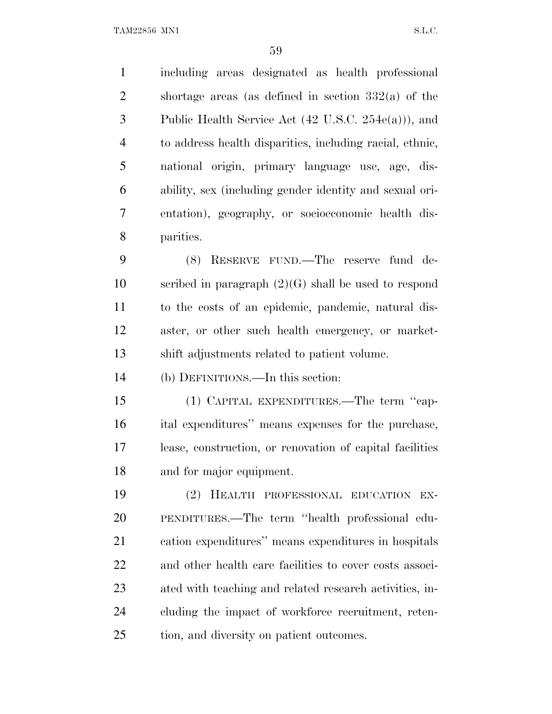TAM22856 MN1 S.L.C.

 including areas designated as health professional shortage areas (as defined in section 332(a) of the Public Health Service Act (42 U.S.C. 254e(a))), and to address health disparities, including racial, ethnic, national origin, primary language use, age, dis- ability, sex (including gender identity and sexual ori- entation), geography, or socioeconomic health dis-parities.

 (8) RESERVE FUND.—The reserve fund de-10 scribed in paragraph  $(2)(G)$  shall be used to respond to the costs of an epidemic, pandemic, natural dis- aster, or other such health emergency, or market-shift adjustments related to patient volume.

(b) DEFINITIONS.—In this section:

 (1) CAPITAL EXPENDITURES.—The term ''cap- ital expenditures'' means expenses for the purchase, lease, construction, or renovation of capital facilities and for major equipment.

 (2) HEALTH PROFESSIONAL EDUCATION EX- PENDITURES.—The term ''health professional edu- cation expenditures'' means expenditures in hospitals and other health care facilities to cover costs associ- ated with teaching and related research activities, in- cluding the impact of workforce recruitment, reten-tion, and diversity on patient outcomes.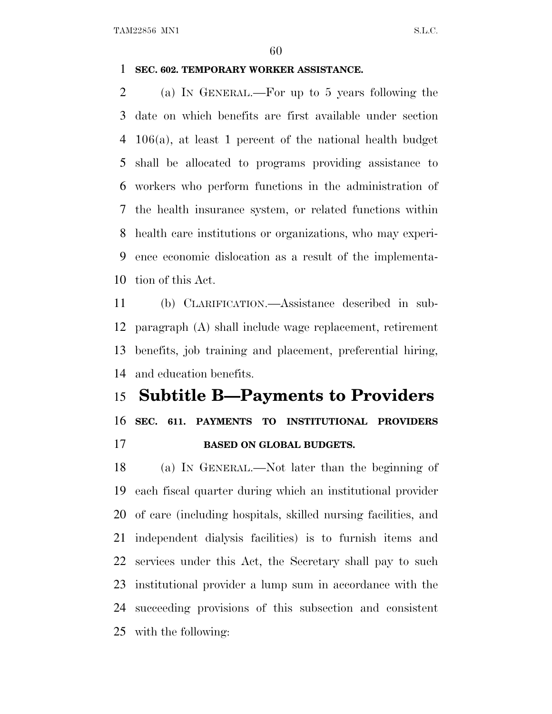#### **SEC. 602. TEMPORARY WORKER ASSISTANCE.**

 (a) I<sup>N</sup> GENERAL.—For up to 5 years following the date on which benefits are first available under section 106(a), at least 1 percent of the national health budget shall be allocated to programs providing assistance to workers who perform functions in the administration of the health insurance system, or related functions within health care institutions or organizations, who may experi- ence economic dislocation as a result of the implementa-tion of this Act.

 (b) CLARIFICATION.—Assistance described in sub- paragraph (A) shall include wage replacement, retirement benefits, job training and placement, preferential hiring, and education benefits.

## **Subtitle B—Payments to Providers SEC. 611. PAYMENTS TO INSTITUTIONAL PROVIDERS BASED ON GLOBAL BUDGETS.**

 (a) I<sup>N</sup> GENERAL.—Not later than the beginning of each fiscal quarter during which an institutional provider of care (including hospitals, skilled nursing facilities, and independent dialysis facilities) is to furnish items and services under this Act, the Secretary shall pay to such institutional provider a lump sum in accordance with the succeeding provisions of this subsection and consistent with the following: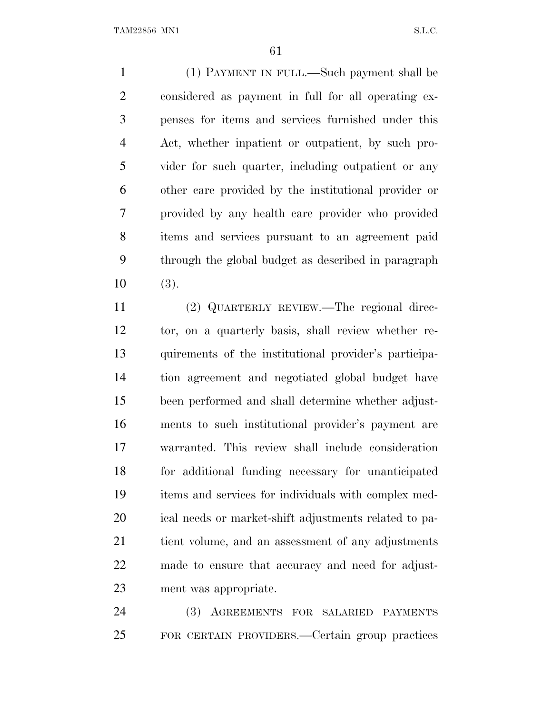(1) PAYMENT IN FULL.—Such payment shall be considered as payment in full for all operating ex- penses for items and services furnished under this Act, whether inpatient or outpatient, by such pro- vider for such quarter, including outpatient or any other care provided by the institutional provider or provided by any health care provider who provided items and services pursuant to an agreement paid through the global budget as described in paragraph (3).

 (2) QUARTERLY REVIEW.—The regional direc- tor, on a quarterly basis, shall review whether re- quirements of the institutional provider's participa- tion agreement and negotiated global budget have been performed and shall determine whether adjust- ments to such institutional provider's payment are warranted. This review shall include consideration for additional funding necessary for unanticipated items and services for individuals with complex med- ical needs or market-shift adjustments related to pa- tient volume, and an assessment of any adjustments made to ensure that accuracy and need for adjust-ment was appropriate.

 (3) AGREEMENTS FOR SALARIED PAYMENTS FOR CERTAIN PROVIDERS.—Certain group practices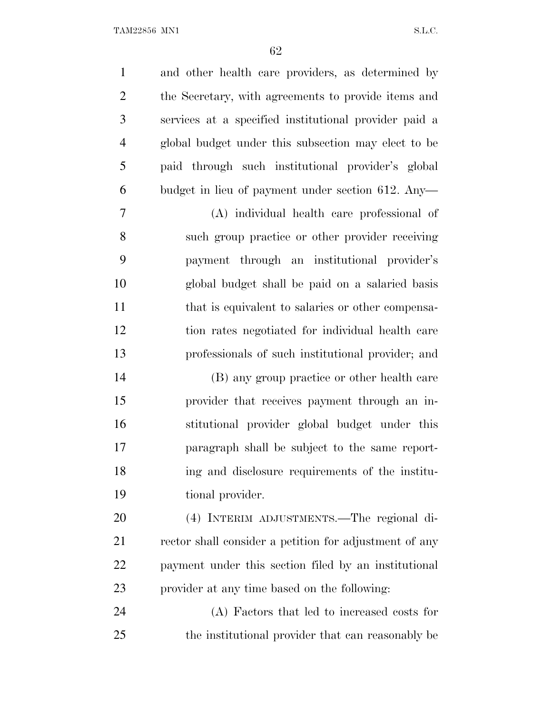and other health care providers, as determined by the Secretary, with agreements to provide items and services at a specified institutional provider paid a global budget under this subsection may elect to be paid through such institutional provider's global budget in lieu of payment under section 612. Any— (A) individual health care professional of such group practice or other provider receiving payment through an institutional provider's global budget shall be paid on a salaried basis 11 that is equivalent to salaries or other compensa- tion rates negotiated for individual health care professionals of such institutional provider; and (B) any group practice or other health care provider that receives payment through an in- stitutional provider global budget under this paragraph shall be subject to the same report- ing and disclosure requirements of the institu- tional provider. (4) INTERIM ADJUSTMENTS.—The regional di-21 rector shall consider a petition for adjustment of any payment under this section filed by an institutional provider at any time based on the following: (A) Factors that led to increased costs for the institutional provider that can reasonably be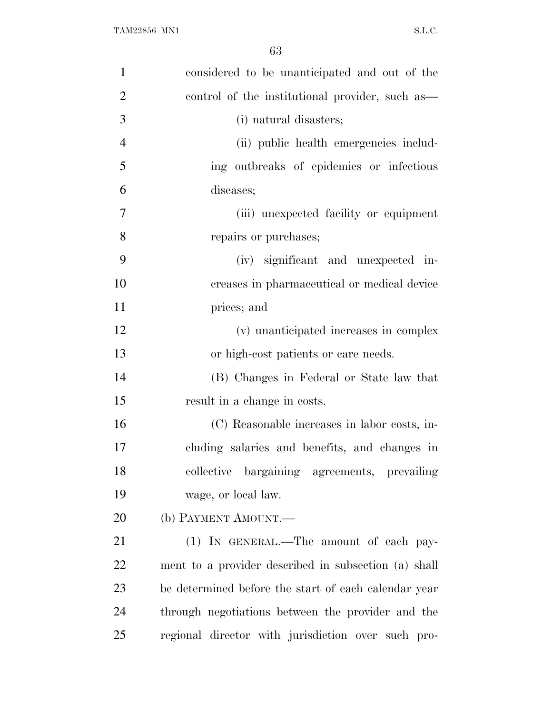| $\mathbf{1}$   | considered to be unanticipated and out of the        |
|----------------|------------------------------------------------------|
| $\overline{2}$ | control of the institutional provider, such as—      |
| 3              | (i) natural disasters;                               |
| $\overline{4}$ | (ii) public health emergencies includ-               |
| 5              | ing outbreaks of epidemics or infectious             |
| 6              | diseases;                                            |
| 7              | (iii) unexpected facility or equipment               |
| 8              | repairs or purchases;                                |
| 9              | (iv) significant and unexpected in-                  |
| 10             | creases in pharmaceutical or medical device          |
| 11             | prices; and                                          |
| 12             | (v) unanticipated increases in complex               |
| 13             | or high-cost patients or care needs.                 |
| 14             | (B) Changes in Federal or State law that             |
| 15             | result in a change in costs.                         |
| 16             | (C) Reasonable increases in labor costs, in-         |
| 17             | cluding salaries and benefits, and changes in        |
| 18             | collective bargaining agreements, prevailing         |
| 19             | wage, or local law.                                  |
| 20             | (b) PAYMENT AMOUNT.—                                 |
| 21             | (1) IN GENERAL.—The amount of each pay-              |
| 22             | ment to a provider described in subsection (a) shall |
| 23             | be determined before the start of each calendar year |
| 24             | through negotiations between the provider and the    |
| 25             | regional director with jurisdiction over such pro-   |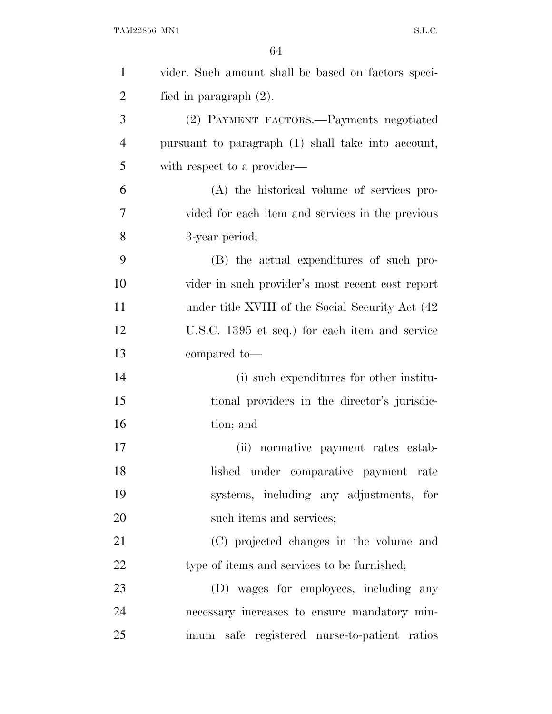| $\mathbf{1}$   | vider. Such amount shall be based on factors speci- |
|----------------|-----------------------------------------------------|
| $\overline{2}$ | fied in paragraph $(2)$ .                           |
| 3              | (2) PAYMENT FACTORS.—Payments negotiated            |
| $\overline{4}$ | pursuant to paragraph (1) shall take into account,  |
| 5              | with respect to a provider—                         |
| 6              | (A) the historical volume of services pro-          |
| 7              | vided for each item and services in the previous    |
| 8              | 3-year period;                                      |
| 9              | (B) the actual expenditures of such pro-            |
| 10             | vider in such provider's most recent cost report    |
| 11             | under title XVIII of the Social Security Act (42)   |
| 12             | U.S.C. 1395 et seq.) for each item and service      |
| 13             | compared to-                                        |
| 14             | (i) such expenditures for other institu-            |
| 15             | tional providers in the director's jurisdic-        |
| 16             | tion; and                                           |
| 17             | (ii) normative payment rates estab-                 |
| 18             | lished under comparative payment rate               |
| 19             | systems, including any adjustments, for             |
| 20             | such items and services;                            |
| 21             | (C) projected changes in the volume and             |
| 22             | type of items and services to be furnished;         |
| 23             | (D) wages for employees, including any              |
| 24             | necessary increases to ensure mandatory min-        |
| 25             | imum safe registered nurse-to-patient ratios        |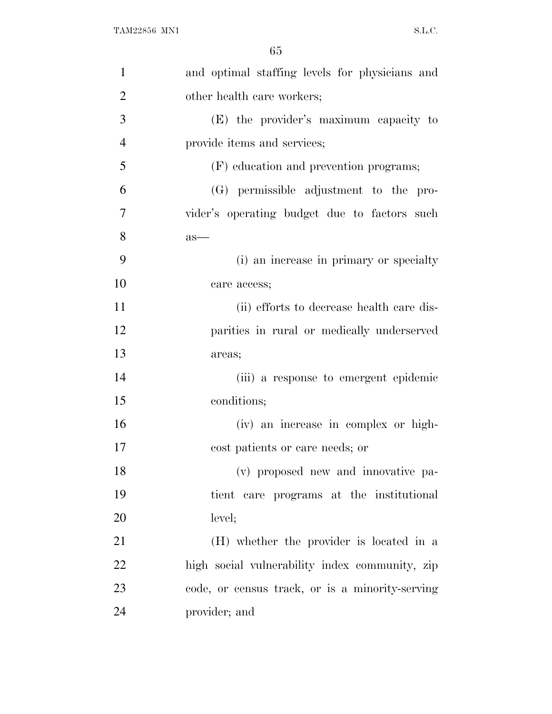| $\mathbf{1}$   | and optimal staffing levels for physicians and  |
|----------------|-------------------------------------------------|
| $\overline{2}$ | other health care workers;                      |
| 3              | (E) the provider's maximum capacity to          |
| $\overline{4}$ | provide items and services;                     |
| 5              | (F) education and prevention programs;          |
| 6              | (G) permissible adjustment to the pro-          |
| 7              | vider's operating budget due to factors such    |
| 8              | $as-$                                           |
| 9              | (i) an increase in primary or specialty         |
| 10             | care access;                                    |
| 11             | (ii) efforts to decrease health care dis-       |
| 12             | parities in rural or medically underserved      |
| 13             | areas;                                          |
| 14             | (iii) a response to emergent epidemic           |
| 15             | conditions;                                     |
| 16             | (iv) an increase in complex or high-            |
| 17             | cost patients or care needs; or                 |
| 18             | (v) proposed new and innovative pa-             |
| 19             | tient care programs at the institutional        |
| 20             | level;                                          |
| 21             | (H) whether the provider is located in a        |
| 22             | high social vulnerability index community, zip  |
| 23             | code, or census track, or is a minority-serving |
| 24             | provider; and                                   |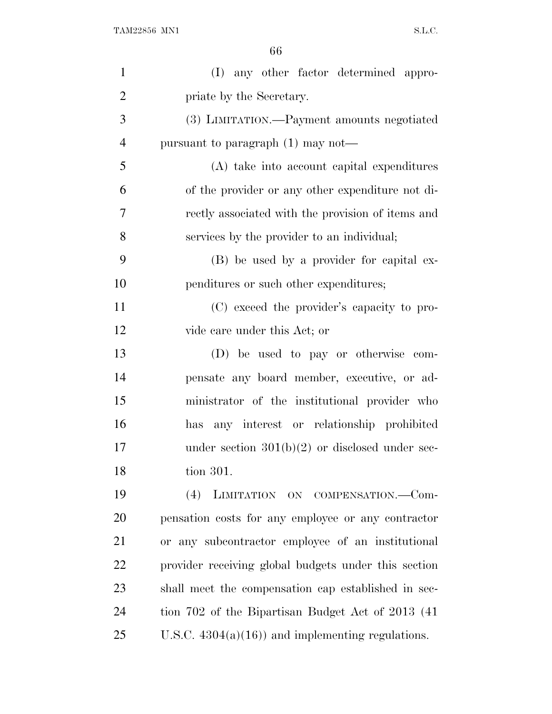| $\mathbf{1}$   | (I) any other factor determined appro-               |
|----------------|------------------------------------------------------|
| $\overline{2}$ | priate by the Secretary.                             |
| 3              | (3) LIMITATION.—Payment amounts negotiated           |
| $\overline{4}$ | pursuant to paragraph $(1)$ may not—                 |
| 5              | (A) take into account capital expenditures           |
| 6              | of the provider or any other expenditure not di-     |
| 7              | rectly associated with the provision of items and    |
| 8              | services by the provider to an individual;           |
| 9              | (B) be used by a provider for capital ex-            |
| 10             | penditures or such other expenditures;               |
| 11             | (C) exceed the provider's capacity to pro-           |
| 12             | vide care under this Act; or                         |
| 13             | (D) be used to pay or otherwise com-                 |
| 14             | pensate any board member, executive, or ad-          |
| 15             | ministrator of the institutional provider who        |
| 16             | any interest or relationship prohibited<br>has       |
| 17             | under section $301(b)(2)$ or disclosed under sec-    |
| 18             | tion 301.                                            |
| 19             | LIMITATION ON COMPENSATION.-Com-<br>(4)              |
| 20             | pensation costs for any employee or any contractor   |
| 21             | or any subcontractor employee of an institutional    |
| 22             | provider receiving global budgets under this section |
| 23             | shall meet the compensation cap established in sec-  |
| 24             | tion 702 of the Bipartisan Budget Act of 2013 (41)   |
| 25             | U.S.C. $4304(a)(16)$ and implementing regulations.   |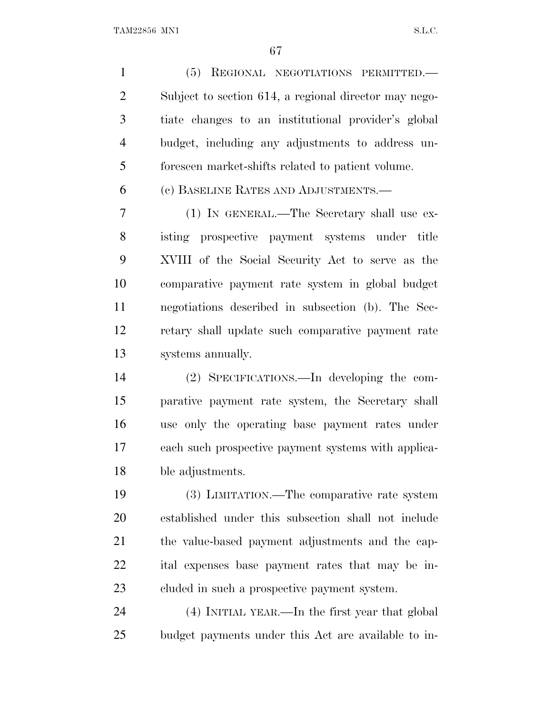(5) REGIONAL NEGOTIATIONS PERMITTED.— Subject to section 614, a regional director may nego- tiate changes to an institutional provider's global budget, including any adjustments to address un-foreseen market-shifts related to patient volume.

(c) BASELINE RATES AND ADJUSTMENTS.—

 (1) IN GENERAL.—The Secretary shall use ex- isting prospective payment systems under title XVIII of the Social Security Act to serve as the comparative payment rate system in global budget negotiations described in subsection (b). The Sec- retary shall update such comparative payment rate systems annually.

 (2) SPECIFICATIONS.—In developing the com- parative payment rate system, the Secretary shall use only the operating base payment rates under each such prospective payment systems with applica-ble adjustments.

 (3) LIMITATION.—The comparative rate system established under this subsection shall not include the value-based payment adjustments and the cap- ital expenses base payment rates that may be in-cluded in such a prospective payment system.

 (4) INITIAL YEAR.—In the first year that global budget payments under this Act are available to in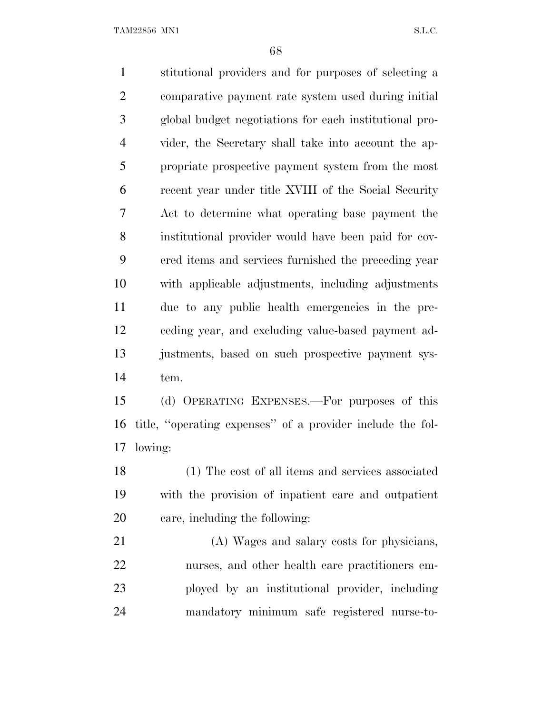TAM22856 MN1 S.L.C.

 stitutional providers and for purposes of selecting a comparative payment rate system used during initial global budget negotiations for each institutional pro- vider, the Secretary shall take into account the ap- propriate prospective payment system from the most recent year under title XVIII of the Social Security Act to determine what operating base payment the institutional provider would have been paid for cov- ered items and services furnished the preceding year with applicable adjustments, including adjustments due to any public health emergencies in the pre- ceding year, and excluding value-based payment ad- justments, based on such prospective payment sys- tem. (d) OPERATING EXPENSES.—For purposes of this title, ''operating expenses'' of a provider include the fol- lowing: (1) The cost of all items and services associated with the provision of inpatient care and outpatient care, including the following: (A) Wages and salary costs for physicians, nurses, and other health care practitioners em- ployed by an institutional provider, including mandatory minimum safe registered nurse-to-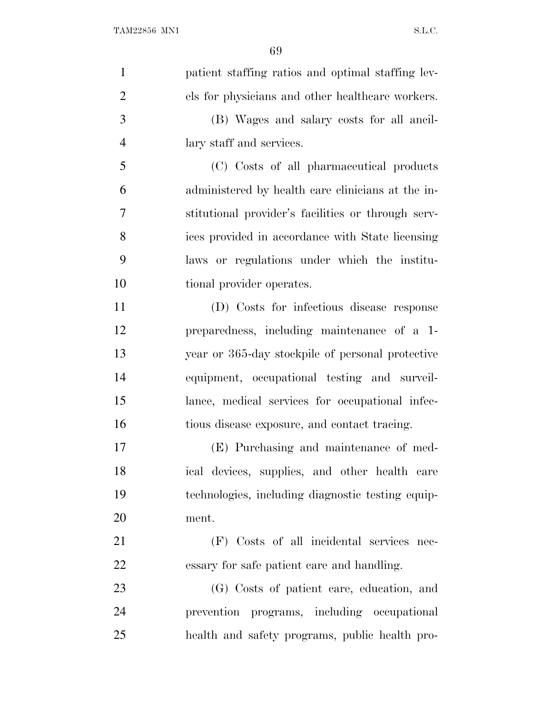| $\mathbf{1}$   | patient staffing ratios and optimal staffing lev-  |
|----------------|----------------------------------------------------|
| $\overline{2}$ | els for physicians and other healthcare workers.   |
| 3              | (B) Wages and salary costs for all ancil-          |
| $\overline{4}$ | lary staff and services.                           |
| 5              | (C) Costs of all pharmaceutical products           |
| 6              | administered by health care clinicians at the in-  |
| 7              | stitutional provider's facilities or through serv- |
| 8              | ices provided in accordance with State licensing   |
| 9              | laws or regulations under which the institu-       |
| 10             | tional provider operates.                          |
| 11             | (D) Costs for infectious disease response          |
| 12             | preparedness, including maintenance of a 1-        |
| 13             | year or 365-day stockpile of personal protective   |
| 14             | equipment, occupational testing and surveil-       |
| 15             | lance, medical services for occupational infec-    |
| 16             | tious disease exposure, and contact tracing.       |
| 17             | (E) Purchasing and maintenance of med-             |
| 18             | ical devices, supplies, and other health care      |
| 19             | technologies, including diagnostic testing equip-  |
| 20             | ment.                                              |
| 21             | (F) Costs of all incidental services nec-          |
| 22             | essary for safe patient care and handling.         |
| 23             | (G) Costs of patient care, education, and          |
| 24             | prevention programs, including occupational        |
| 25             | health and safety programs, public health pro-     |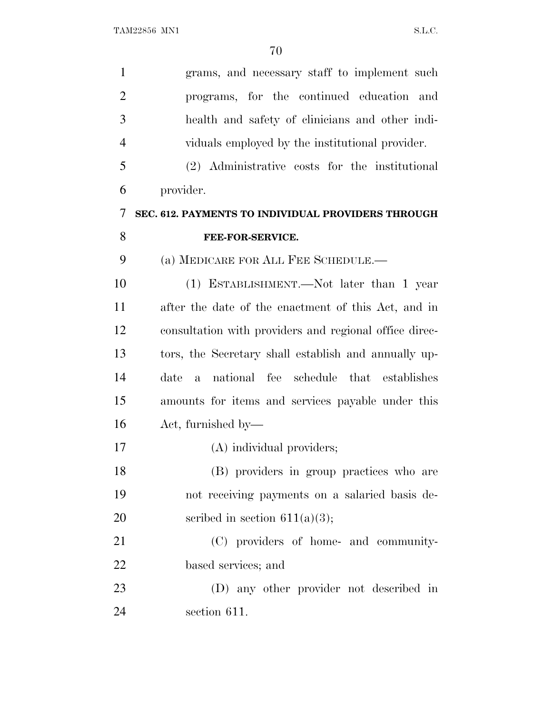| $\mathbf{1}$   | grams, and necessary staff to implement such           |
|----------------|--------------------------------------------------------|
| $\overline{2}$ | programs, for the continued education and              |
| 3              | health and safety of clinicians and other indi-        |
| $\overline{4}$ | viduals employed by the institutional provider.        |
| 5              | (2) Administrative costs for the institutional         |
| 6              | provider.                                              |
| 7              | SEC. 612. PAYMENTS TO INDIVIDUAL PROVIDERS THROUGH     |
| 8              | FEE-FOR-SERVICE.                                       |
| 9              | (a) MEDICARE FOR ALL FEE SCHEDULE.—                    |
| 10             | (1) ESTABLISHMENT.—Not later than 1 year               |
| 11             | after the date of the enactment of this Act, and in    |
| 12             | consultation with providers and regional office direc- |
| 13             | tors, the Secretary shall establish and annually up-   |
| 14             | national fee schedule that establishes<br>date<br>a    |
| 15             | amounts for items and services payable under this      |
| 16             | Act, furnished by—                                     |
| 17             | (A) individual providers;                              |
| 18             | (B) providers in group practices who are               |
| 19             | not receiving payments on a salaried basis de-         |
| 20             | scribed in section $611(a)(3)$ ;                       |
| 21             | (C) providers of home- and community-                  |
| 22             | based services; and                                    |
| 23             | (D) any other provider not described in                |
| 24             | section 611.                                           |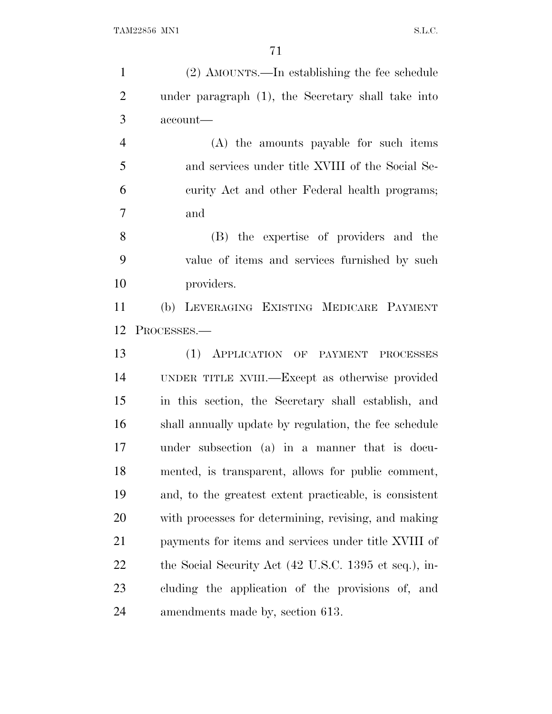| $\mathbf{1}$   | (2) AMOUNTS.—In establishing the fee schedule          |
|----------------|--------------------------------------------------------|
| $\overline{c}$ | under paragraph (1), the Secretary shall take into     |
| 3              | account-                                               |
| $\overline{4}$ | (A) the amounts payable for such items                 |
| 5              | and services under title XVIII of the Social Se-       |
| 6              | curity Act and other Federal health programs;          |
| 7              | and                                                    |
| 8              | (B) the expertise of providers and the                 |
| 9              | value of items and services furnished by such          |
| 10             | providers.                                             |
| 11             | LEVERAGING EXISTING MEDICARE PAYMENT<br>(b)            |
| 12             | PROCESSES.-                                            |
| 13             | (1)<br>APPLICATION OF PAYMENT PROCESSES                |
| 14             | UNDER TITLE XVIII.—Except as otherwise provided        |
| 15             | in this section, the Secretary shall establish, and    |
| 16             | shall annually update by regulation, the fee schedule  |
| 17             | under subsection (a) in a manner that is docu-         |
| 18             | mented, is transparent, allows for public comment,     |
| 19             | and, to the greatest extent practicable, is consistent |
| 20             | with processes for determining, revising, and making   |
| 21             | payments for items and services under title XVIII of   |
| 22             | the Social Security Act (42 U.S.C. 1395 et seq.), in-  |
| 23             | cluding the application of the provisions of, and      |
| 24             | amendments made by, section 613.                       |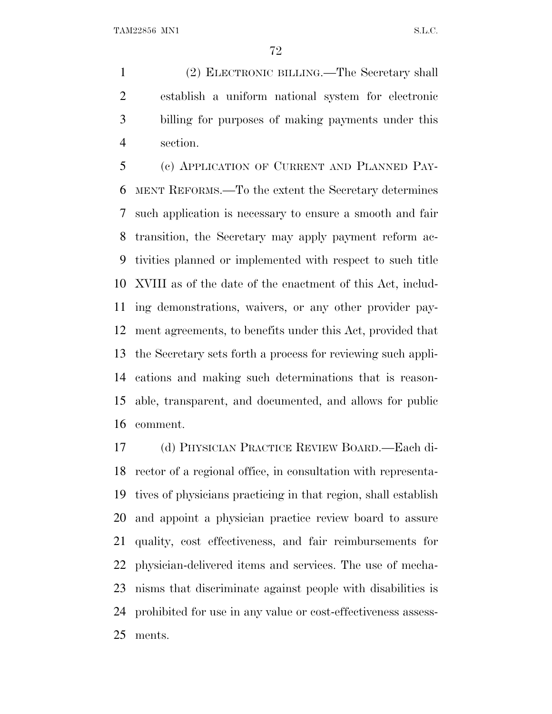(2) ELECTRONIC BILLING.—The Secretary shall establish a uniform national system for electronic billing for purposes of making payments under this section.

 (c) APPLICATION OF CURRENT AND PLANNED PAY- MENT REFORMS.—To the extent the Secretary determines such application is necessary to ensure a smooth and fair transition, the Secretary may apply payment reform ac- tivities planned or implemented with respect to such title XVIII as of the date of the enactment of this Act, includ- ing demonstrations, waivers, or any other provider pay- ment agreements, to benefits under this Act, provided that the Secretary sets forth a process for reviewing such appli- cations and making such determinations that is reason- able, transparent, and documented, and allows for public comment.

 (d) PHYSICIAN PRACTICE REVIEW BOARD.—Each di- rector of a regional office, in consultation with representa- tives of physicians practicing in that region, shall establish and appoint a physician practice review board to assure quality, cost effectiveness, and fair reimbursements for physician-delivered items and services. The use of mecha- nisms that discriminate against people with disabilities is prohibited for use in any value or cost-effectiveness assess-ments.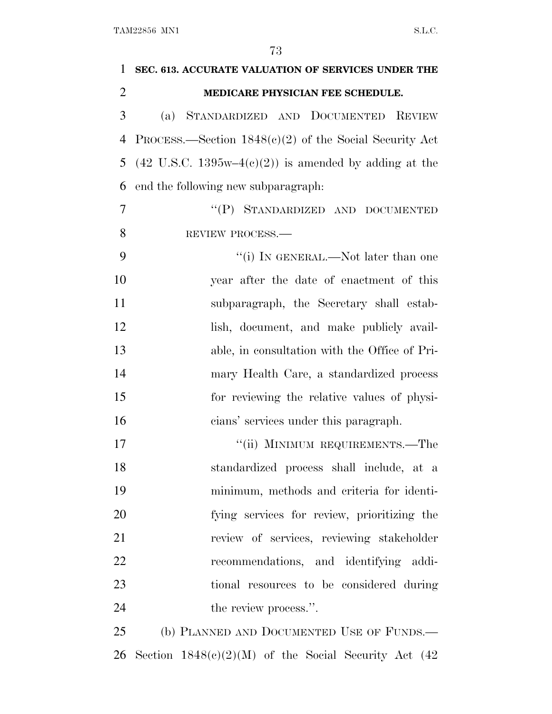| 1              | SEC. 613. ACCURATE VALUATION OF SERVICES UNDER THE                      |
|----------------|-------------------------------------------------------------------------|
| $\overline{2}$ | MEDICARE PHYSICIAN FEE SCHEDULE.                                        |
| 3              | STANDARDIZED AND DOCUMENTED<br><b>REVIEW</b><br>(a)                     |
| 4              | PROCESS.—Section $1848(c)(2)$ of the Social Security Act                |
| 5              | $(42 \text{ U.S.C. } 1395\text{w}-4(c)(2))$ is amended by adding at the |
| 6              | end the following new subparagraph:                                     |
| $\overline{7}$ | "(P) STANDARDIZED AND DOCUMENTED                                        |
| 8              | REVIEW PROCESS.                                                         |
| 9              | "(i) IN GENERAL.—Not later than one                                     |
| 10             | year after the date of enactment of this                                |
| 11             | subparagraph, the Secretary shall estab-                                |
| 12             | lish, document, and make publicly avail-                                |
| 13             | able, in consultation with the Office of Pri-                           |
| 14             | mary Health Care, a standardized process                                |
| 15             | for reviewing the relative values of physi-                             |
| 16             | cians' services under this paragraph.                                   |
| 17             | "(ii) MINIMUM REQUIREMENTS.—The                                         |
| 18             | standardized process shall include, at a                                |
| 19             | minimum, methods and criteria for identi-                               |
| 20             | fying services for review, prioritizing the                             |
| 21             | review of services, reviewing stakeholder                               |
| 22             | recommendations, and identifying addi-                                  |
| 23             | tional resources to be considered during                                |
| 24             | the review process.".                                                   |
| 25             | (b) PLANNED AND DOCUMENTED USE OF FUNDS.—                               |
| 26             | Section $1848(c)(2)(M)$ of the Social Security Act (42)                 |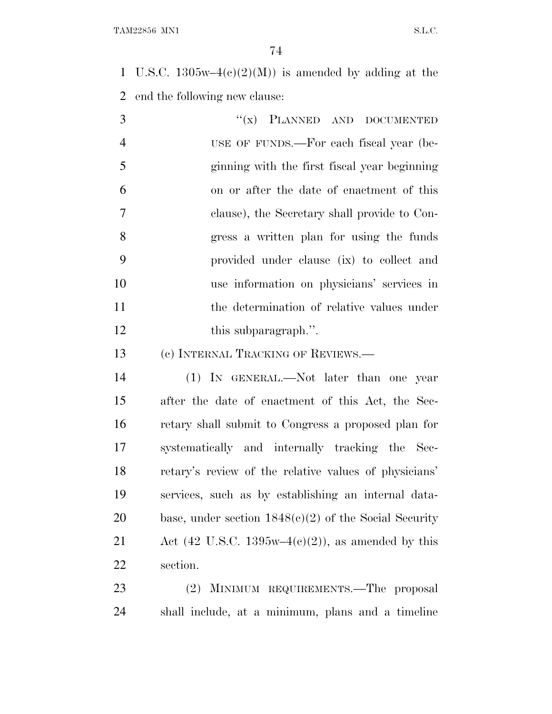1 U.S.C.  $1305w-4(c)(2)(M)$  is amended by adding at the end the following new clause:

| $\overline{3}$ | $``(x)$ PLANNED AND DOCUMENTED               |
|----------------|----------------------------------------------|
| $\overline{4}$ | USE OF FUNDS.—For each fiscal year (be-      |
| 5              | ginning with the first fiscal year beginning |
| 6              | on or after the date of enactment of this    |
| $\overline{7}$ | clause), the Secretary shall provide to Con- |
| 8              | gress a written plan for using the funds     |
| 9              | provided under clause (ix) to collect and    |
| 10             | use information on physicians' services in   |
| 11             | the determination of relative values under   |
| 12             | this subparagraph.".                         |

13 (c) INTERNAL TRACKING OF REVIEWS.—

 (1) IN GENERAL.—Not later than one year after the date of enactment of this Act, the Sec- retary shall submit to Congress a proposed plan for systematically and internally tracking the Sec- retary's review of the relative values of physicians' services, such as by establishing an internal data-20 base, under section  $1848(e)(2)$  of the Social Security 21 Act (42 U.S.C. 1395w–4 $(e)(2)$ ), as amended by this section.

 (2) MINIMUM REQUIREMENTS.—The proposal shall include, at a minimum, plans and a timeline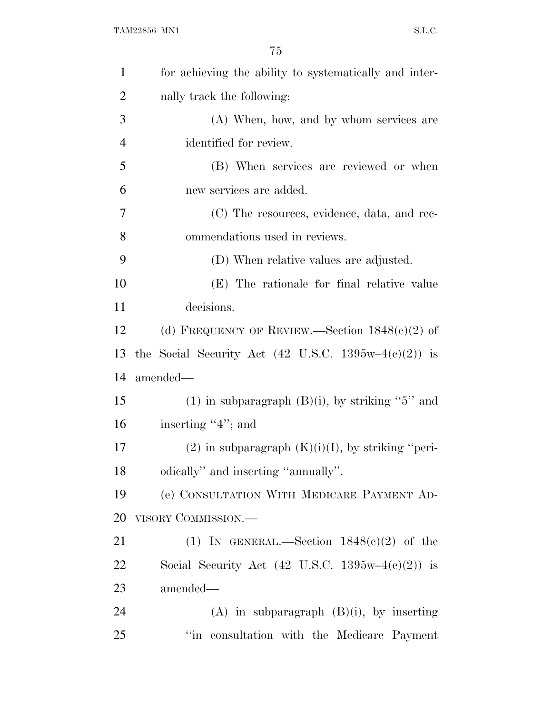| $\mathbf{1}$   | for achieving the ability to systematically and inter-                 |
|----------------|------------------------------------------------------------------------|
| $\overline{c}$ | nally track the following:                                             |
| 3              | (A) When, how, and by whom services are                                |
| $\overline{4}$ | identified for review.                                                 |
| 5              | (B) When services are reviewed or when                                 |
| 6              | new services are added.                                                |
| 7              | (C) The resources, evidence, data, and rec-                            |
| 8              | ommendations used in reviews.                                          |
| 9              | (D) When relative values are adjusted.                                 |
| 10             | (E) The rationale for final relative value                             |
| 11             | decisions.                                                             |
| 12             | (d) FREQUENCY OF REVIEW.—Section $1848(c)(2)$ of                       |
| 13             | the Social Security Act $(42 \text{ U.S.C. } 1395\text{w}-4(c)(2))$ is |
| 14             | amended—                                                               |
| 15             | (1) in subparagraph $(B)(i)$ , by striking "5" and                     |
| 16             | inserting "4"; and                                                     |
| 17             | $(2)$ in subparagraph $(K)(i)(I)$ , by striking "peri-                 |
| 18             | odically" and inserting "annually".                                    |
| 19             | (e) CONSULTATION WITH MEDICARE PAYMENT AD-                             |
| 20             | VISORY COMMISSION.-                                                    |
| 21             | (1) IN GENERAL.—Section $1848(c)(2)$ of the                            |
| 22             | Social Security Act $(42 \text{ U.S.C. } 1395\text{w}-4(c)(2))$ is     |
| 23             | amended-                                                               |
| 24             | $(A)$ in subparagraph $(B)(i)$ , by inserting                          |
| 25             | "in consultation with the Medicare Payment                             |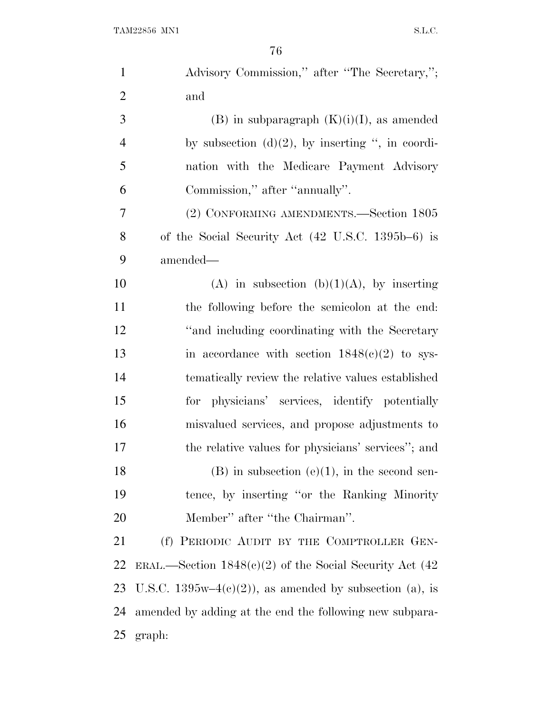| $\mathbf{1}$   | Advisory Commission," after "The Secretary,";               |
|----------------|-------------------------------------------------------------|
| $\overline{2}$ | and                                                         |
| 3              | $(B)$ in subparagraph $(K)(i)(I)$ , as amended              |
| $\overline{4}$ | by subsection $(d)(2)$ , by inserting ", in coordi-         |
| 5              | nation with the Medicare Payment Advisory                   |
| 6              | Commission," after "annually".                              |
| 7              | (2) CONFORMING AMENDMENTS.—Section 1805                     |
| 8              | of the Social Security Act (42 U.S.C. 1395b–6) is           |
| 9              | amended—                                                    |
| 10             | (A) in subsection (b)(1)(A), by inserting                   |
| 11             | the following before the semicolon at the end:              |
| 12             | "and including coordinating with the Secretary              |
| 13             | in accordance with section $1848(c)(2)$ to sys-             |
| 14             | tematically review the relative values established          |
| 15             | for physicians' services, identify potentially              |
| 16             | misvalued services, and propose adjustments to              |
| 17             | the relative values for physicians' services"; and          |
| 18             | $(B)$ in subsection $(e)(1)$ , in the second sen-           |
| 19             | tence, by inserting "or the Ranking Minority"               |
| 20             | Member" after "the Chairman".                               |
| 21             | (f) PERIODIC AUDIT BY THE COMPTROLLER GEN-                  |
| 22             | ERAL.—Section $1848(c)(2)$ of the Social Security Act (42)  |
| 23             | U.S.C. 1395w-4 $(e)(2)$ ), as amended by subsection (a), is |
| 24             | amended by adding at the end the following new subpara-     |
| 25             | graph:                                                      |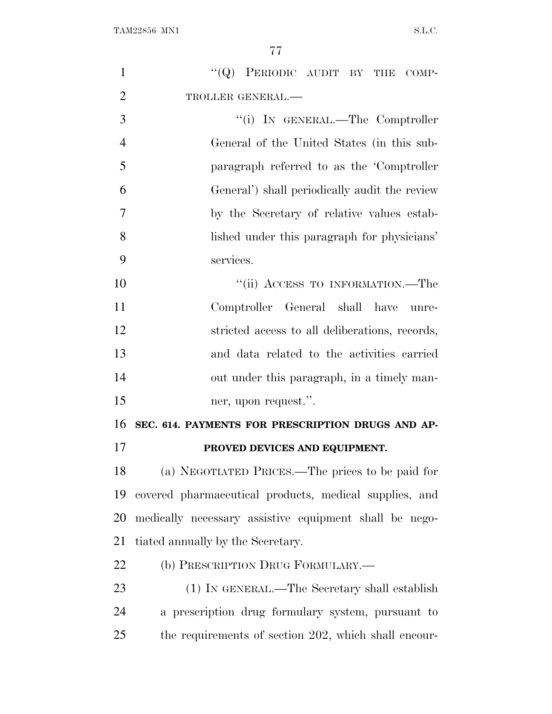| $\mathbf{1}$   | "(Q) PERIODIC AUDIT BY THE COMP-                       |
|----------------|--------------------------------------------------------|
| $\overline{2}$ | TROLLER GENERAL.-                                      |
| 3              | "(i) IN GENERAL.—The Comptroller                       |
| $\overline{4}$ | General of the United States (in this sub-             |
| 5              | paragraph referred to as the 'Comptroller              |
| 6              | General') shall periodically audit the review          |
| $\overline{7}$ | by the Secretary of relative values estab-             |
| 8              | lished under this paragraph for physicians'            |
| 9              | services.                                              |
| 10             | "(ii) ACCESS TO INFORMATION.—The                       |
| 11             | Comptroller General shall have unre-                   |
| 12             | stricted access to all deliberations, records,         |
| 13             | and data related to the activities carried             |
| 14             | out under this paragraph, in a timely man-             |
| 15             | ner, upon request.".                                   |
| 16             | SEC. 614. PAYMENTS FOR PRESCRIPTION DRUGS AND AP-      |
| 17             | PROVED DEVICES AND EQUIPMENT.                          |
| 18             | (a) NEGOTIATED PRICES.—The prices to be paid for       |
| 19             | covered pharmaceutical products, medical supplies, and |
| 20             | medically necessary assistive equipment shall be nego- |
| 21             | tiated annually by the Secretary.                      |
| 22             | (b) PRESCRIPTION DRUG FORMULARY.—                      |
| 23             | (1) IN GENERAL.—The Secretary shall establish          |
| 24             | a prescription drug formulary system, pursuant to      |
| 25             | the requirements of section 202, which shall encour-   |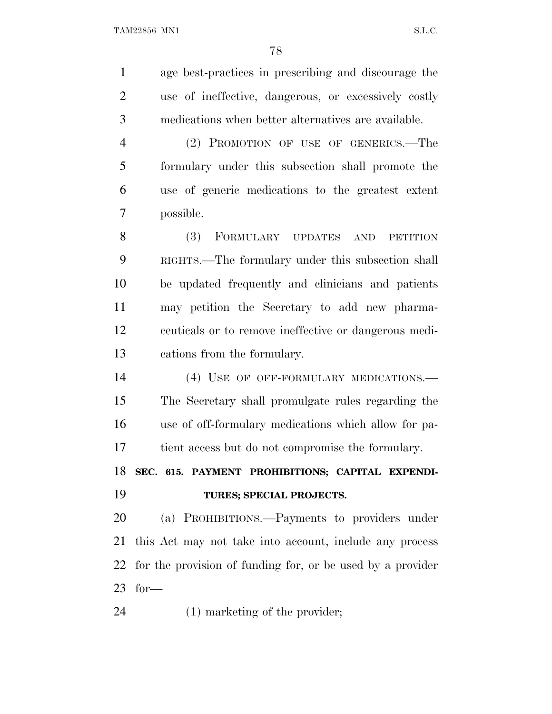| $\mathbf{1}$   | age best-practices in prescribing and discourage the       |
|----------------|------------------------------------------------------------|
| $\overline{2}$ | use of ineffective, dangerous, or excessively costly       |
| 3              | medications when better alternatives are available.        |
| $\overline{4}$ | (2) PROMOTION OF USE OF GENERICS.-The                      |
| 5              | formulary under this subsection shall promote the          |
| 6              | use of generic medications to the greatest extent          |
| 7              | possible.                                                  |
| 8              | (3)<br>FORMULARY UPDATES<br>AND<br><b>PETITION</b>         |
| 9              | RIGHTS.—The formulary under this subsection shall          |
| 10             | be updated frequently and clinicians and patients          |
| 11             | may petition the Secretary to add new pharma-              |
| 12             | ceuticals or to remove ineffective or dangerous medi-      |
| 13             | cations from the formulary.                                |
| 14             | (4) USE OF OFF-FORMULARY MEDICATIONS.—                     |
| 15             | The Secretary shall promulgate rules regarding the         |
| 16             | use of off-formulary medications which allow for pa-       |
| 17             | tient access but do not compromise the formulary.          |
| 18             | SEC. 615. PAYMENT PROHIBITIONS; CAPITAL EXPENDI-           |
| 19             | TURES; SPECIAL PROJECTS.                                   |
| 20             | (a) PROHIBITIONS.—Payments to providers under              |
| 21             | this Act may not take into account, include any process    |
|                |                                                            |
| 22             | for the provision of funding for, or be used by a provider |
| 23             | $for-$                                                     |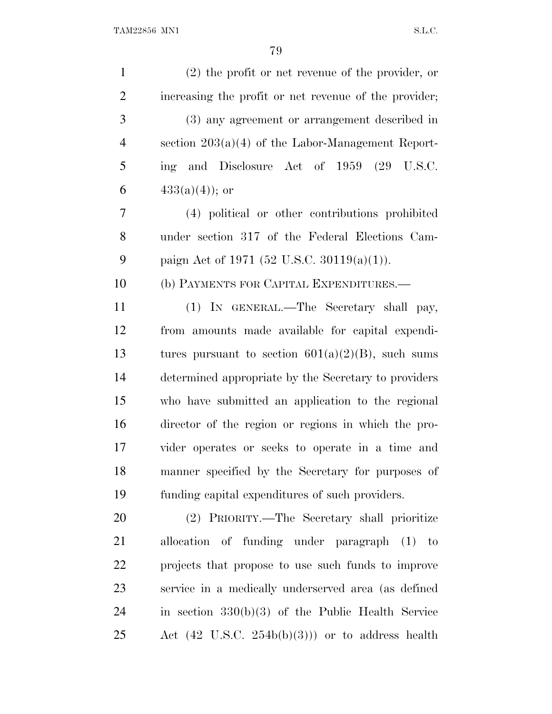| $\mathbf{1}$   | $(2)$ the profit or net revenue of the provider, or        |
|----------------|------------------------------------------------------------|
| $\overline{2}$ | increasing the profit or net revenue of the provider;      |
| 3              | (3) any agreement or arrangement described in              |
| $\overline{4}$ | section $203(a)(4)$ of the Labor-Management Report-        |
| 5              | ing and Disclosure Act of 1959 (29 U.S.C.                  |
| 6              | $433(a)(4)$ ; or                                           |
| $\overline{7}$ | (4) political or other contributions prohibited            |
| 8              | under section 317 of the Federal Elections Cam-            |
| 9              | paign Act of 1971 (52 U.S.C. 30119(a)(1)).                 |
| 10             | (b) PAYMENTS FOR CAPITAL EXPENDITURES.-                    |
| 11             | (1) IN GENERAL.—The Secretary shall pay,                   |
| 12             | from amounts made available for capital expendi-           |
| 13             | tures pursuant to section $601(a)(2)(B)$ , such sums       |
| 14             | determined appropriate by the Secretary to providers       |
| 15             | who have submitted an application to the regional          |
| 16             | director of the region or regions in which the pro-        |
| 17             | vider operates or seeks to operate in a time and           |
| 18             | manner specified by the Secretary for purposes of          |
| 19             | funding capital expenditures of such providers.            |
| 20             | (2) PRIORITY.—The Secretary shall prioritize               |
| 21             | allocation of funding under paragraph (1) to               |
| 22             | projects that propose to use such funds to improve         |
| 23             | service in a medically underserved area (as defined        |
| 24             | in section $330(b)(3)$ of the Public Health Service        |
| 25             | Act $(42 \text{ U.S.C. } 254b(b)(3))$ or to address health |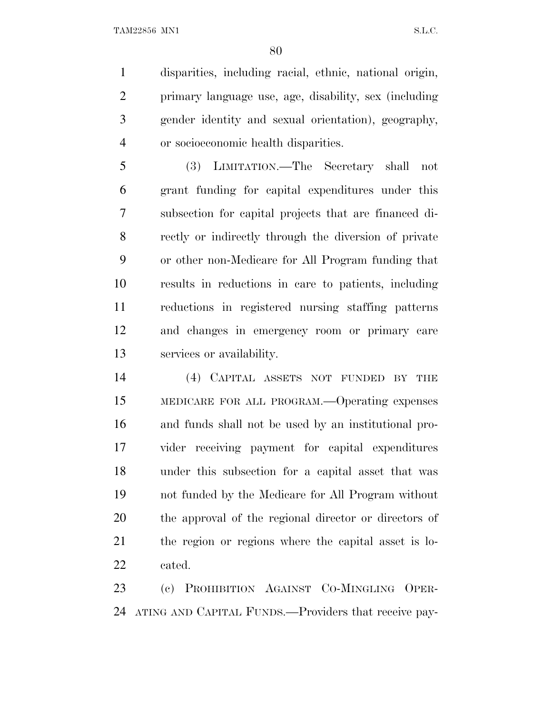TAM22856 MN1 S.L.C.

 disparities, including racial, ethnic, national origin, primary language use, age, disability, sex (including gender identity and sexual orientation), geography, or socioeconomic health disparities.

 (3) LIMITATION.—The Secretary shall not grant funding for capital expenditures under this subsection for capital projects that are financed di- rectly or indirectly through the diversion of private or other non-Medicare for All Program funding that results in reductions in care to patients, including reductions in registered nursing staffing patterns and changes in emergency room or primary care services or availability.

 (4) CAPITAL ASSETS NOT FUNDED BY THE MEDICARE FOR ALL PROGRAM.—Operating expenses and funds shall not be used by an institutional pro- vider receiving payment for capital expenditures under this subsection for a capital asset that was not funded by the Medicare for All Program without the approval of the regional director or directors of the region or regions where the capital asset is lo-cated.

 (c) PROHIBITION AGAINST CO-MINGLING OPER-ATING AND CAPITAL FUNDS.—Providers that receive pay-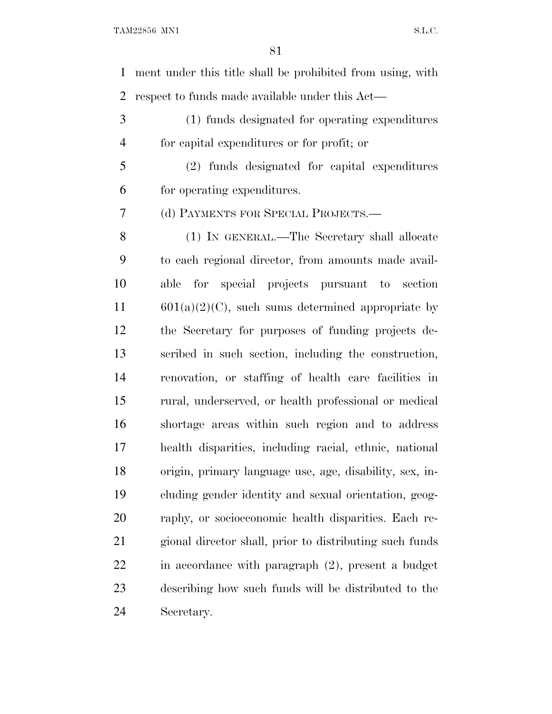ment under this title shall be prohibited from using, with respect to funds made available under this Act—

 (1) funds designated for operating expenditures for capital expenditures or for profit; or

 (2) funds designated for capital expenditures for operating expenditures.

(d) PAYMENTS FOR SPECIAL PROJECTS.—

 (1) IN GENERAL.—The Secretary shall allocate to each regional director, from amounts made avail- able for special projects pursuant to section 601(a)(2)(C), such sums determined appropriate by the Secretary for purposes of funding projects de- scribed in such section, including the construction, renovation, or staffing of health care facilities in rural, underserved, or health professional or medical shortage areas within such region and to address health disparities, including racial, ethnic, national origin, primary language use, age, disability, sex, in- cluding gender identity and sexual orientation, geog- raphy, or socioeconomic health disparities. Each re- gional director shall, prior to distributing such funds in accordance with paragraph (2), present a budget describing how such funds will be distributed to the Secretary.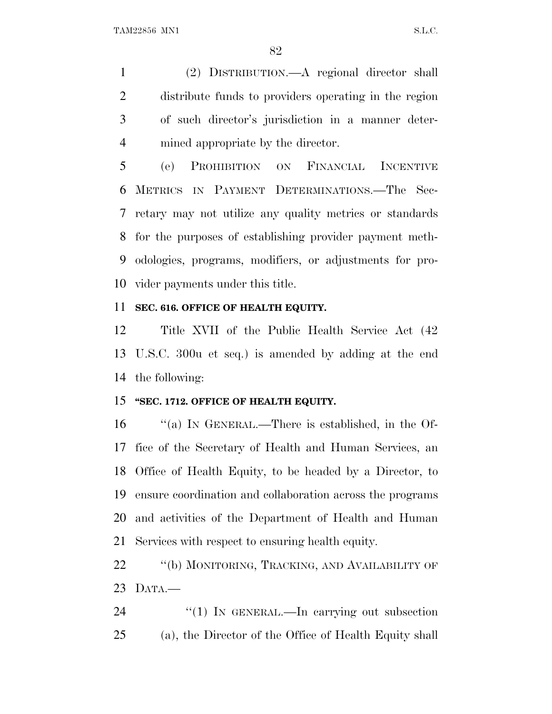(2) DISTRIBUTION.—A regional director shall distribute funds to providers operating in the region of such director's jurisdiction in a manner deter-mined appropriate by the director.

 (e) PROHIBITION ON FINANCIAL INCENTIVE METRICS IN PAYMENT DETERMINATIONS.—The Sec- retary may not utilize any quality metrics or standards for the purposes of establishing provider payment meth- odologies, programs, modifiers, or adjustments for pro-vider payments under this title.

### **SEC. 616. OFFICE OF HEALTH EQUITY.**

 Title XVII of the Public Health Service Act (42 U.S.C. 300u et seq.) is amended by adding at the end the following:

#### **''SEC. 1712. OFFICE OF HEALTH EQUITY.**

 ''(a) I<sup>N</sup> GENERAL.—There is established, in the Of- fice of the Secretary of Health and Human Services, an Office of Health Equity, to be headed by a Director, to ensure coordination and collaboration across the programs and activities of the Department of Health and Human Services with respect to ensuring health equity.

22 "(b) MONITORING, TRACKING, AND AVAILABILITY OF DATA.—

24  $\frac{1}{2}$  (1) IN GENERAL.—In carrying out subsection (a), the Director of the Office of Health Equity shall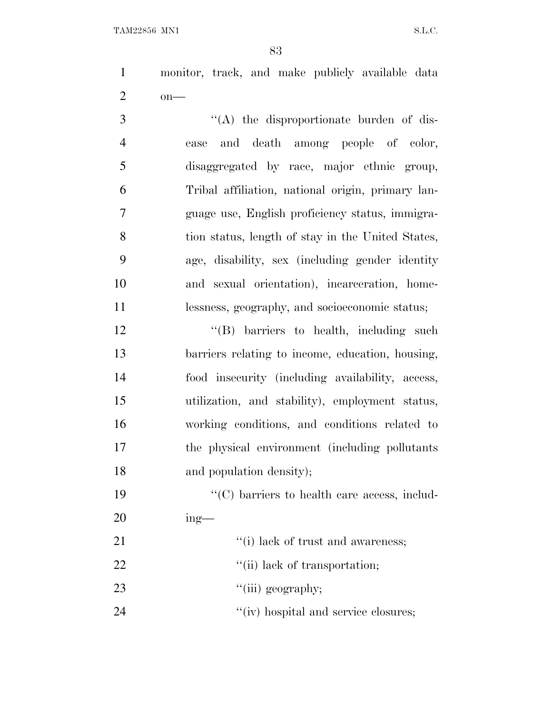monitor, track, and make publicly available data on—

 $\langle (A)$  the disproportionate burden of dis- ease and death among people of color, disaggregated by race, major ethnic group, Tribal affiliation, national origin, primary lan- guage use, English proficiency status, immigra-8 tion status, length of stay in the United States, age, disability, sex (including gender identity and sexual orientation), incarceration, home-lessness, geography, and socioeconomic status;

12 "(B) barriers to health, including such barriers relating to income, education, housing, food insecurity (including availability, access, utilization, and stability), employment status, working conditions, and conditions related to the physical environment (including pollutants and population density);

19  $\cdot$  (C) barriers to health care access, includ-ing—

| 21 |  |  |  | "(i) lack of trust and awareness; |
|----|--|--|--|-----------------------------------|
|----|--|--|--|-----------------------------------|

22  $\frac{((ii) \text{ lack of transportation}}{(iii)}$ 

23  $\frac{1}{\sin} \text{geography};$ 

24  $''(iv)$  hospital and service closures;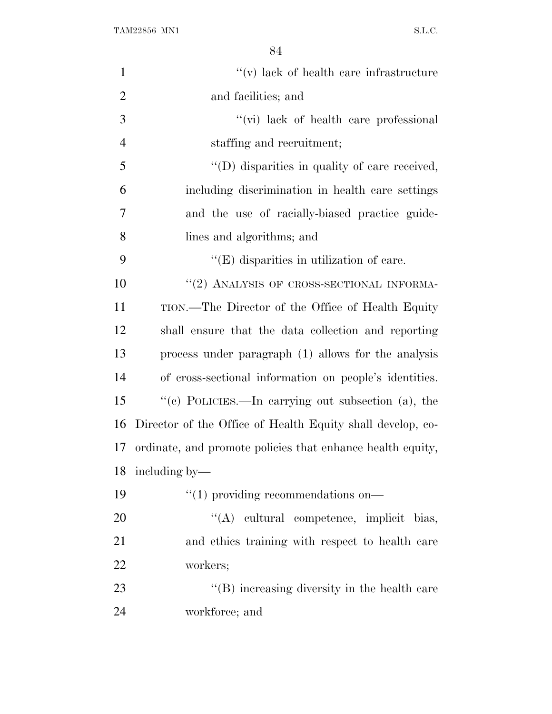| $\mathbf{1}$   | $f'(v)$ lack of health care infrastructure                 |
|----------------|------------------------------------------------------------|
| $\overline{2}$ | and facilities; and                                        |
| 3              | $\lq\lq$ (vi) lack of health care professional             |
| $\overline{4}$ | staffing and recruitment;                                  |
| 5              | $\lq\lq$ . (D) disparities in quality of care received,    |
| 6              | including discrimination in health care settings           |
| $\overline{7}$ | and the use of racially-biased practice guide-             |
| 8              | lines and algorithms; and                                  |
| 9              | $\lq\lq$ (E) disparities in utilization of care.           |
| 10             | $``(2)$ ANALYSIS OF CROSS-SECTIONAL INFORMA-               |
| 11             | TION.—The Director of the Office of Health Equity          |
| 12             | shall ensure that the data collection and reporting        |
| 13             | process under paragraph (1) allows for the analysis        |
| 14             | of cross-sectional information on people's identities.     |
| 15             | "(c) POLICIES.—In carrying out subsection (a), the         |
| 16             | Director of the Office of Health Equity shall develop, co- |
| 17             | ordinate, and promote policies that enhance health equity, |
| 18             | including by—                                              |
| 19             | $\cdot\cdot(1)$ providing recommendations on-              |
| 20             | "(A) cultural competence, implicit bias,                   |
| 21             | and ethics training with respect to health care            |
| 22             | workers;                                                   |
| 23             | "(B) increasing diversity in the health care               |
| 24             | workforce; and                                             |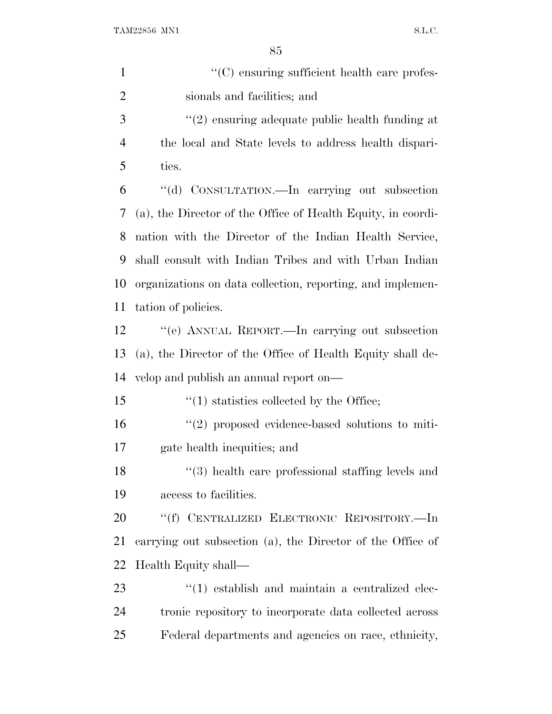| $\mathbf{1}$   | "(C) ensuring sufficient health care profes-                 |
|----------------|--------------------------------------------------------------|
| $\overline{2}$ | sionals and facilities; and                                  |
| 3              | $f'(2)$ ensuring adequate public health funding at           |
| $\overline{4}$ | the local and State levels to address health dispari-        |
| 5              | ties.                                                        |
| 6              | "(d) CONSULTATION.—In carrying out subsection                |
| 7              | (a), the Director of the Office of Health Equity, in coordi- |
| 8              | nation with the Director of the Indian Health Service,       |
| 9              | shall consult with Indian Tribes and with Urban Indian       |
| 10             | organizations on data collection, reporting, and implemen-   |
| 11             | tation of policies.                                          |
| 12             | "(e) ANNUAL REPORT.—In carrying out subsection               |
| 13             | (a), the Director of the Office of Health Equity shall de-   |
| 14             | velop and publish an annual report on—                       |
| 15             | $\cdot$ (1) statistics collected by the Office;              |
| 16             | $\lq(2)$ proposed evidence-based solutions to miti-          |
| 17             | gate health inequities; and                                  |
| 18             | $(3)$ health care professional staffing levels and           |
| 19             | access to facilities.                                        |
| 20             | "(f) CENTRALIZED ELECTRONIC REPOSITORY.—In                   |
| 21             | carrying out subsection (a), the Director of the Office of   |
| 22             | Health Equity shall—                                         |
| 23             | $\cdot$ (1) establish and maintain a centralized elec-       |
| 24             | tronic repository to incorporate data collected across       |
| 25             | Federal departments and agencies on race, ethnicity,         |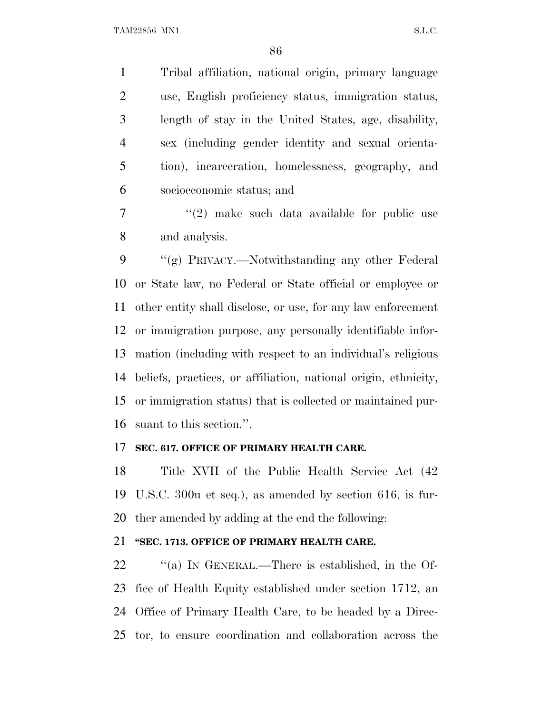Tribal affiliation, national origin, primary language use, English proficiency status, immigration status, length of stay in the United States, age, disability, sex (including gender identity and sexual orienta- tion), incarceration, homelessness, geography, and socioeconomic status; and

 $7 \t$  ''(2) make such data available for public use and analysis.

 ''(g) PRIVACY.—Notwithstanding any other Federal or State law, no Federal or State official or employee or other entity shall disclose, or use, for any law enforcement or immigration purpose, any personally identifiable infor- mation (including with respect to an individual's religious beliefs, practices, or affiliation, national origin, ethnicity, or immigration status) that is collected or maintained pur-suant to this section.''.

#### **SEC. 617. OFFICE OF PRIMARY HEALTH CARE.**

 Title XVII of the Public Health Service Act (42 U.S.C. 300u et seq.), as amended by section 616, is fur-ther amended by adding at the end the following:

### **''SEC. 1713. OFFICE OF PRIMARY HEALTH CARE.**

 $\frac{1}{2}$  (a) In GENERAL.—There is established, in the Of- fice of Health Equity established under section 1712, an Office of Primary Health Care, to be headed by a Direc-tor, to ensure coordination and collaboration across the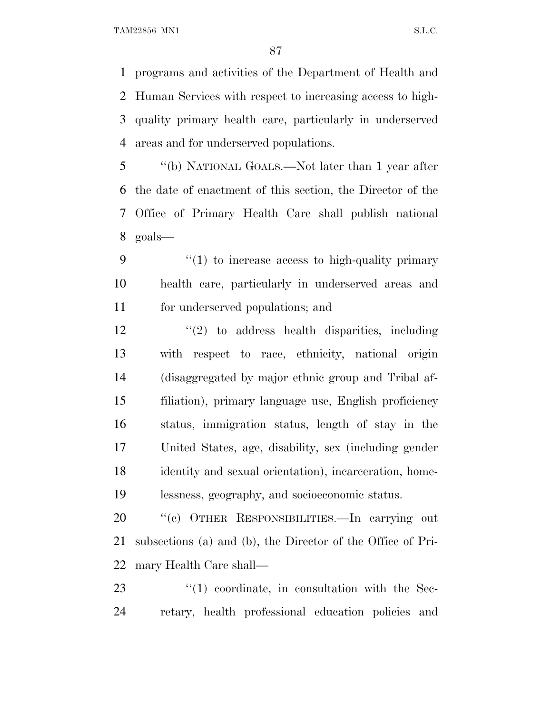TAM22856 MN1 S.L.C.

 programs and activities of the Department of Health and Human Services with respect to increasing access to high- quality primary health care, particularly in underserved areas and for underserved populations.

 ''(b) NATIONAL GOALS.—Not later than 1 year after the date of enactment of this section, the Director of the Office of Primary Health Care shall publish national goals—

 ''(1) to increase access to high-quality primary health care, particularly in underserved areas and for underserved populations; and

 ''(2) to address health disparities, including with respect to race, ethnicity, national origin (disaggregated by major ethnic group and Tribal af- filiation), primary language use, English proficiency status, immigration status, length of stay in the United States, age, disability, sex (including gender identity and sexual orientation), incarceration, home-lessness, geography, and socioeconomic status.

 ''(c) OTHER RESPONSIBILITIES.—In carrying out subsections (a) and (b), the Director of the Office of Pri-mary Health Care shall—

23  $\frac{1}{2}$  (1) coordinate, in consultation with the Sec-retary, health professional education policies and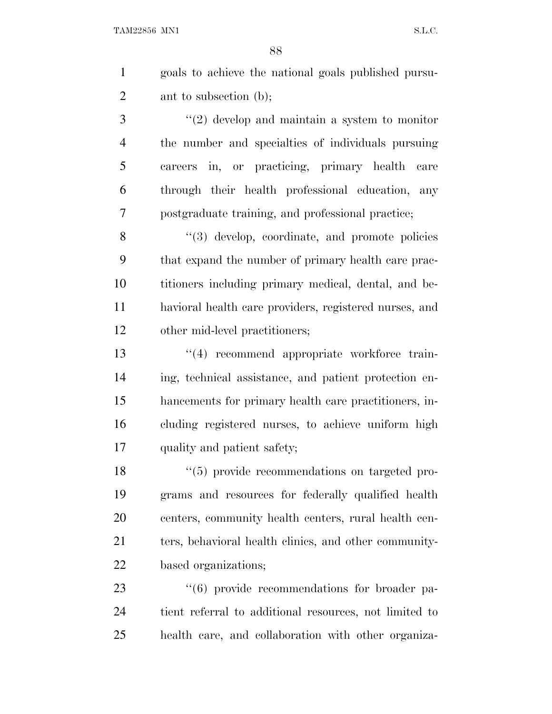|   | goals to achieve the national goals published pursu- |
|---|------------------------------------------------------|
| 2 | ant to subsection (b);                               |
| 3 | $\lq(2)$ develop and maintain a system to monitor    |
|   | the number and specialties of individuals pursuing   |

 careers in, or practicing, primary health care through their health professional education, any postgraduate training, and professional practice;

8 "(3) develop, coordinate, and promote policies that expand the number of primary health care prac- titioners including primary medical, dental, and be- havioral health care providers, registered nurses, and other mid-level practitioners;

 $\frac{13}{2}$  recommend appropriate workforce train- ing, technical assistance, and patient protection en- hancements for primary health care practitioners, in- cluding registered nurses, to achieve uniform high quality and patient safety;

 ''(5) provide recommendations on targeted pro- grams and resources for federally qualified health centers, community health centers, rural health cen-21 ters, behavioral health clinics, and other community-based organizations;

23  $(6)$  provide recommendations for broader pa- tient referral to additional resources, not limited to health care, and collaboration with other organiza-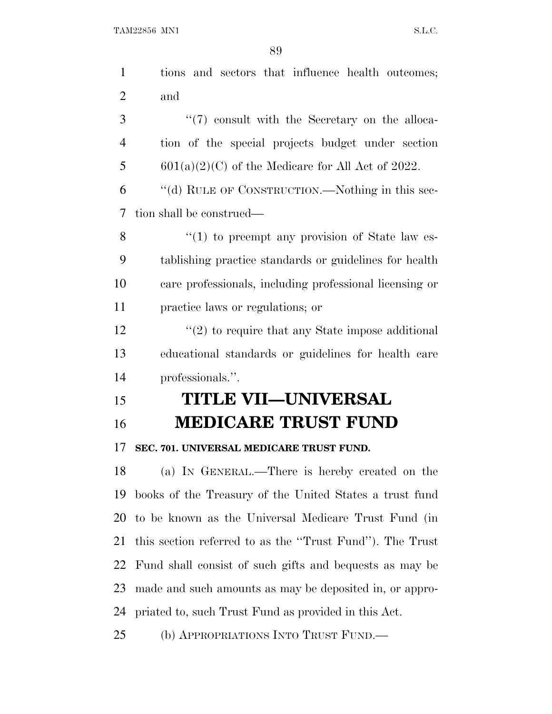|                | 89                                                      |
|----------------|---------------------------------------------------------|
| $\mathbf{1}$   | tions and sectors that influence health outcomes;       |
| $\overline{2}$ | and                                                     |
| 3              | $\lq(7)$ consult with the Secretary on the alloca-      |
| 4              | tion of the special projects budget under section       |
| 5              | $601(a)(2)(C)$ of the Medicare for All Act of 2022.     |
| 6              | "(d) RULE OF CONSTRUCTION.—Nothing in this sec-         |
| $\overline{7}$ | tion shall be construed—                                |
| 8              | $\lq(1)$ to preempt any provision of State law es-      |
| 9              | tablishing practice standards or guidelines for health  |
| 10             | care professionals, including professional licensing or |
| 11             | practice laws or regulations; or                        |
| 12             | $\lq(2)$ to require that any State impose additional    |
| 13             | educational standards or guidelines for health care     |
| 14             | professionals.".                                        |
| 15             | <b>TITLE VII—UNIVERSAL</b>                              |
| 16             | <b>MEDICARE TRUST FUND</b>                              |
| 17             | SEC. 701. UNIVERSAL MEDICARE TRUST FUND.                |
| 18             | (a) IN GENERAL.—There is hereby created on the          |
| 19             | books of the Treasury of the United States a trust fund |
|                |                                                         |

 books of the Treasury of the United States a trust fund to be known as the Universal Medicare Trust Fund (in this section referred to as the ''Trust Fund''). The Trust Fund shall consist of such gifts and bequests as may be made and such amounts as may be deposited in, or appro-priated to, such Trust Fund as provided in this Act.

(b) APPROPRIATIONS INTO TRUST FUND.—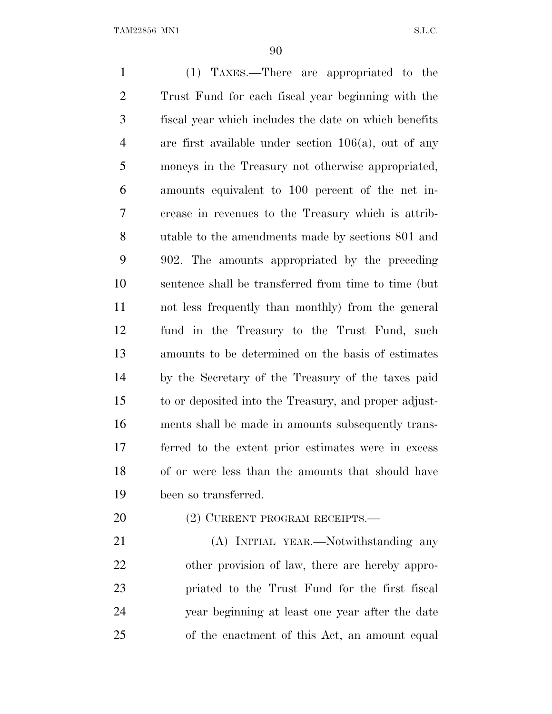(1) TAXES.—There are appropriated to the Trust Fund for each fiscal year beginning with the fiscal year which includes the date on which benefits are first available under section 106(a), out of any moneys in the Treasury not otherwise appropriated, amounts equivalent to 100 percent of the net in- crease in revenues to the Treasury which is attrib- utable to the amendments made by sections 801 and 902. The amounts appropriated by the preceding sentence shall be transferred from time to time (but not less frequently than monthly) from the general fund in the Treasury to the Trust Fund, such amounts to be determined on the basis of estimates by the Secretary of the Treasury of the taxes paid to or deposited into the Treasury, and proper adjust- ments shall be made in amounts subsequently trans- ferred to the extent prior estimates were in excess of or were less than the amounts that should have been so transferred.

## 20 (2) CURRENT PROGRAM RECEIPTS.—

 (A) INITIAL YEAR.—Notwithstanding any other provision of law, there are hereby appro- priated to the Trust Fund for the first fiscal year beginning at least one year after the date of the enactment of this Act, an amount equal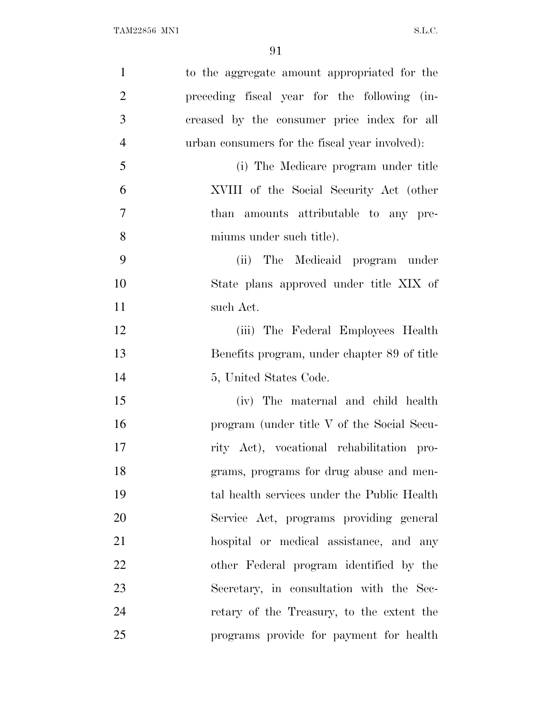| $\mathbf{1}$   | to the aggregate amount appropriated for the   |
|----------------|------------------------------------------------|
| $\overline{2}$ | preceding fiscal year for the following (in-   |
| 3              | creased by the consumer price index for all    |
| $\overline{4}$ | urban consumers for the fiscal year involved): |
| 5              | (i) The Medicare program under title           |
| 6              | XVIII of the Social Security Act (other        |
| 7              | than amounts attributable to any pre-          |
| 8              | miums under such title).                       |
| 9              | (ii) The Medicaid program under                |
| 10             | State plans approved under title XIX of        |
| 11             | such Act.                                      |
| 12             | (iii) The Federal Employees Health             |
| 13             | Benefits program, under chapter 89 of title    |
| 14             | 5, United States Code.                         |
| 15             | (iv) The maternal and child health             |
| 16             | program (under title V of the Social Secu-     |
| 17             | rity Act), vocational rehabilitation pro-      |
| 18             | grams, programs for drug abuse and men-        |
| 19             | tal health services under the Public Health    |
| 20             | Service Act, programs providing general        |
| 21             | hospital or medical assistance, and any        |
| 22             | other Federal program identified by the        |
| 23             | Secretary, in consultation with the Sec-       |
| 24             | retary of the Treasury, to the extent the      |
| 25             | programs provide for payment for health        |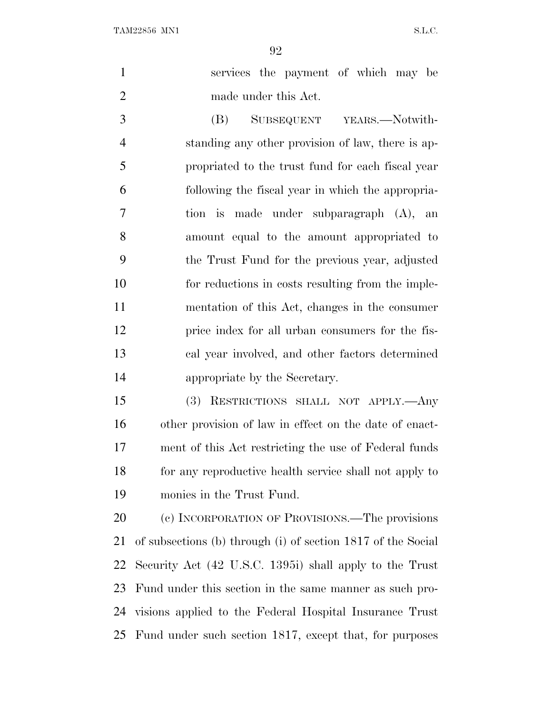|                |                      | services the payment of which may be |  |  |
|----------------|----------------------|--------------------------------------|--|--|
| $\overline{2}$ | made under this Act. |                                      |  |  |

 (B) SUBSEQUENT YEARS.—Notwith- standing any other provision of law, there is ap- propriated to the trust fund for each fiscal year following the fiscal year in which the appropria- tion is made under subparagraph (A), an amount equal to the amount appropriated to the Trust Fund for the previous year, adjusted for reductions in costs resulting from the imple- mentation of this Act, changes in the consumer price index for all urban consumers for the fis- cal year involved, and other factors determined appropriate by the Secretary.

 (3) RESTRICTIONS SHALL NOT APPLY.—Any other provision of law in effect on the date of enact- ment of this Act restricting the use of Federal funds for any reproductive health service shall not apply to monies in the Trust Fund.

20 (c) INCORPORATION OF PROVISIONS.—The provisions of subsections (b) through (i) of section 1817 of the Social Security Act (42 U.S.C. 1395i) shall apply to the Trust Fund under this section in the same manner as such pro- visions applied to the Federal Hospital Insurance Trust Fund under such section 1817, except that, for purposes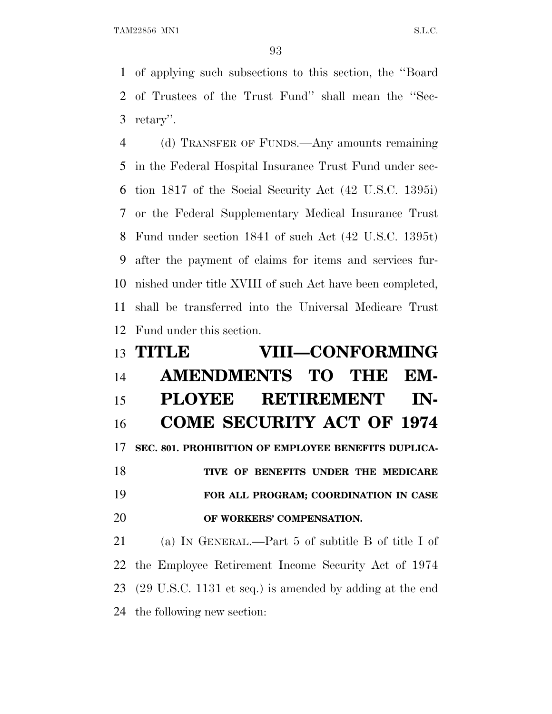of applying such subsections to this section, the ''Board of Trustees of the Trust Fund'' shall mean the ''Sec-retary''.

 (d) TRANSFER OF FUNDS.—Any amounts remaining in the Federal Hospital Insurance Trust Fund under sec- tion 1817 of the Social Security Act (42 U.S.C. 1395i) or the Federal Supplementary Medical Insurance Trust Fund under section 1841 of such Act (42 U.S.C. 1395t) after the payment of claims for items and services fur- nished under title XVIII of such Act have been completed, shall be transferred into the Universal Medicare Trust Fund under this section.

# **TITLE VIII—CONFORMING AMENDMENTS TO THE EM- PLOYEE RETIREMENT IN- COME SECURITY ACT OF 1974 SEC. 801. PROHIBITION OF EMPLOYEE BENEFITS DUPLICA- TIVE OF BENEFITS UNDER THE MEDICARE FOR ALL PROGRAM; COORDINATION IN CASE OF WORKERS' COMPENSATION.** (a) I<sup>N</sup> GENERAL.—Part 5 of subtitle B of title I of

 the Employee Retirement Income Security Act of 1974 (29 U.S.C. 1131 et seq.) is amended by adding at the end the following new section: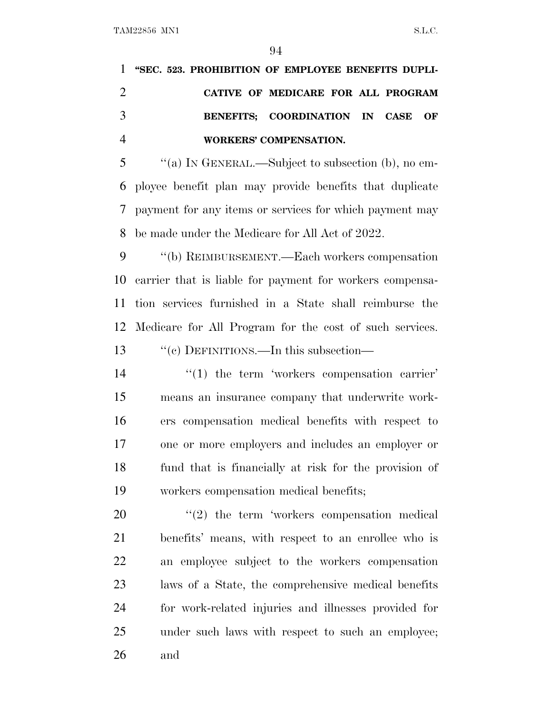TAM22856 MN1 S.L.C.

| 1 "SEC. 523. PROHIBITION OF EMPLOYEE BENEFITS DUPLI- |
|------------------------------------------------------|
| CATIVE OF MEDICARE FOR ALL PROGRAM                   |
| BENEFITS: COORDINATION IN CASE OF                    |
| WORKERS' COMPENSATION.                               |

 ''(a) I<sup>N</sup> GENERAL.—Subject to subsection (b), no em- ployee benefit plan may provide benefits that duplicate payment for any items or services for which payment may be made under the Medicare for All Act of 2022.

 ''(b) REIMBURSEMENT.—Each workers compensation carrier that is liable for payment for workers compensa- tion services furnished in a State shall reimburse the Medicare for All Program for the cost of such services. 13 "'(c) DEFINITIONS.—In this subsection—

 $\frac{1}{2}$  (1) the term 'workers compensation carrier' means an insurance company that underwrite work- ers compensation medical benefits with respect to one or more employers and includes an employer or fund that is financially at risk for the provision of workers compensation medical benefits;

  $\qquad$   $\qquad$   $(2)$  the term 'workers compensation medical benefits' means, with respect to an enrollee who is an employee subject to the workers compensation laws of a State, the comprehensive medical benefits for work-related injuries and illnesses provided for under such laws with respect to such an employee; and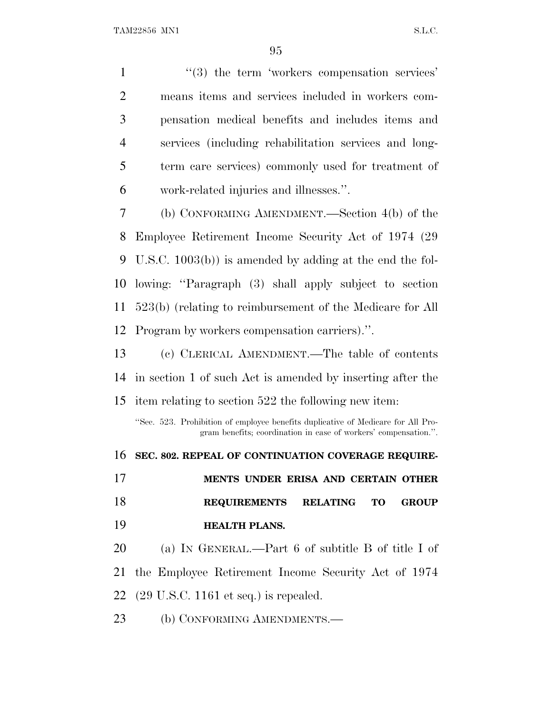$\frac{1}{2}$   $\frac{1}{2}$  the term 'workers compensation services' means items and services included in workers com- pensation medical benefits and includes items and services (including rehabilitation services and long- term care services) commonly used for treatment of work-related injuries and illnesses.''. (b) CONFORMING AMENDMENT.—Section 4(b) of the

 Employee Retirement Income Security Act of 1974 (29 U.S.C. 1003(b)) is amended by adding at the end the fol- lowing: ''Paragraph (3) shall apply subject to section 523(b) (relating to reimbursement of the Medicare for All Program by workers compensation carriers).''.

 (c) CLERICAL AMENDMENT.—The table of contents in section 1 of such Act is amended by inserting after the

item relating to section 522 the following new item:

''Sec. 523. Prohibition of employee benefits duplicative of Medicare for All Program benefits; coordination in case of workers' compensation.''.

 **SEC. 802. REPEAL OF CONTINUATION COVERAGE REQUIRE- MENTS UNDER ERISA AND CERTAIN OTHER REQUIREMENTS RELATING TO GROUP HEALTH PLANS.** (a) I<sup>N</sup> GENERAL.—Part 6 of subtitle B of title I of the Employee Retirement Income Security Act of 1974 (29 U.S.C. 1161 et seq.) is repealed. 23 (b) CONFORMING AMENDMENTS.—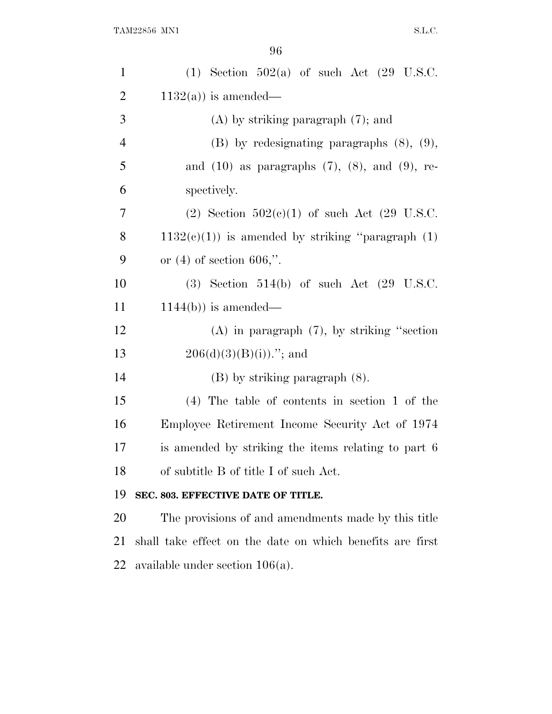| $\mathbf{1}$   | $(1)$ Section 502(a) of such Act $(29 \text{ U.S.C.})$    |
|----------------|-----------------------------------------------------------|
| $\overline{2}$ | $1132(a)$ ) is amended—                                   |
| 3              | $(A)$ by striking paragraph $(7)$ ; and                   |
| $\overline{4}$ | $(B)$ by redesignating paragraphs $(8)$ , $(9)$ ,         |
| 5              | and $(10)$ as paragraphs $(7)$ , $(8)$ , and $(9)$ , re-  |
| 6              | spectively.                                               |
| 7              | (2) Section $502(c)(1)$ of such Act (29 U.S.C.            |
| 8              | $1132(c)(1)$ is amended by striking "paragraph $(1)$      |
| 9              | or $(4)$ of section 606,".                                |
| 10             | $(3)$ Section 514(b) of such Act $(29 \text{ U.S.C.})$    |
| 11             | $1144(b)$ ) is amended—                                   |
| 12             | $(A)$ in paragraph $(7)$ , by striking "section           |
| 13             | $206(d)(3)(B(i))$ ."; and                                 |
| 14             | $(B)$ by striking paragraph $(8)$ .                       |
| 15             | $(4)$ The table of contents in section 1 of the           |
| 16             | Employee Retirement Income Security Act of 1974           |
| 17             | is amended by striking the items relating to part 6       |
| 18             | of subtitle B of title I of such Act.                     |
| 19             | SEC. 803. EFFECTIVE DATE OF TITLE.                        |
| 20             | The provisions of and amendments made by this title       |
| 21             | shall take effect on the date on which benefits are first |
| 22             | available under section $106(a)$ .                        |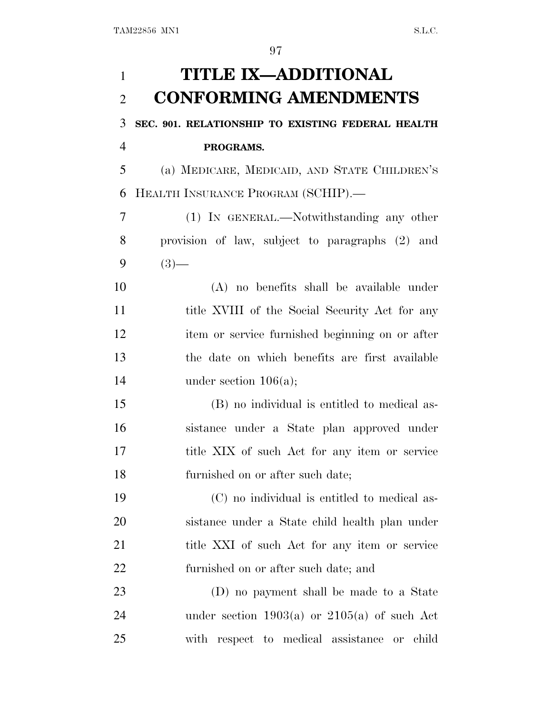| 1              | <b>TITLE IX-ADDITIONAL</b>                           |
|----------------|------------------------------------------------------|
| $\overline{2}$ | <b>CONFORMING AMENDMENTS</b>                         |
| 3              | SEC. 901. RELATIONSHIP TO EXISTING FEDERAL HEALTH    |
| $\overline{4}$ | PROGRAMS.                                            |
| 5              | (a) MEDICARE, MEDICAID, AND STATE CHILDREN'S         |
| 6              | HEALTH INSURANCE PROGRAM (SCHIP).-                   |
| 7              | (1) IN GENERAL.—Notwithstanding any other            |
| 8              | provision of law, subject to paragraphs (2) and      |
| 9              | $(3)$ —                                              |
| 10             | (A) no benefits shall be available under             |
| 11             | title XVIII of the Social Security Act for any       |
| 12             | item or service furnished beginning on or after      |
| 13             | the date on which benefits are first available       |
| 14             | under section $106(a)$ ;                             |
| 15             | (B) no individual is entitled to medical as-         |
| 16             | sistance under a State plan approved under           |
| 17             | title XIX of such Act for any item or service        |
| 18             | furnished on or after such date;                     |
| 19             | (C) no individual is entitled to medical as-         |
| 20             | sistance under a State child health plan under       |
| 21             | title XXI of such Act for any item or service        |
| 22             | furnished on or after such date; and                 |
| 23             | (D) no payment shall be made to a State              |
| 24             | under section $1903(a)$ or $2105(a)$ of such Act     |
| 25             | respect to medical assistance<br>with<br>child<br>or |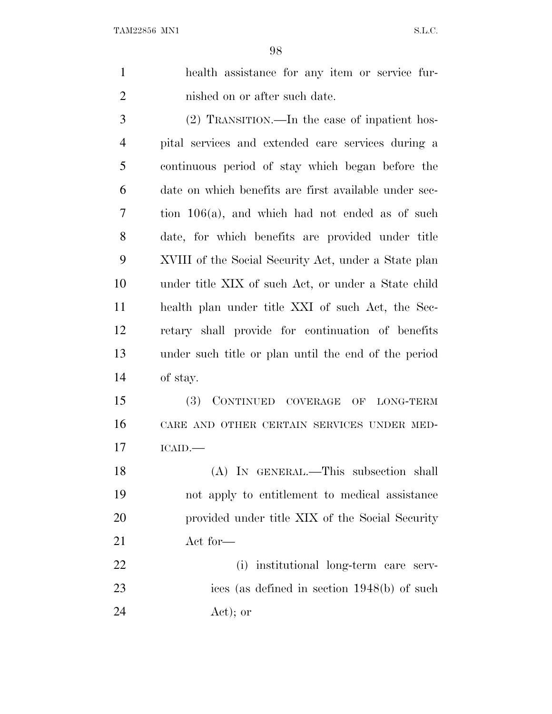health assistance for any item or service fur-2 nished on or after such date.

 (2) TRANSITION.—In the case of inpatient hos- pital services and extended care services during a continuous period of stay which began before the date on which benefits are first available under sec- tion 106(a), and which had not ended as of such date, for which benefits are provided under title XVIII of the Social Security Act, under a State plan under title XIX of such Act, or under a State child health plan under title XXI of such Act, the Sec- retary shall provide for continuation of benefits under such title or plan until the end of the period of stay.

 (3) CONTINUED COVERAGE OF LONG-TERM CARE AND OTHER CERTAIN SERVICES UNDER MED-ICAID.—

 (A) IN GENERAL.—This subsection shall not apply to entitlement to medical assistance provided under title XIX of the Social Security Act for—

 (i) institutional long-term care serv- ices (as defined in section 1948(b) of such Act); or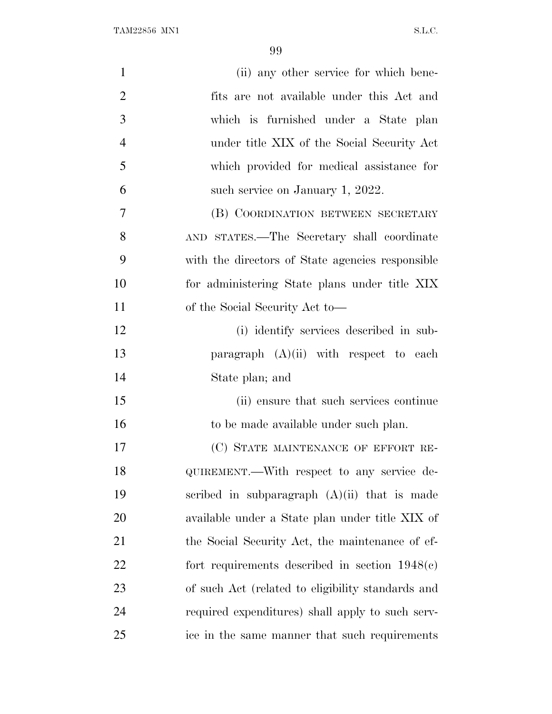| $\mathbf{1}$   | (ii) any other service for which bene-            |
|----------------|---------------------------------------------------|
| $\mathbf{2}$   | fits are not available under this Act and         |
| $\mathfrak{Z}$ | which is furnished under a State plan             |
| $\overline{4}$ | under title XIX of the Social Security Act        |
| 5              | which provided for medical assistance for         |
| 6              | such service on January 1, 2022.                  |
| $\tau$         | (B) COORDINATION BETWEEN SECRETARY                |
| 8              | AND STATES.—The Secretary shall coordinate        |
| 9              | with the directors of State agencies responsible  |
| 10             | for administering State plans under title XIX     |
| 11             | of the Social Security Act to—                    |
| 12             | (i) identify services described in sub-           |
| 13             | paragraph $(A)(ii)$ with respect to each          |
| 14             | State plan; and                                   |
| 15             | (ii) ensure that such services continue           |
| 16             | to be made available under such plan.             |
| 17             | (C) STATE MAINTENANCE OF EFFORT RE-               |
| 18             | QUIREMENT.—With respect to any service de-        |
| 19             | scribed in subparagraph $(A)(ii)$ that is made    |
| 20             | available under a State plan under title XIX of   |
| 21             | the Social Security Act, the maintenance of ef-   |
| 22             | fort requirements described in section $1948(c)$  |
| 23             | of such Act (related to eligibility standards and |
| 24             | required expenditures) shall apply to such serv-  |
| 25             | ice in the same manner that such requirements     |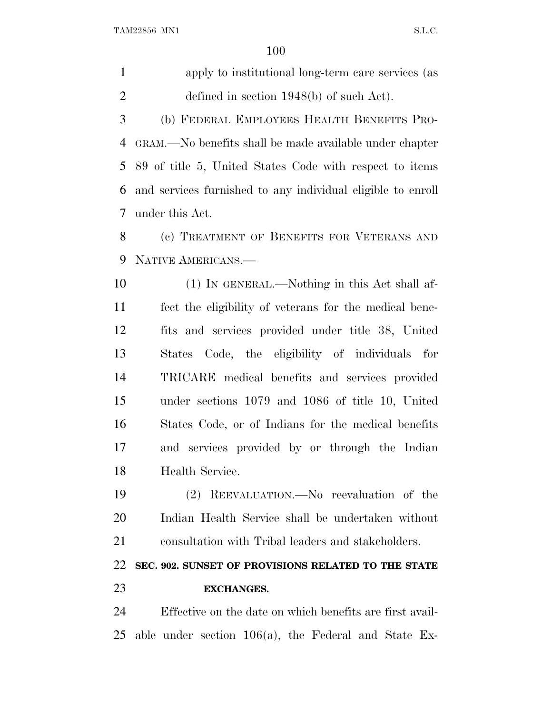$\begin{minipage}{0.9\linewidth} \textbf{TAM22856} \textbf{ MNI} \end{minipage}$ 

| $\mathbf{1}$   | apply to institutional long-term care services (as          |
|----------------|-------------------------------------------------------------|
| $\overline{2}$ | defined in section $1948(b)$ of such Act).                  |
| 3              | (b) FEDERAL EMPLOYEES HEALTH BENEFITS PRO-                  |
| 4              | GRAM.—No benefits shall be made available under chapter     |
| 5              | 89 of title 5, United States Code with respect to items     |
| 6              | and services furnished to any individual eligible to enroll |
| 7              | under this Act.                                             |
| 8              | (c) TREATMENT OF BENEFITS FOR VETERANS AND                  |
| 9              | NATIVE AMERICANS.-                                          |
| 10             | (1) IN GENERAL.—Nothing in this Act shall af-               |
| 11             | fect the eligibility of veterans for the medical bene-      |
| 12             | fits and services provided under title 38, United           |
| 13             | States Code, the eligibility of individuals for             |
| 14             | TRICARE medical benefits and services provided              |
| 15             | under sections 1079 and 1086 of title 10, United            |
| 16             | States Code, or of Indians for the medical benefits         |
| 17             | and services provided by or through the Indian              |
| 18             | Health Service.                                             |
| 19             | (2) REEVALUATION.—No reevaluation of the                    |
| 20             | Indian Health Service shall be undertaken without           |
| 21             | consultation with Tribal leaders and stakeholders.          |
| 22             | SEC. 902. SUNSET OF PROVISIONS RELATED TO THE STATE         |
| 23             | <b>EXCHANGES.</b>                                           |
| 24             | Effective on the date on which benefits are first avail-    |

able under section 106(a), the Federal and State Ex-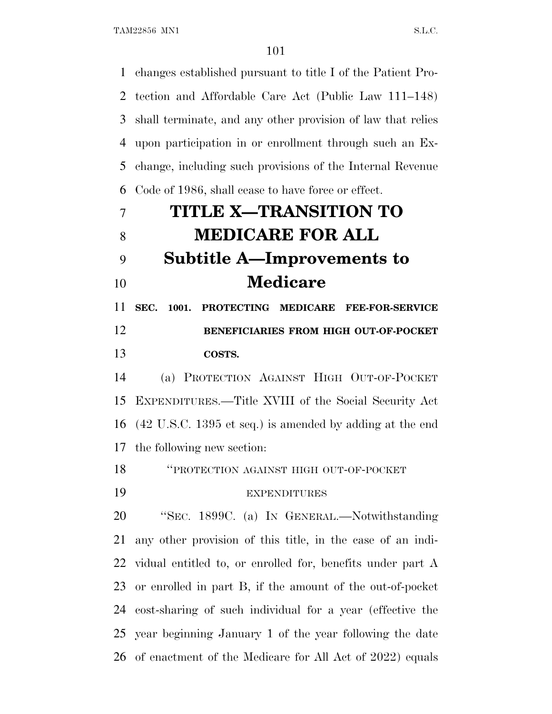changes established pursuant to title I of the Patient Pro- tection and Affordable Care Act (Public Law 111–148) shall terminate, and any other provision of law that relies upon participation in or enrollment through such an Ex- change, including such provisions of the Internal Revenue Code of 1986, shall cease to have force or effect. **TITLE X—TRANSITION TO**

# **MEDICARE FOR ALL Subtitle A—Improvements to Medicare**

 **SEC. 1001. PROTECTING MEDICARE FEE-FOR-SERVICE BENEFICIARIES FROM HIGH OUT-OF-POCKET COSTS.**

 (a) PROTECTION AGAINST HIGH OUT-OF-POCKET EXPENDITURES.—Title XVIII of the Social Security Act (42 U.S.C. 1395 et seq.) is amended by adding at the end the following new section:

''PROTECTION AGAINST HIGH OUT-OF-POCKET

# EXPENDITURES

 ''SEC. 1899C. (a) I<sup>N</sup> GENERAL.—Notwithstanding any other provision of this title, in the case of an indi- vidual entitled to, or enrolled for, benefits under part A or enrolled in part B, if the amount of the out-of-pocket cost-sharing of such individual for a year (effective the year beginning January 1 of the year following the date of enactment of the Medicare for All Act of 2022) equals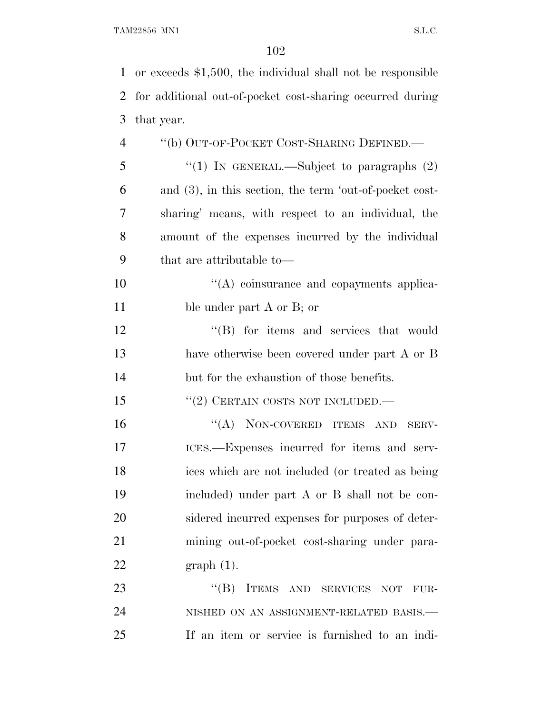TAM22856 MN1 S.L.C.

| 1              | or exceeds \$1,500, the individual shall not be responsible |
|----------------|-------------------------------------------------------------|
| 2              | for additional out-of-pocket cost-sharing occurred during   |
| 3              | that year.                                                  |
| $\overline{4}$ | "(b) OUT-OF-POCKET COST-SHARING DEFINED.—                   |
| 5              | "(1) IN GENERAL.—Subject to paragraphs $(2)$                |
| 6              | and $(3)$ , in this section, the term 'out-of-pocket cost-  |
| 7              | sharing' means, with respect to an individual, the          |
| 8              | amount of the expenses incurred by the individual           |
| 9              | that are attributable to-                                   |
| 10             | $\lq\lq$ coinsurance and copayments applica-                |
| 11             | ble under part A or B; or                                   |
| 12             | "(B) for items and services that would                      |
| 13             | have otherwise been covered under part A or B               |
| 14             | but for the exhaustion of those benefits.                   |
| 15             | $``(2)$ CERTAIN COSTS NOT INCLUDED.—                        |
| 16             | "(A) NON-COVERED ITEMS AND<br>${\rm SERV}$ -                |
| 17             | ICES.—Expenses incurred for items and serv-                 |
| 18             | ices which are not included (or treated as being            |
| 19             | included) under part A or B shall not be con-               |
| 20             | sidered incurred expenses for purposes of deter-            |
| 21             | mining out-of-pocket cost-sharing under para-               |
| 22             | $graph(1)$ .                                                |
| 23             | $\lq\lq (B)$<br>ITEMS AND SERVICES NOT<br>FUR-              |
| 24             | NISHED ON AN ASSIGNMENT-RELATED BASIS.—                     |
| 25             | If an item or service is furnished to an indi-              |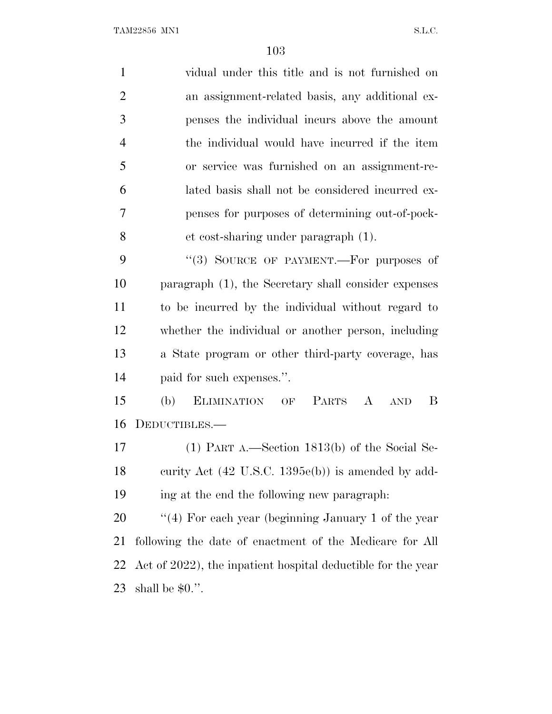| $\mathbf{1}$   | vidual under this title and is not furnished on               |
|----------------|---------------------------------------------------------------|
| $\overline{2}$ | an assignment-related basis, any additional ex-               |
| 3              | penses the individual incurs above the amount                 |
| $\overline{4}$ | the individual would have incurred if the item                |
| 5              | or service was furnished on an assignment-re-                 |
| 6              | lated basis shall not be considered incurred ex-              |
| 7              | penses for purposes of determining out-of-pock-               |
| 8              | et cost-sharing under paragraph (1).                          |
| 9              | "(3) SOURCE OF PAYMENT.-For purposes of                       |
| 10             | paragraph (1), the Secretary shall consider expenses          |
| 11             | to be incurred by the individual without regard to            |
| 12             | whether the individual or another person, including           |
| 13             | a State program or other third-party coverage, has            |
| 14             | paid for such expenses.".                                     |
| 15             | ELIMINATION OF PARTS A AND<br>B<br>(b)                        |
| 16             | DEDUCTIBLES.—                                                 |
| 17             | $(1)$ PART A.—Section 1813(b) of the Social Se-               |
| 18             | curity Act $(42 \text{ U.S.C. } 1395e(b))$ is amended by add- |
| 19             | ing at the end the following new paragraph.                   |
| 20             | "(4) For each year (beginning January 1 of the year           |
| 21             | following the date of enactment of the Medicare for All       |
| 22             | Act of 2022), the inpatient hospital deductible for the year  |
| 23             | shall be $$0."$ .                                             |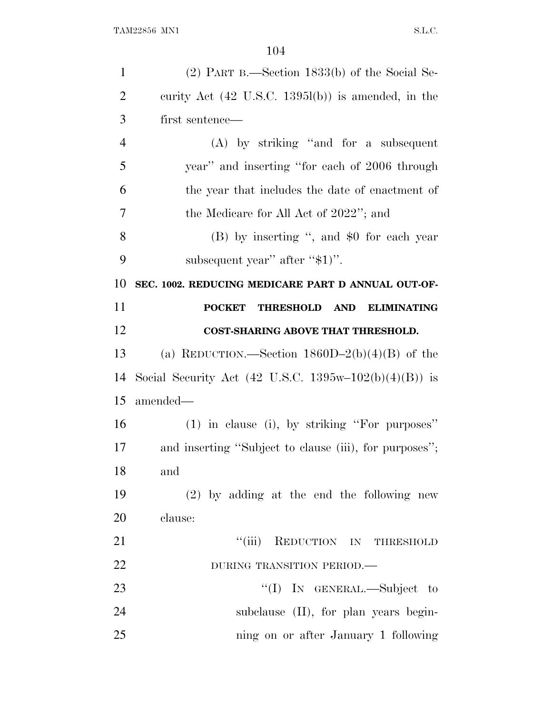| $\mathbf{1}$   | $(2)$ PART B.—Section 1833(b) of the Social Se-                       |
|----------------|-----------------------------------------------------------------------|
| $\overline{2}$ | curity Act $(42 \text{ U.S.C. } 1395l(b))$ is amended, in the         |
| 3              | first sentence—                                                       |
| $\overline{4}$ | $(A)$ by striking "and for a subsequent"                              |
| 5              | year" and inserting "for each of 2006 through                         |
| 6              | the year that includes the date of enactment of                       |
| 7              | the Medicare for All Act of 2022"; and                                |
| 8              | (B) by inserting ", and \$0 for each year                             |
| 9              | subsequent year" after "\$1)".                                        |
| 10             | SEC. 1002. REDUCING MEDICARE PART D ANNUAL OUT-OF-                    |
| 11             | <b>POCKET</b><br><b>THRESHOLD</b><br><b>AND</b><br><b>ELIMINATING</b> |
| 12             | <b>COST-SHARING ABOVE THAT THRESHOLD.</b>                             |
| 13             | (a) REDUCTION.—Section $1860D-2(b)(4)(B)$ of the                      |
| 14             | Social Security Act (42 U.S.C. 1395w-102(b)(4)(B)) is                 |
| 15             | amended—                                                              |
| 16             | (1) in clause (i), by striking "For purposes"                         |
| 17             | and inserting "Subject to clause (iii), for purposes";                |
| 18             | and                                                                   |
| 19             | $(2)$ by adding at the end the following new                          |
| 20             | clause:                                                               |
| 21             | "(iii) REDUCTION IN THRESHOLD                                         |
| 22             | DURING TRANSITION PERIOD.                                             |
| 23             | "(I) IN GENERAL.—Subject to                                           |
| 24             | subclause (II), for plan years begin-                                 |
| 25             | ning on or after January 1 following                                  |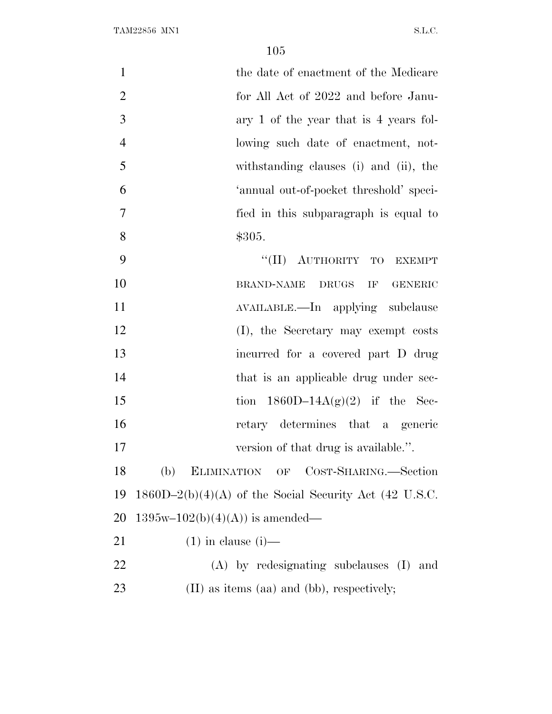| $\mathbf{1}$   | the date of enactment of the Medicare                    |
|----------------|----------------------------------------------------------|
| $\overline{2}$ | for All Act of 2022 and before Janu-                     |
| 3              | ary 1 of the year that is 4 years fol-                   |
| $\overline{4}$ | lowing such date of enactment, not-                      |
| 5              | withstanding clauses (i) and (ii), the                   |
| 6              | 'annual out-of-pocket threshold' speci-                  |
| $\overline{7}$ | fied in this subparagraph is equal to                    |
| 8              | \$305.                                                   |
| 9              | "(II) AUTHORITY TO EXEMPT                                |
| 10             | <b>BRAND-NAME</b><br>DRUGS<br>IF<br><b>GENERIC</b>       |
| 11             | AVAILABLE.—In applying subclause                         |
| 12             | (I), the Secretary may exempt costs                      |
| 13             | incurred for a covered part D drug                       |
| 14             | that is an applicable drug under sec-                    |
| 15             | tion $1860D-14A(g)(2)$ if the Sec-                       |
| 16             | retary determines that a generic                         |
| 17             | version of that drug is available.".                     |
| 18             | (b)<br>ELIMINATION OF COST-SHARING.-Section              |
| 19             | $1860D-2(b)(4)(A)$ of the Social Security Act (42 U.S.C. |
| 20             | $1395w-102(b)(4)(A))$ is amended—                        |
| 21             | $(1)$ in clause $(i)$ —                                  |
| <u>22</u>      | $(A)$ by redesignating subclauses $(I)$ and              |
| 23             | (II) as items (aa) and (bb), respectively;               |
|                |                                                          |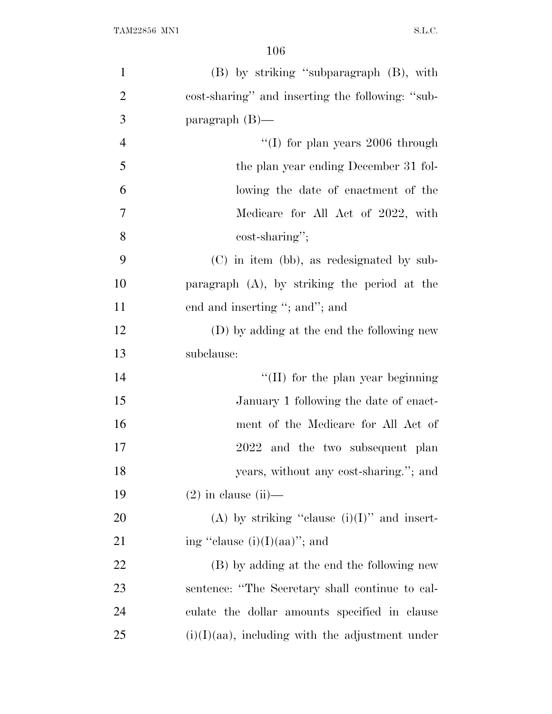| $\mathbf{1}$   | (B) by striking "subparagraph (B), with            |
|----------------|----------------------------------------------------|
| $\overline{2}$ | cost-sharing" and inserting the following: "sub-   |
| 3              | paragraph $(B)$ —                                  |
| $\overline{4}$ | "(I) for plan years $2006$ through                 |
| 5              | the plan year ending December 31 fol-              |
| 6              | lowing the date of enactment of the                |
| 7              | Medicare for All Act of 2022, with                 |
| 8              | cost-sharing";                                     |
| 9              | $(C)$ in item (bb), as redesignated by sub-        |
| 10             | paragraph $(A)$ , by striking the period at the    |
| 11             | end and inserting "; and"; and                     |
| 12             | (D) by adding at the end the following new         |
| 13             | subclause:                                         |
| 14             | $\lq\lq$ (II) for the plan year beginning          |
| 15             | January 1 following the date of enact-             |
| 16             | ment of the Medicare for All Act of                |
| 17             | 2022 and the two subsequent plan                   |
| 18             | years, without any cost-sharing."; and             |
| 19             | $(2)$ in clause $(ii)$ —                           |
| 20             | (A) by striking "clause $(i)(I)$ " and insert-     |
| 21             | ing "clause $(i)(I)(aa)$ "; and                    |
| 22             | (B) by adding at the end the following new         |
| 23             | sentence: "The Secretary shall continue to cal-    |
| 24             | culate the dollar amounts specified in clause      |
| 25             | $(i)(I)(aa)$ , including with the adjustment under |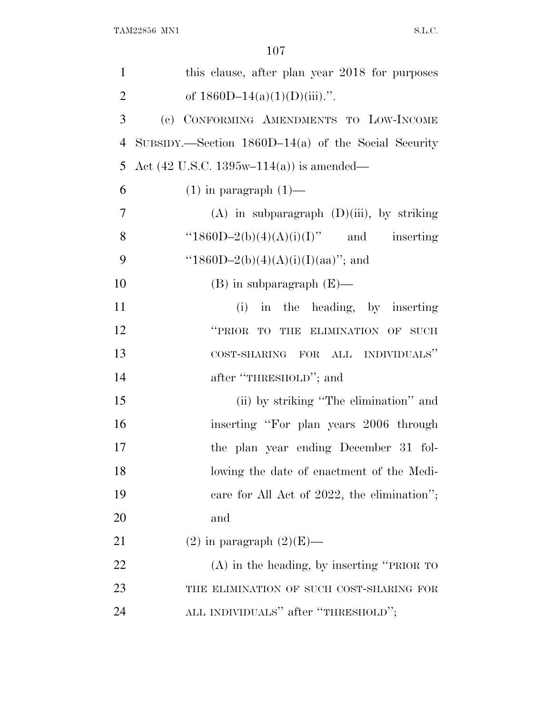| $\mathbf{1}$   | this clause, after plan year 2018 for purposes             |
|----------------|------------------------------------------------------------|
| $\overline{2}$ | of $1860D-14(a)(1)(D)(iii)$ .".                            |
| 3              | (c) CONFORMING AMENDMENTS TO LOW-INCOME                    |
| $\overline{4}$ | $SUBSIDY$ . Section 1860D-14(a) of the Social Security     |
| 5              | Act $(42 \text{ U.S.C. } 1395\text{w}-114(a))$ is amended— |
| 6              | $(1)$ in paragraph $(1)$ —                                 |
| $\overline{7}$ | $(A)$ in subparagraph $(D)(iii)$ , by striking             |
| 8              | " $1860D-2(b)(4)(A)(i)(I)$ " and inserting                 |
| 9              | "1860D-2(b)(4)(A)(i)(I)(aa)"; and                          |
| 10             | $(B)$ in subparagraph $(E)$ —                              |
| 11             | (i) in the heading, by inserting                           |
| 12             | "PRIOR TO<br>THE ELIMINATION OF<br><b>SUCH</b>             |
| 13             | COST-SHARING FOR ALL INDIVIDUALS"                          |
| 14             | after "THRESHOLD"; and                                     |
| 15             | (ii) by striking "The elimination" and                     |
| 16             | inserting "For plan years 2006 through                     |
| 17             | the plan year ending December 31 fol-                      |
| 18             | lowing the date of enactment of the Medi-                  |
| 19             | care for All Act of 2022, the elimination";                |
| 20             | and                                                        |
| 21             | $(2)$ in paragraph $(2)(E)$ —                              |
| 22             | $(A)$ in the heading, by inserting "PRIOR TO               |
| 23             | THE ELIMINATION OF SUCH COST-SHARING FOR                   |
| 24             | ALL INDIVIDUALS" after "THRESHOLD";                        |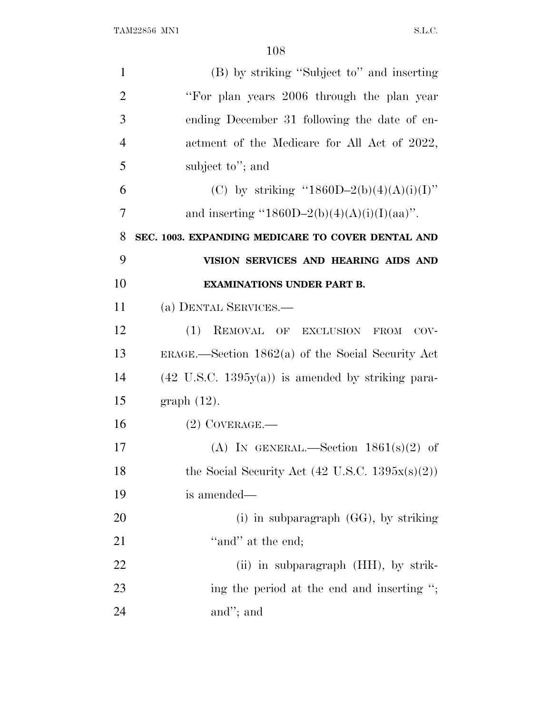| $\mathbf{1}$   | (B) by striking "Subject to" and inserting                   |
|----------------|--------------------------------------------------------------|
| $\overline{2}$ | "For plan years 2006 through the plan year                   |
| 3              | ending December 31 following the date of en-                 |
| 4              | actment of the Medicare for All Act of 2022,                 |
| 5              | subject to"; and                                             |
| 6              | (C) by striking "1860D-2(b)(4)(A)(i)(I)"                     |
| 7              | and inserting "1860D-2(b)(4)(A)(i)(I)(aa)".                  |
| 8              | SEC. 1003. EXPANDING MEDICARE TO COVER DENTAL AND            |
| 9              | VISION SERVICES AND HEARING AIDS AND                         |
| 10             | <b>EXAMINATIONS UNDER PART B.</b>                            |
| 11             | (a) DENTAL SERVICES.—                                        |
| 12             | (1)<br>REMOVAL OF EXCLUSION FROM<br>$COV -$                  |
| 13             | ERAGE.—Section $1862(a)$ of the Social Security Act          |
| 14             | $(42 \text{ U.S.C. } 1395y(a))$ is amended by striking para- |
| 15             | $graph(12)$ .                                                |
| 16             | $(2)$ COVERAGE.—                                             |
| 17             | (A) IN GENERAL.—Section $1861(s)(2)$ of                      |
| 18             | the Social Security Act $(42 \text{ U.S.C. } 1395x(s)(2))$   |
| 19             | is amended—                                                  |
| 20             | (i) in subparagraph $(GG)$ , by striking                     |
| 21             | "and" at the end;                                            |
| 22             | (ii) in subparagraph (HH), by strik-                         |
| 23             | ing the period at the end and inserting ";                   |
| 24             | and"; and                                                    |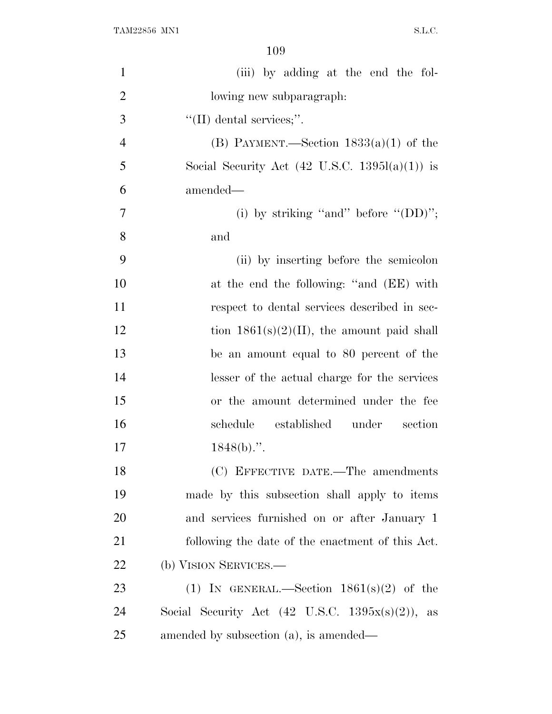| $\mathbf{1}$   | (iii) by adding at the end the fol-                         |
|----------------|-------------------------------------------------------------|
| $\overline{2}$ | lowing new subparagraph:                                    |
| 3              | $\lq\lq$ (II) dental services;".                            |
| $\overline{4}$ | (B) PAYMENT.—Section $1833(a)(1)$ of the                    |
| 5              | Social Security Act $(42 \text{ U.S.C. } 1395l(a)(1))$ is   |
| 6              | amended—                                                    |
| 7              | (i) by striking "and" before " $(DD)$ ";                    |
| 8              | and                                                         |
| 9              | (ii) by inserting before the semicolon                      |
| 10             | at the end the following: "and (EE) with                    |
| 11             | respect to dental services described in sec-                |
| 12             | tion $1861(s)(2)(II)$ , the amount paid shall               |
| 13             | be an amount equal to 80 percent of the                     |
| 14             | lesser of the actual charge for the services                |
| 15             | or the amount determined under the fee                      |
| 16             | schedule<br>established under<br>section                    |
| 17             | $1848(b)$ .".                                               |
| 18             | (C) EFFECTIVE DATE.—The amendments                          |
| 19             | made by this subsection shall apply to items                |
| 20             | and services furnished on or after January 1                |
| 21             | following the date of the enactment of this Act.            |
| 22             | (b) VISION SERVICES.—                                       |
| 23             | (1) IN GENERAL.—Section $1861(s)(2)$ of the                 |
| 24             | Social Security Act $(42 \text{ U.S.C. } 1395x(s)(2))$ , as |
| 25             | amended by subsection (a), is amended—                      |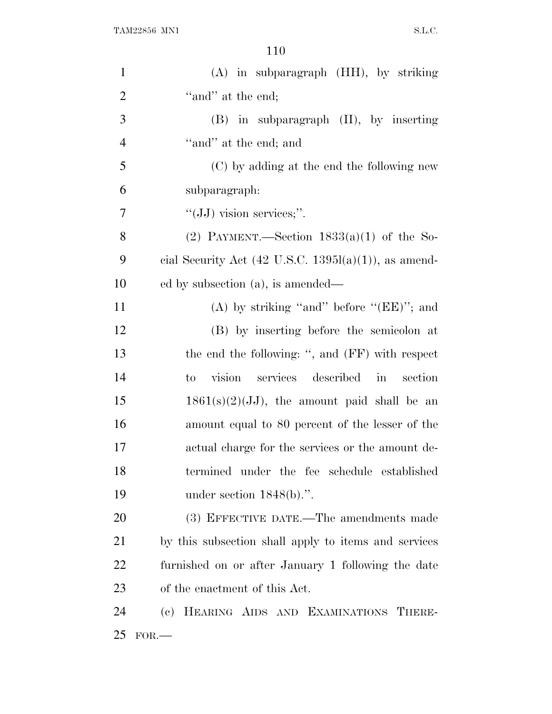| $\mathbf{1}$   | (A) in subparagraph (HH), by striking                            |
|----------------|------------------------------------------------------------------|
| $\overline{2}$ | "and" at the end;                                                |
| 3              | $(B)$ in subparagraph $(II)$ , by inserting                      |
| $\overline{4}$ | "and" at the end; and                                            |
| 5              | (C) by adding at the end the following new                       |
| 6              | subparagraph:                                                    |
| $\overline{7}$ | " $(JJ)$ vision services;".                                      |
| 8              | (2) PAYMENT.—Section $1833(a)(1)$ of the So-                     |
| 9              | cial Security Act $(42 \text{ U.S.C. } 1395l(a)(1))$ , as amend- |
| 10             | ed by subsection (a), is amended—                                |
| 11             | (A) by striking "and" before " $(EE)$ "; and                     |
| 12             | (B) by inserting before the semicolon at                         |
| 13             | the end the following: ", and (FF) with respect                  |
| 14             | vision services described<br>section<br>$\sin$<br>to             |
| 15             | $1861(s)(2)(JJ)$ , the amount paid shall be an                   |
| 16             | amount equal to 80 percent of the lesser of the                  |
| 17             | actual charge for the services or the amount de-                 |
| 18             | termined under the fee schedule established                      |
| 19             | under section $1848(b)$ .".                                      |
| 20             | (3) EFFECTIVE DATE.—The amendments made                          |
| 21             | by this subsection shall apply to items and services             |
| 22             | furnished on or after January 1 following the date               |
| 23             | of the enactment of this Act.                                    |
| 24             | (c) HEARING AIDS AND EXAMINATIONS THERE-                         |
| 25             | $FOR$ .                                                          |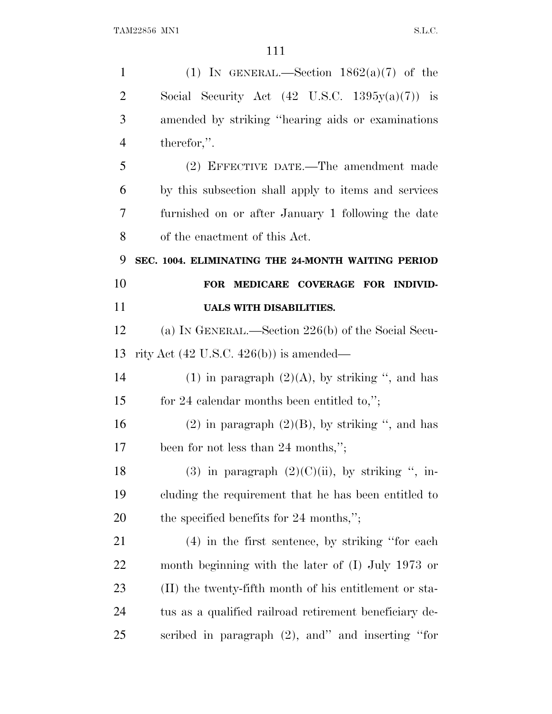| $\mathbf{1}$   | (1) IN GENERAL.—Section $1862(a)(7)$ of the               |
|----------------|-----------------------------------------------------------|
| $\overline{2}$ | Social Security Act $(42 \text{ U.S.C. } 1395y(a)(7))$ is |
| 3              | amended by striking "hearing aids or examinations"        |
| $\overline{4}$ | therefor,".                                               |
| 5              | (2) EFFECTIVE DATE.—The amendment made                    |
| 6              | by this subsection shall apply to items and services      |
| 7              | furnished on or after January 1 following the date        |
| 8              | of the enactment of this Act.                             |
| 9              | SEC. 1004. ELIMINATING THE 24-MONTH WAITING PERIOD        |
| 10             | FOR MEDICARE COVERAGE FOR INDIVID-                        |
| 11             | <b>UALS WITH DISABILITIES.</b>                            |
| 12             | (a) IN GENERAL.—Section $226(b)$ of the Social Secu-      |
| 13             | rity Act $(42 \text{ U.S.C. } 426(b))$ is amended—        |
| 14             | (1) in paragraph $(2)(A)$ , by striking ", and has        |
| 15             | for 24 calendar months been entitled to,";                |
| 16             | $(2)$ in paragraph $(2)(B)$ , by striking ", and has      |
| 17             | been for not less than 24 months,";                       |
| 18             | (3) in paragraph $(2)(C)(ii)$ , by striking ", in-        |
| 19             | cluding the requirement that he has been entitled to      |
| 20             | the specified benefits for 24 months,";                   |
| 21             | $(4)$ in the first sentence, by striking "for each        |
| 22             | month beginning with the later of $(I)$ July 1973 or      |
| 23             | (II) the twenty-fifth month of his entitlement or sta-    |
| 24             | tus as a qualified railroad retirement beneficiary de-    |
| 25             | scribed in paragraph (2), and inserting "for              |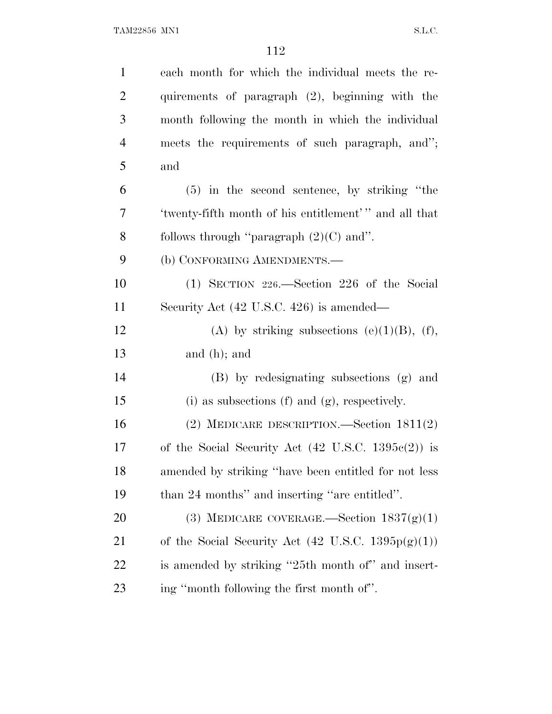| $\mathbf{1}$   | each month for which the individual meets the re-             |
|----------------|---------------------------------------------------------------|
| $\overline{c}$ | quirements of paragraph (2), beginning with the               |
| 3              | month following the month in which the individual             |
| 4              | meets the requirements of such paragraph, and";               |
| 5              | and                                                           |
| 6              | $(5)$ in the second sentence, by striking "the                |
| 7              | 'twenty-fifth month of his entitlement'" and all that         |
| 8              | follows through "paragraph $(2)(C)$ and".                     |
| 9              | (b) CONFORMING AMENDMENTS.—                                   |
| 10             | (1) SECTION 226.—Section 226 of the Social                    |
| 11             | Security Act (42 U.S.C. 426) is amended—                      |
| 12             | (A) by striking subsections (e)(1)(B), (f),                   |
| 13             | and $(h)$ ; and                                               |
| 14             | (B) by redesignating subsections (g) and                      |
| 15             | (i) as subsections (f) and (g), respectively.                 |
| 16             | (2) MEDICARE DESCRIPTION.—Section $1811(2)$                   |
| 17             | of the Social Security Act $(42 \text{ U.S.C. } 1395c(2))$ is |
| 18             | amended by striking "have been entitled for not less          |
| 19             | than 24 months" and inserting "are entitled".                 |
| <b>20</b>      | (3) MEDICARE COVERAGE.—Section $1837(g)(1)$                   |
| 21             | of the Social Security Act $(42 \text{ U.S.C. } 1395p(g)(1))$ |
| <u>22</u>      | is amended by striking "25th month of" and insert-            |
| 23             | ing "month following the first month of".                     |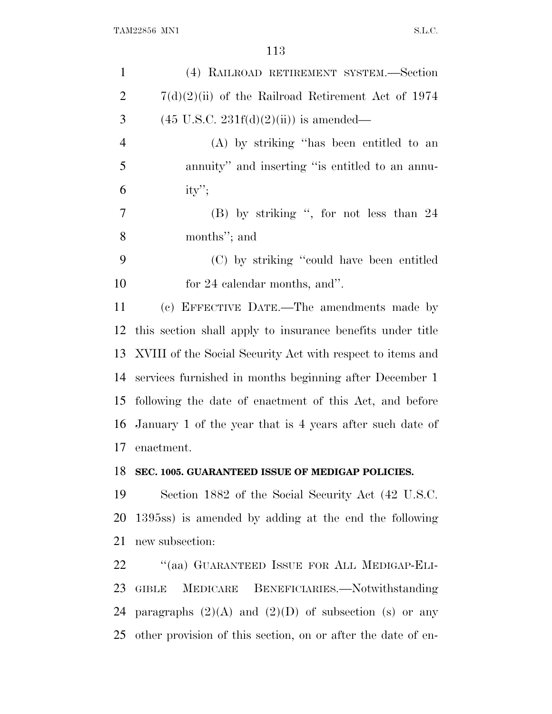| (4) RAILROAD RETIREMENT SYSTEM.—Section                       |
|---------------------------------------------------------------|
| $7(d)(2)(ii)$ of the Railroad Retirement Act of 1974          |
| $(45 \text{ U.S.C. } 231f(d)(2)(ii))$ is amended—             |
| (A) by striking "has been entitled to an                      |
| annuity" and inserting "is entitled to an annu-               |
| $ity$ ";                                                      |
| (B) by striking ", for not less than 24                       |
| months"; and                                                  |
| (C) by striking "could have been entitled                     |
| for 24 calendar months, and".                                 |
| (c) EFFECTIVE DATE.—The amendments made by                    |
| this section shall apply to insurance benefits under title    |
| 13 XVIII of the Social Security Act with respect to items and |
| services furnished in months beginning after December 1       |
| following the date of enactment of this Act, and before       |
| 16 January 1 of the year that is 4 years after such date of   |
| enactment.                                                    |
| 18 SEC. 1005. GUARANTEED ISSUE OF MEDIGAP POLICIES.           |
| Section 1882 of the Social Security Act (42 U.S.C.            |
| 1395ss) is amended by adding at the end the following         |
| new subsection:                                               |
| "(aa) GUARANTEED ISSUE FOR ALL MEDIGAP-ELI-                   |
| GIBLE MEDICARE BENEFICIARIES.—Notwithstanding                 |
| 24 paragraphs $(2)(A)$ and $(2)(D)$ of subsection (s) or any  |
|                                                               |

other provision of this section, on or after the date of en-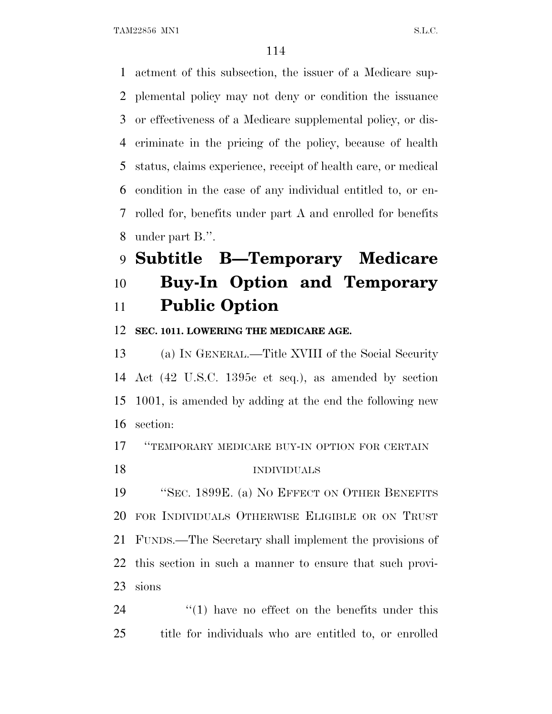actment of this subsection, the issuer of a Medicare sup- plemental policy may not deny or condition the issuance or effectiveness of a Medicare supplemental policy, or dis- criminate in the pricing of the policy, because of health status, claims experience, receipt of health care, or medical condition in the case of any individual entitled to, or en- rolled for, benefits under part A and enrolled for benefits under part B.''.

## **Subtitle B—Temporary Medicare Buy-In Option and Temporary Public Option**

### **SEC. 1011. LOWERING THE MEDICARE AGE.**

 (a) I<sup>N</sup> GENERAL.—Title XVIII of the Social Security Act (42 U.S.C. 1395c et seq.), as amended by section 1001, is amended by adding at the end the following new section:

''TEMPORARY MEDICARE BUY-IN OPTION FOR CERTAIN

INDIVIDUALS

 ''SEC. 1899E. (a) N<sup>O</sup> EFFECT ON OTHER BENEFITS FOR INDIVIDUALS OTHERWISE ELIGIBLE OR ON TRUST FUNDS.—The Secretary shall implement the provisions of this section in such a manner to ensure that such provi-sions

24  $\frac{1}{2}$  (1) have no effect on the benefits under this title for individuals who are entitled to, or enrolled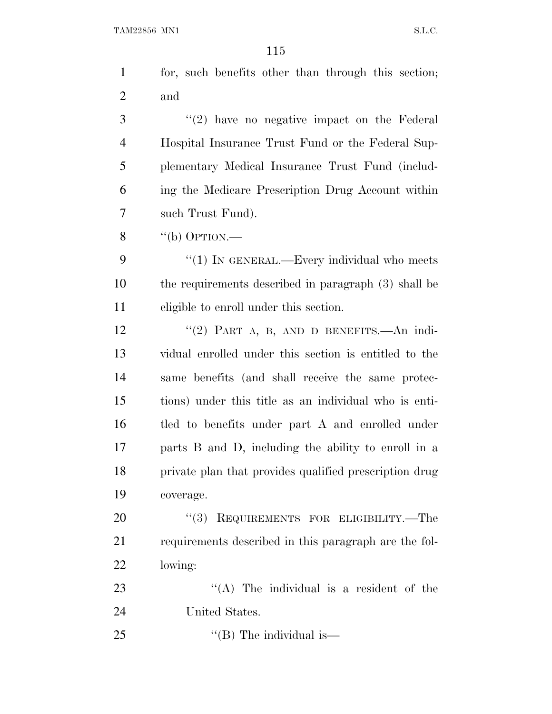| $\mathbf{1}$   | for, such benefits other than through this section;    |  |
|----------------|--------------------------------------------------------|--|
| $\overline{2}$ | and                                                    |  |
| 3              | $\lq(2)$ have no negative impact on the Federal        |  |
| $\overline{4}$ | Hospital Insurance Trust Fund or the Federal Sup-      |  |
| 5              | plementary Medical Insurance Trust Fund (includ-       |  |
| 6              | ing the Medicare Prescription Drug Account within      |  |
| 7              | such Trust Fund).                                      |  |
| 8              | "(b) OPTION.—                                          |  |
| 9              | "(1) IN GENERAL.—Every individual who meets            |  |
| 10             | the requirements described in paragraph (3) shall be   |  |
| 11             | eligible to enroll under this section.                 |  |
| 12             | "(2) PART A, B, AND D BENEFITS. An indi-               |  |
| 13             | vidual enrolled under this section is entitled to the  |  |
| 14             | same benefits (and shall receive the same protec-      |  |
| 15             | tions) under this title as an individual who is enti-  |  |
| 16             | tled to benefits under part A and enrolled under       |  |
| 17             | parts B and D, including the ability to enroll in a    |  |
| 18             | private plan that provides qualified prescription drug |  |
| 19             | coverage.                                              |  |
| 20             | (3)<br>REQUIREMENTS FOR ELIGIBILITY.-The               |  |
| 21             | requirements described in this paragraph are the fol-  |  |
| 22             | lowing:                                                |  |
| 23             | $\lq\lq$ . The individual is a resident of the         |  |
| 24             | United States.                                         |  |
| 25             | "(B) The individual is—                                |  |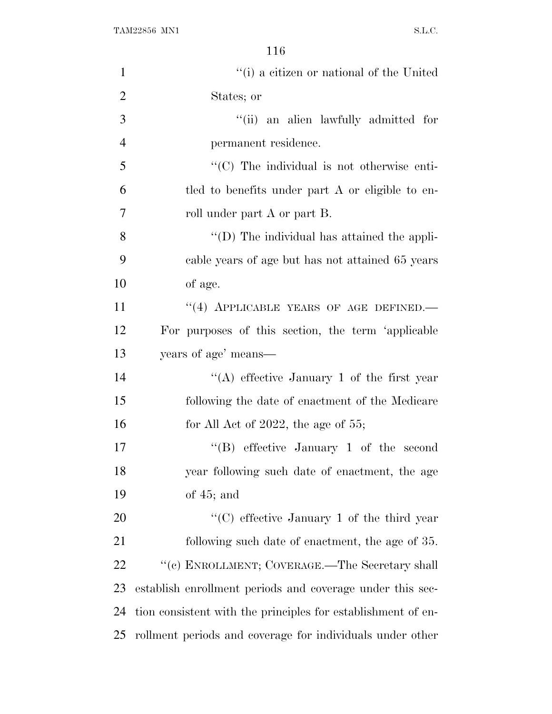| $\mathbf{1}$   | "(i) a citizen or national of the United                     |
|----------------|--------------------------------------------------------------|
| $\overline{2}$ | States; or                                                   |
| 3              | "(ii) an alien lawfully admitted for                         |
| $\overline{4}$ | permanent residence.                                         |
| 5              | "(C) The individual is not otherwise enti-                   |
| 6              | tled to benefits under part A or eligible to en-             |
| 7              | roll under part A or part B.                                 |
| 8              | "(D) The individual has attained the appli-                  |
| 9              | cable years of age but has not attained 65 years             |
| 10             | of age.                                                      |
| 11             | "(4) APPLICABLE YEARS OF AGE DEFINED.                        |
| 12             | For purposes of this section, the term 'applicable           |
| 13             | years of age' means—                                         |
| 14             | "(A) effective January 1 of the first year                   |
| 15             | following the date of enactment of the Medicare              |
| 16             | for All Act of 2022, the age of $55$ ;                       |
| 17             | "(B) effective January 1 of the second                       |
| 18             | year following such date of enactment, the age               |
| 19             | of $45$ ; and                                                |
| 20             | "(C) effective January 1 of the third year                   |
| 21             | following such date of enactment, the age of 35.             |
| 22             | "(c) ENROLLMENT; COVERAGE.—The Secretary shall               |
| 23             | establish enrollment periods and coverage under this sec-    |
| 24             | tion consistent with the principles for establishment of en- |
| 25             | rollment periods and coverage for individuals under other    |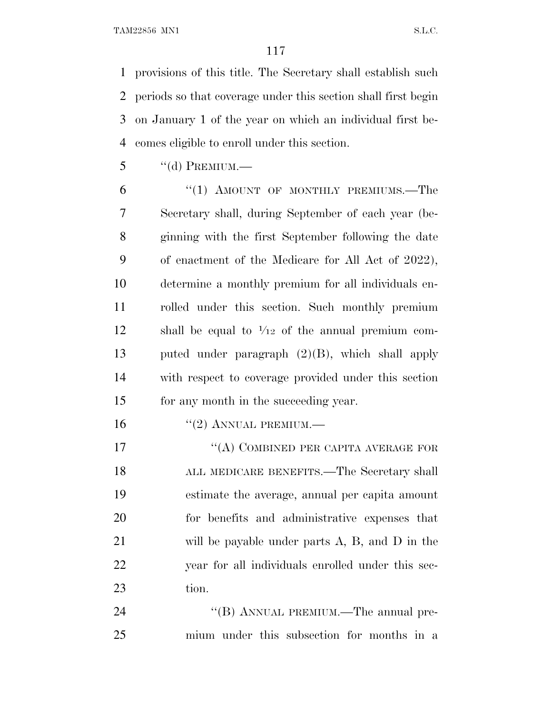provisions of this title. The Secretary shall establish such periods so that coverage under this section shall first begin on January 1 of the year on which an individual first be-comes eligible to enroll under this section.

"(d) PREMIUM.—

6 "(1) AMOUNT OF MONTHLY PREMIUMS.—The Secretary shall, during September of each year (be- ginning with the first September following the date of enactment of the Medicare for All Act of 2022), determine a monthly premium for all individuals en- rolled under this section. Such monthly premium 12 shall be equal to  $\frac{1}{12}$  of the annual premium com- puted under paragraph (2)(B), which shall apply with respect to coverage provided under this section for any month in the succeeding year.

16 "(2) ANNUAL PREMIUM.—

17 "(A) COMBINED PER CAPITA AVERAGE FOR ALL MEDICARE BENEFITS.—The Secretary shall estimate the average, annual per capita amount for benefits and administrative expenses that will be payable under parts A, B, and D in the year for all individuals enrolled under this sec-tion.

24 "(B) ANNUAL PREMIUM.—The annual pre-mium under this subsection for months in a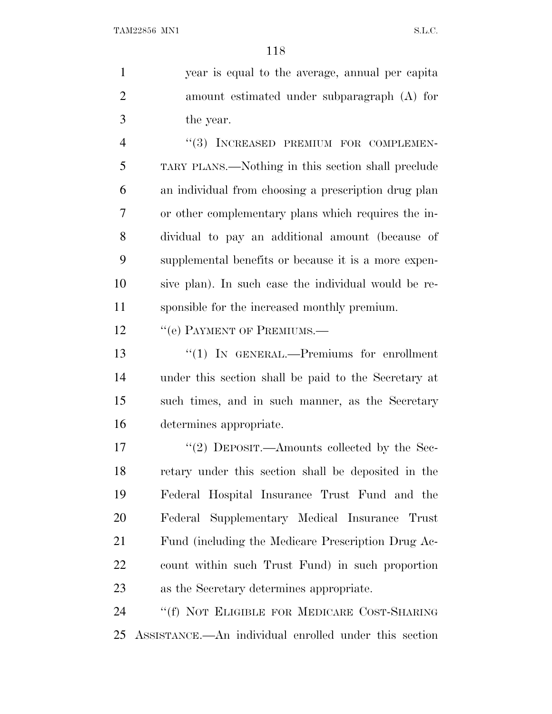year is equal to the average, annual per capita amount estimated under subparagraph (A) for the year.

4 "(3) INCREASED PREMIUM FOR COMPLEMEN- TARY PLANS.—Nothing in this section shall preclude an individual from choosing a prescription drug plan or other complementary plans which requires the in- dividual to pay an additional amount (because of supplemental benefits or because it is a more expen- sive plan). In such case the individual would be re-sponsible for the increased monthly premium.

12 "(e) PAYMENT OF PREMIUMS.—

 ''(1) IN GENERAL.—Premiums for enrollment under this section shall be paid to the Secretary at such times, and in such manner, as the Secretary determines appropriate.

17 "(2) DEPOSIT.—Amounts collected by the Sec- retary under this section shall be deposited in the Federal Hospital Insurance Trust Fund and the Federal Supplementary Medical Insurance Trust Fund (including the Medicare Prescription Drug Ac- count within such Trust Fund) in such proportion as the Secretary determines appropriate.

 ''(f) NOT ELIGIBLE FOR MEDICARE COST-SHARING ASSISTANCE.—An individual enrolled under this section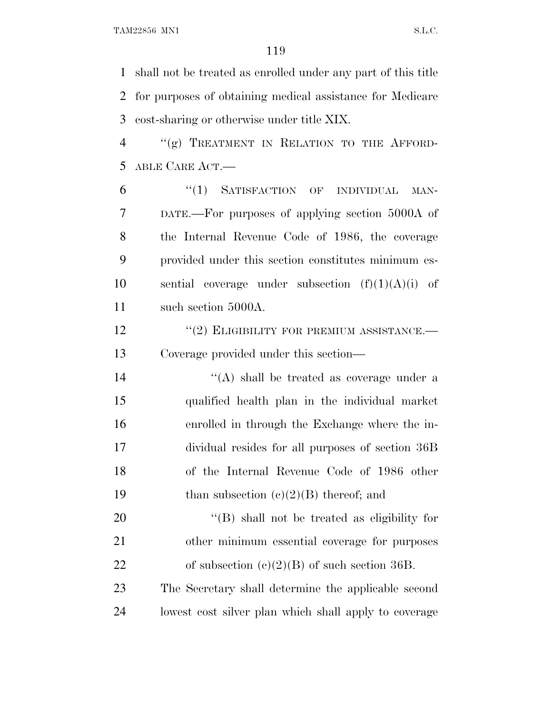shall not be treated as enrolled under any part of this title for purposes of obtaining medical assistance for Medicare cost-sharing or otherwise under title XIX.

 ''(g) TREATMENT IN RELATION TO THE AFFORD-ABLE CARE ACT.—

6 "(1) SATISFACTION OF INDIVIDUAL MAN- DATE.—For purposes of applying section 5000A of the Internal Revenue Code of 1986, the coverage provided under this section constitutes minimum es-10 sential coverage under subsection  $(f)(1)(A)(i)$  of 11 such section 5000A.

**''(2) ELIGIBILITY FOR PREMIUM ASSISTANCE.** Coverage provided under this section—

14 ''(A) shall be treated as coverage under a qualified health plan in the individual market enrolled in through the Exchange where the in- dividual resides for all purposes of section 36B of the Internal Revenue Code of 1986 other 19 than subsection  $(c)(2)(B)$  thereof; and

20  $\langle (B)$  shall not be treated as eligibility for other minimum essential coverage for purposes 22 of subsection  $(e)(2)(B)$  of such section 36B.

 The Secretary shall determine the applicable second lowest cost silver plan which shall apply to coverage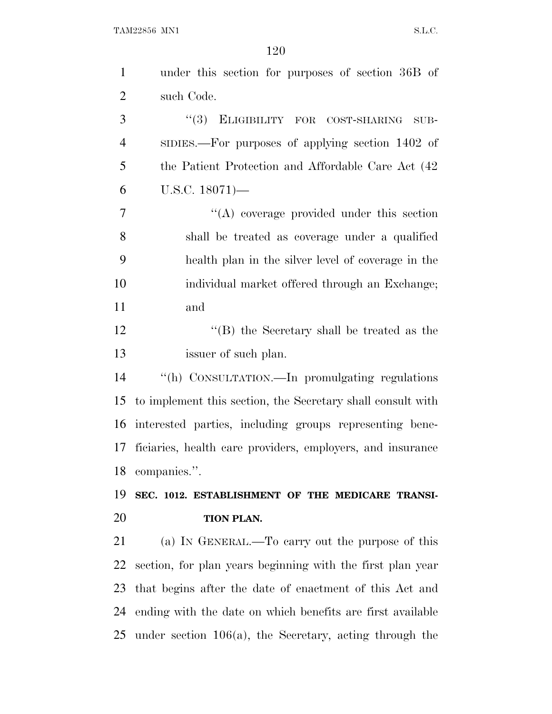| $\mathbf{1}$   | under this section for purposes of section 36B of           |
|----------------|-------------------------------------------------------------|
| $\overline{2}$ | such Code.                                                  |
| 3              | (3)<br>ELIGIBILITY FOR COST-SHARING<br>$\rm SUB$ -          |
| $\overline{4}$ | SIDIES.—For purposes of applying section 1402 of            |
| 5              | the Patient Protection and Affordable Care Act (42          |
| 6              | $U.S.C. 18071$ —                                            |
| $\overline{7}$ | $\lq\lq$ coverage provided under this section               |
| 8              | shall be treated as coverage under a qualified              |
| 9              | health plan in the silver level of coverage in the          |
| 10             | individual market offered through an Exchange;              |
| 11             | and                                                         |
| 12             | "(B) the Secretary shall be treated as the                  |
| 13             | issuer of such plan.                                        |
| 14             | "(h) CONSULTATION.—In promulgating regulations              |
| 15             | to implement this section, the Secretary shall consult with |
| 16             | interested parties, including groups representing bene-     |
| 17             | ficiaries, health care providers, employers, and insurance  |
| 18             | companies.".                                                |
| 19             | SEC. 1012. ESTABLISHMENT OF THE MEDICARE TRANSI-            |
| 20             | TION PLAN.                                                  |
| 21             | (a) IN GENERAL.—To carry out the purpose of this            |
| 22             | section, for plan years beginning with the first plan year  |
| 23             | that begins after the date of enactment of this Act and     |
| 24             | ending with the date on which benefits are first available  |
| 25             | under section $106(a)$ , the Secretary, acting through the  |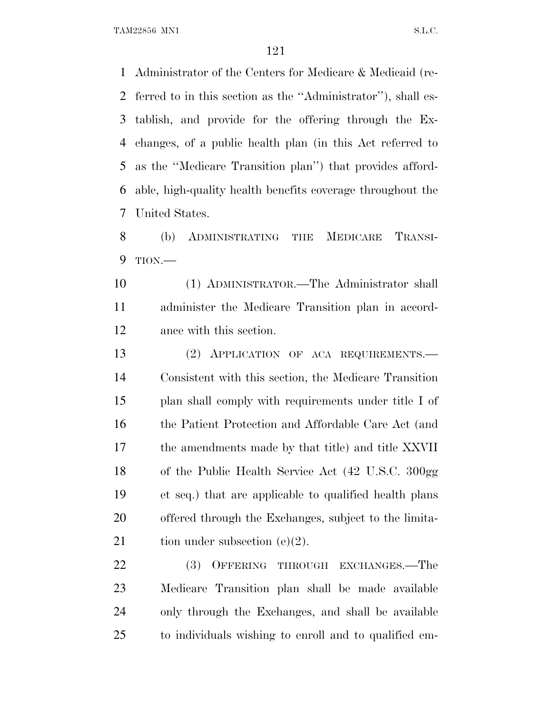TAM22856 MN1 S.L.C.

 Administrator of the Centers for Medicare & Medicaid (re- ferred to in this section as the ''Administrator''), shall es- tablish, and provide for the offering through the Ex- changes, of a public health plan (in this Act referred to as the ''Medicare Transition plan'') that provides afford- able, high-quality health benefits coverage throughout the United States.

 (b) ADMINISTRATING THE MEDICARE TRANSI-TION.—

 (1) ADMINISTRATOR.—The Administrator shall administer the Medicare Transition plan in accord-ance with this section.

 (2) APPLICATION OF ACA REQUIREMENTS.— Consistent with this section, the Medicare Transition plan shall comply with requirements under title I of 16 the Patient Protection and Affordable Care Act (and the amendments made by that title) and title XXVII of the Public Health Service Act (42 U.S.C. 300gg et seq.) that are applicable to qualified health plans offered through the Exchanges, subject to the limita-21 tion under subsection  $(e)(2)$ .

22 (3) OFFERING THROUGH EXCHANGES.—The Medicare Transition plan shall be made available only through the Exchanges, and shall be available to individuals wishing to enroll and to qualified em-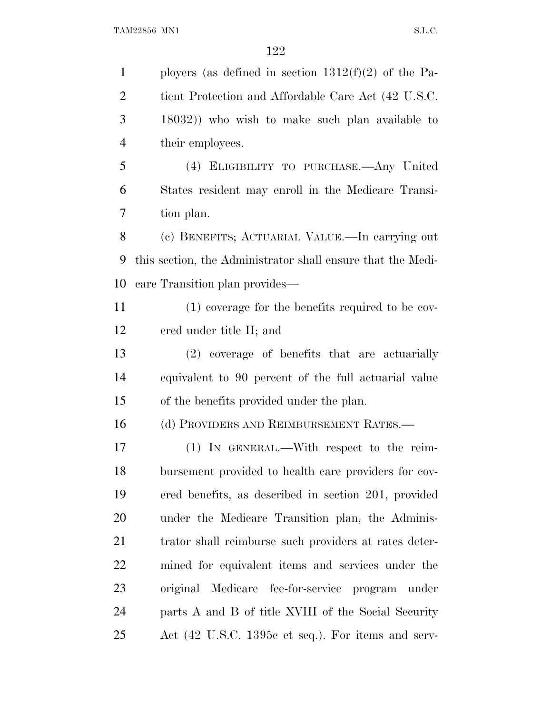1 ployers (as defined in section  $1312(f)(2)$  of the Pa- tient Protection and Affordable Care Act (42 U.S.C. 18032)) who wish to make such plan available to their employees. (4) ELIGIBILITY TO PURCHASE.—Any United States resident may enroll in the Medicare Transi- tion plan. (c) BENEFITS; ACTUARIAL VALUE.—In carrying out this section, the Administrator shall ensure that the Medi- care Transition plan provides— (1) coverage for the benefits required to be cov- ered under title II; and (2) coverage of benefits that are actuarially equivalent to 90 percent of the full actuarial value of the benefits provided under the plan. (d) PROVIDERS AND REIMBURSEMENT RATES.— (1) IN GENERAL.—With respect to the reim- bursement provided to health care providers for cov- ered benefits, as described in section 201, provided under the Medicare Transition plan, the Adminis-21 trator shall reimburse such providers at rates deter- mined for equivalent items and services under the original Medicare fee-for-service program under parts A and B of title XVIII of the Social Security Act (42 U.S.C. 1395c et seq.). For items and serv-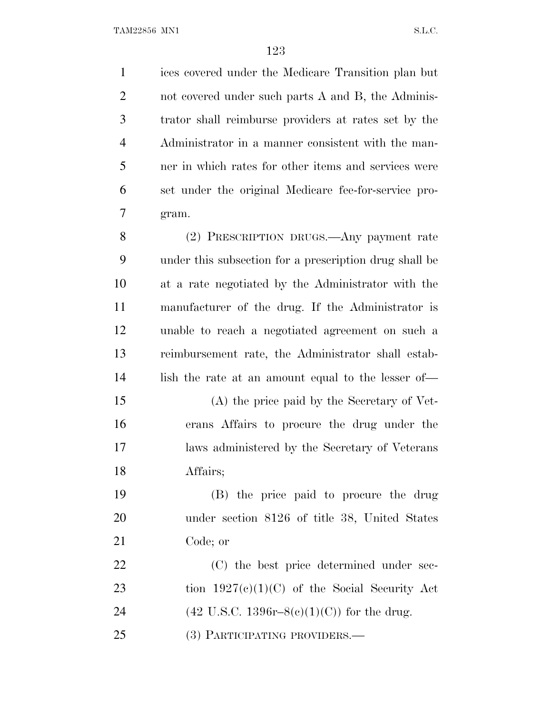ices covered under the Medicare Transition plan but not covered under such parts A and B, the Adminis- trator shall reimburse providers at rates set by the Administrator in a manner consistent with the man- ner in which rates for other items and services were set under the original Medicare fee-for-service pro-gram.

 (2) PRESCRIPTION DRUGS.—Any payment rate under this subsection for a prescription drug shall be at a rate negotiated by the Administrator with the manufacturer of the drug. If the Administrator is unable to reach a negotiated agreement on such a reimbursement rate, the Administrator shall estab-lish the rate at an amount equal to the lesser of—

 (A) the price paid by the Secretary of Vet- erans Affairs to procure the drug under the laws administered by the Secretary of Veterans Affairs;

 (B) the price paid to procure the drug under section 8126 of title 38, United States Code; or

22 (C) the best price determined under sec-23 tion  $1927(e)(1)(C)$  of the Social Security Act 24 (42 U.S.C. 1396r–8(c)(1)(C)) for the drug. (3) PARTICIPATING PROVIDERS.—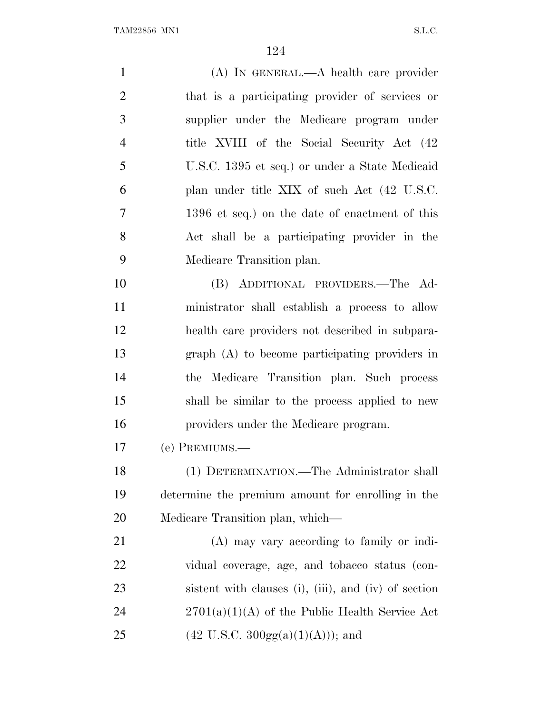(A) IN GENERAL.—A health care provider that is a participating provider of services or supplier under the Medicare program under 4 title XVIII of the Social Security Act (42 U.S.C. 1395 et seq.) or under a State Medicaid plan under title XIX of such Act (42 U.S.C. 1396 et seq.) on the date of enactment of this Act shall be a participating provider in the Medicare Transition plan. (B) ADDITIONAL PROVIDERS.—The Ad- ministrator shall establish a process to allow health care providers not described in subpara- graph (A) to become participating providers in the Medicare Transition plan. Such process shall be similar to the process applied to new providers under the Medicare program. (e) PREMIUMS.— (1) DETERMINATION.—The Administrator shall determine the premium amount for enrolling in the Medicare Transition plan, which— (A) may vary according to family or indi- vidual coverage, age, and tobacco status (con- sistent with clauses (i), (iii), and (iv) of section 24 2701(a)(1)(A) of the Public Health Service Act 25 (42 U.S.C.  $300gg(a)(1)(A))$ ; and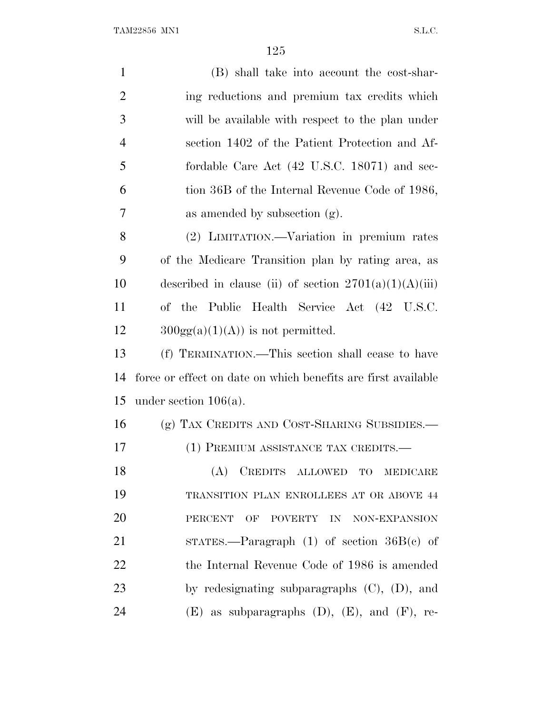| $\mathbf{1}$   | (B) shall take into account the cost-shar-                    |  |
|----------------|---------------------------------------------------------------|--|
| $\overline{2}$ | ing reductions and premium tax credits which                  |  |
| 3              | will be available with respect to the plan under              |  |
| 4              | section 1402 of the Patient Protection and Af-                |  |
| 5              | fordable Care Act (42 U.S.C. 18071) and sec-                  |  |
| 6              | tion 36B of the Internal Revenue Code of 1986,                |  |
| 7              | as amended by subsection (g).                                 |  |
| 8              | (2) LIMITATION.—Variation in premium rates                    |  |
| 9              | of the Medicare Transition plan by rating area, as            |  |
| 10             | described in clause (ii) of section $2701(a)(1)(A)(iii)$      |  |
| 11             | of the Public Health Service Act (42 U.S.C.                   |  |
| 12             | $300gg(a)(1)(A)$ is not permitted.                            |  |
| 13             | (f) TERMINATION.—This section shall cease to have             |  |
| 14             | force or effect on date on which benefits are first available |  |
| 15             | under section $106(a)$ .                                      |  |
| 16             | (g) TAX CREDITS AND COST-SHARING SUBSIDIES.—                  |  |
| 17             | (1) PREMIUM ASSISTANCE TAX CREDITS.—                          |  |
| 18             | (A) CREDITS ALLOWED TO MEDICARE                               |  |
| 19             | TRANSITION PLAN ENROLLEES AT OR ABOVE 44                      |  |
| 20             | <b>PERCENT</b><br>OF POVERTY IN NON-EXPANSION                 |  |
| 21             | STATES.—Paragraph $(1)$ of section $36B(e)$ of                |  |
| 22             | the Internal Revenue Code of 1986 is amended                  |  |
| 23             | by redesignating subparagraphs $(C)$ , $(D)$ , and            |  |
| 24             | $(E)$ as subparagraphs $(D)$ , $(E)$ , and $(F)$ , re-        |  |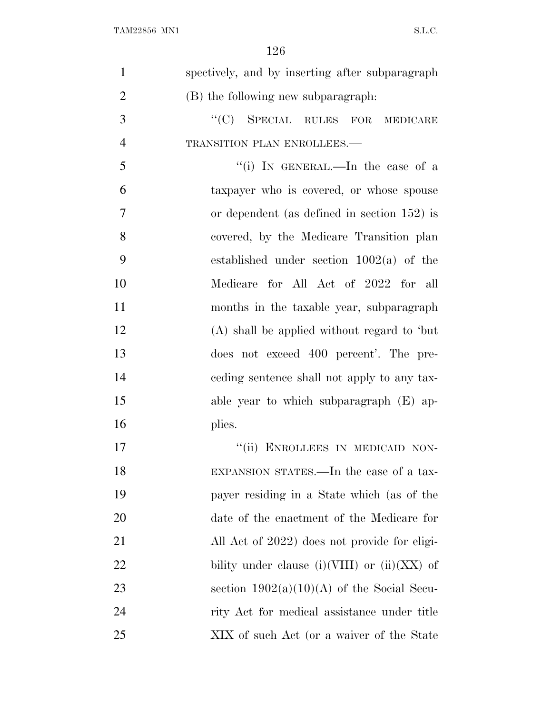| $\mathbf{1}$   | spectively, and by inserting after subparagraph |
|----------------|-------------------------------------------------|
| $\overline{2}$ | (B) the following new subparagraph:             |
| 3              | "(C) SPECIAL RULES FOR<br><b>MEDICARE</b>       |
| $\overline{4}$ | TRANSITION PLAN ENROLLEES.-                     |
| 5              | "(i) IN GENERAL.—In the case of a               |
| 6              | taxpayer who is covered, or whose spouse        |
| $\overline{7}$ | or dependent (as defined in section $152$ ) is  |
| 8              | covered, by the Medicare Transition plan        |
| 9              | established under section $1002(a)$ of the      |
| 10             | Medicare for All Act of 2022 for all            |
| 11             | months in the taxable year, subparagraph        |
| 12             | (A) shall be applied without regard to 'but     |
| 13             | does not exceed 400 percent'. The pre-          |
| 14             | eeding sentence shall not apply to any tax-     |
| 15             | able year to which subparagraph (E) ap-         |
| 16             | plies.                                          |
| 17             | ENROLLEES IN MEDICAID NON-<br>``(ii)            |
| 18             | EXPANSION STATES.—In the case of a tax-         |
| 19             | payer residing in a State which (as of the      |
| 20             | date of the enactment of the Medicare for       |
| 21             | All Act of 2022) does not provide for eligi-    |
| 22             | bility under clause (i)(VIII) or (ii)(XX) of    |
| 23             | section $1902(a)(10)(A)$ of the Social Secu-    |
| 24             | rity Act for medical assistance under title     |
| 25             | XIX of such Act (or a waiver of the State       |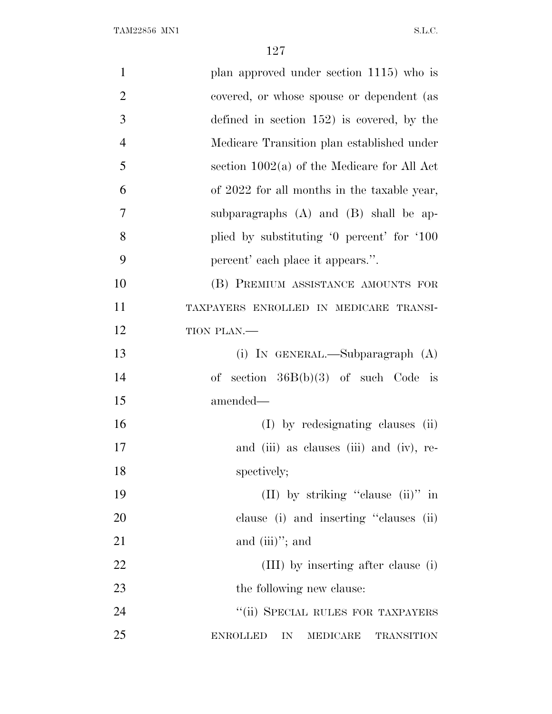| $\mathbf{1}$   | plan approved under section 1115) who is               |
|----------------|--------------------------------------------------------|
| $\overline{2}$ | covered, or whose spouse or dependent (as              |
| 3              | defined in section $152$ ) is covered, by the          |
| $\overline{4}$ | Medicare Transition plan established under             |
| 5              | section $1002(a)$ of the Medicare for All Act          |
| 6              | of 2022 for all months in the taxable year,            |
| 7              | subparagraphs (A) and (B) shall be ap-                 |
| 8              | plied by substituting '0 percent' for '100             |
| 9              | percent' each place it appears.".                      |
| 10             | (B) PREMIUM ASSISTANCE AMOUNTS FOR                     |
| 11             | TAXPAYERS ENROLLED IN MEDICARE TRANSI-                 |
| 12             | TION PLAN.-                                            |
| 13             | (i) IN GENERAL.—Subparagraph $(A)$                     |
| 14             | of section $36B(b)(3)$ of such Code is                 |
| 15             | amended—                                               |
| 16             | (I) by redesignating clauses (ii)                      |
| 17             | and (iii) as clauses (iii) and (iv), re-               |
| 18             | spectively;                                            |
| 19             | (II) by striking "clause (ii)" in                      |
| 20             | clause (i) and inserting "clauses (ii)                 |
| 21             | and $(iii)$ "; and                                     |
| 22             | (III) by inserting after clause (i)                    |
| 23             | the following new clause:                              |
| 24             | "(ii) SPECIAL RULES FOR TAXPAYERS                      |
| 25             | <b>ENROLLED</b><br>IN<br>MEDICARE<br><b>TRANSITION</b> |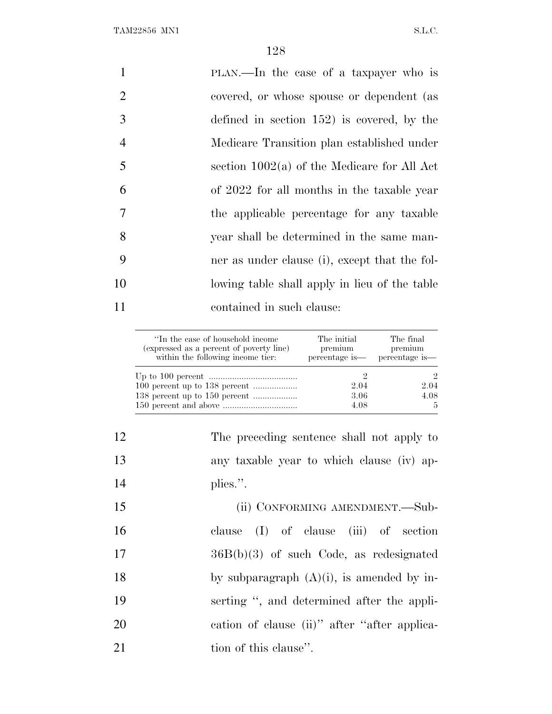| $\mathbf{1}$   | PLAN.—In the case of a taxpayer who is        |
|----------------|-----------------------------------------------|
| 2              | covered, or whose spouse or dependent (as     |
| 3              | defined in section $152$ ) is covered, by the |
| $\overline{4}$ | Medicare Transition plan established under    |
| 5              | section $1002(a)$ of the Medicare for All Act |
| 6              | of 2022 for all months in the taxable year    |
| 7              | the applicable percentage for any taxable     |
| 8              | year shall be determined in the same man-     |
| 9              | ner as under clause (i), except that the fol- |
| 10             | lowing table shall apply in lieu of the table |
| 11             | contained in such clause:                     |
|                |                                               |

| "In the case of household income"<br>(expressed as a percent of poverty line)<br>within the following income tier: | The initial<br>premium<br>percentage is— | The final<br>premium<br>percentage is— |
|--------------------------------------------------------------------------------------------------------------------|------------------------------------------|----------------------------------------|
|                                                                                                                    |                                          | 2                                      |
|                                                                                                                    | 2.04                                     | 2.04                                   |
|                                                                                                                    | 3.06                                     | 4.08                                   |
|                                                                                                                    | 4.08                                     | $\overline{5}$                         |

| 12 | The preceding sentence shall not apply to    |
|----|----------------------------------------------|
| 13 | any taxable year to which clause (iv) ap-    |
| 14 | plies.".                                     |
| 15 | (ii) CONFORMING AMENDMENT.—Sub-              |
| 16 | clause $(I)$ of clause $(iii)$ of section    |
| 17 | $36B(b)(3)$ of such Code, as redesignated    |
| 18 | by subparagraph $(A)(i)$ , is amended by in- |
| 19 | serting ", and determined after the appli-   |
| 20 | eation of clause (ii)" after "after applica- |
| 21 | tion of this clause".                        |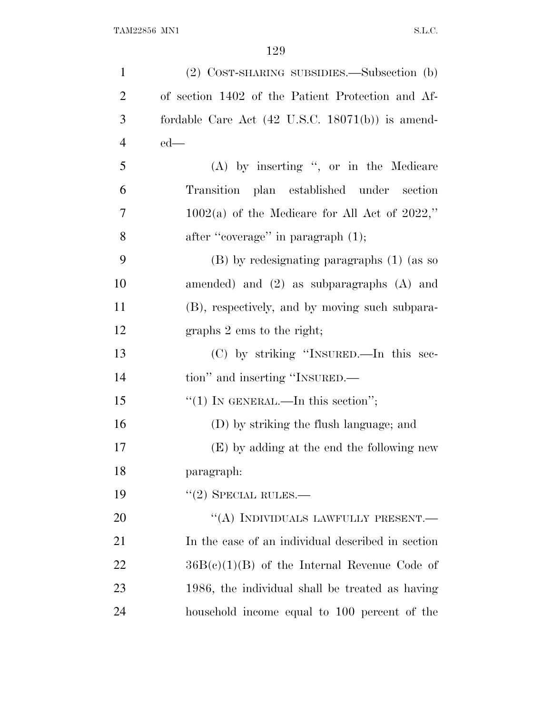| $\mathbf{1}$   | (2) COST-SHARING SUBSIDIES.—Subsection (b)                  |
|----------------|-------------------------------------------------------------|
| $\overline{2}$ | of section 1402 of the Patient Protection and Af-           |
| 3              | fordable Care Act $(42 \text{ U.S.C. } 18071(b))$ is amend- |
| $\overline{4}$ | $ed$ —                                                      |
| 5              | (A) by inserting ", or in the Medicare                      |
| 6              | Transition plan established under section                   |
| 7              | $1002(a)$ of the Medicare for All Act of 2022,"             |
| 8              | after "coverage" in paragraph (1);                          |
| 9              | (B) by redesignating paragraphs (1) (as so                  |
| 10             | amended) and $(2)$ as subparagraphs $(A)$ and               |
| 11             | (B), respectively, and by moving such subpara-              |
| 12             | graphs 2 ems to the right;                                  |
| 13             | (C) by striking "INSURED.—In this sec-                      |
| 14             | tion" and inserting "INSURED.—                              |
| 15             | "(1) IN GENERAL.—In this section";                          |
| 16             | (D) by striking the flush language; and                     |
| 17             | (E) by adding at the end the following new                  |
| 18             | paragraph:                                                  |
| 19             | $"(2)$ SPECIAL RULES.—                                      |
| 20             | "(A) INDIVIDUALS LAWFULLY PRESENT.—                         |
| 21             | In the case of an individual described in section           |
| 22             | $36B(c)(1)(B)$ of the Internal Revenue Code of              |
| 23             | 1986, the individual shall be treated as having             |
| 24             | household income equal to 100 percent of the                |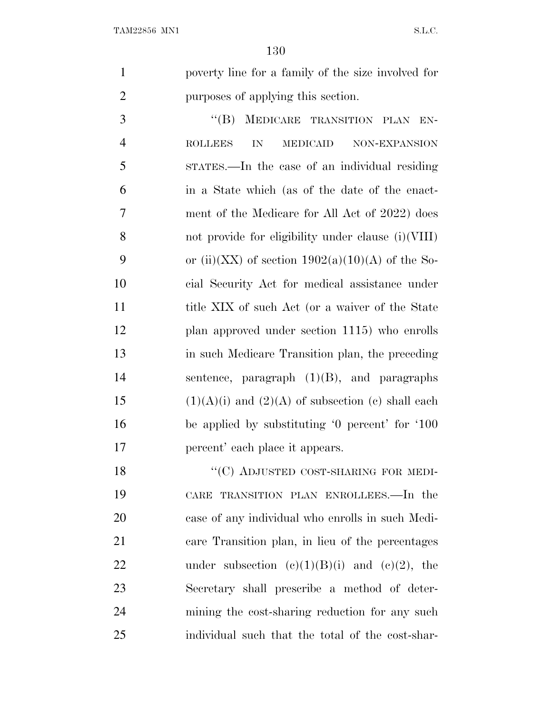poverty line for a family of the size involved for purposes of applying this section.

3 "(B) MEDICARE TRANSITION PLAN EN- ROLLEES IN MEDICAID NON-EXPANSION STATES.—In the case of an individual residing in a State which (as of the date of the enact- ment of the Medicare for All Act of 2022) does not provide for eligibility under clause (i)(VIII) 9 or (ii)(XX) of section  $1902(a)(10)(A)$  of the So- cial Security Act for medical assistance under 11 title XIX of such Act (or a waiver of the State plan approved under section 1115) who enrolls in such Medicare Transition plan, the preceding sentence, paragraph (1)(B), and paragraphs 15 (1)(A)(i) and (2)(A) of subsection (c) shall each be applied by substituting '0 percent' for '100 percent' each place it appears.

18 "(C) ADJUSTED COST-SHARING FOR MEDI- CARE TRANSITION PLAN ENROLLEES.—In the case of any individual who enrolls in such Medi- care Transition plan, in lieu of the percentages 22 under subsection  $(e)(1)(B)(i)$  and  $(e)(2)$ , the Secretary shall prescribe a method of deter- mining the cost-sharing reduction for any such individual such that the total of the cost-shar-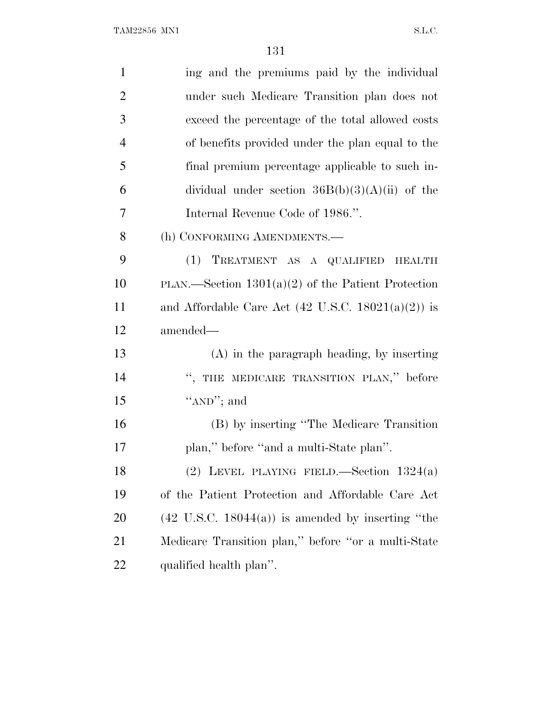| $\mathbf{1}$   | ing and the premiums paid by the individual                   |
|----------------|---------------------------------------------------------------|
| $\overline{2}$ | under such Medicare Transition plan does not                  |
| 3              | exceed the percentage of the total allowed costs              |
| $\overline{4}$ | of benefits provided under the plan equal to the              |
| 5              | final premium percentage applicable to such in-               |
| 6              | dividual under section $36B(b)(3)(A)(ii)$ of the              |
| 7              | Internal Revenue Code of 1986.".                              |
| 8              | (h) CONFORMING AMENDMENTS.-                                   |
| 9              | (1) TREATMENT AS A QUALIFIED HEALTH                           |
| 10             | PLAN.—Section $1301(a)(2)$ of the Patient Protection          |
| 11             | and Affordable Care Act $(42 \text{ U.S.C. } 18021(a)(2))$ is |
| 12             | amended—                                                      |
| 13             | $(A)$ in the paragraph heading, by inserting                  |
| 14             | ", THE MEDICARE TRANSITION PLAN," before                      |
| 15             | "AND"; and                                                    |
| 16             | (B) by inserting "The Medicare Transition"                    |
| 17             | plan," before "and a multi-State plan".                       |
| 18             | (2) LEVEL PLAYING FIELD.—Section $1324(a)$                    |
| 19             | of the Patient Protection and Affordable Care Act             |
| <b>20</b>      | $(42 \text{ U.S.C. } 18044(a))$ is amended by inserting "the  |
| 21             | Medicare Transition plan," before "or a multi-State"          |
| 22             | qualified health plan".                                       |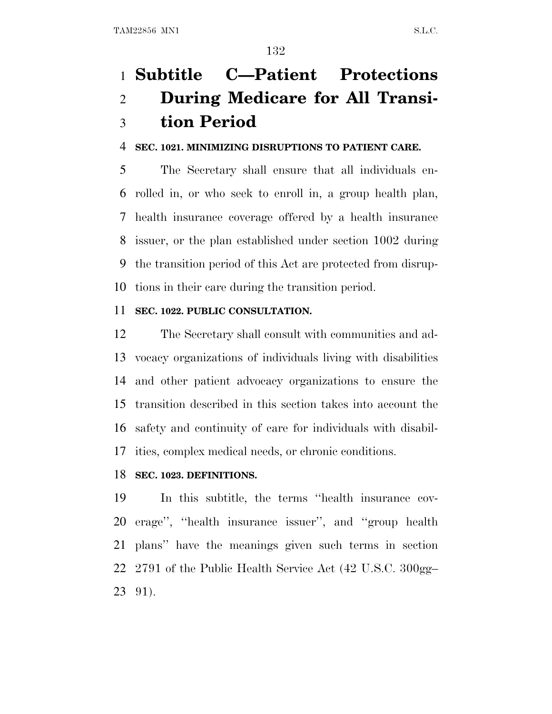# **Subtitle C—Patient Protections During Medicare for All Transi-tion Period**

#### **SEC. 1021. MINIMIZING DISRUPTIONS TO PATIENT CARE.**

 The Secretary shall ensure that all individuals en- rolled in, or who seek to enroll in, a group health plan, health insurance coverage offered by a health insurance issuer, or the plan established under section 1002 during the transition period of this Act are protected from disrup-tions in their care during the transition period.

#### **SEC. 1022. PUBLIC CONSULTATION.**

 The Secretary shall consult with communities and ad- vocacy organizations of individuals living with disabilities and other patient advocacy organizations to ensure the transition described in this section takes into account the safety and continuity of care for individuals with disabil-ities, complex medical needs, or chronic conditions.

#### **SEC. 1023. DEFINITIONS.**

 In this subtitle, the terms ''health insurance cov- erage'', ''health insurance issuer'', and ''group health plans'' have the meanings given such terms in section 2791 of the Public Health Service Act (42 U.S.C. 300gg– 91).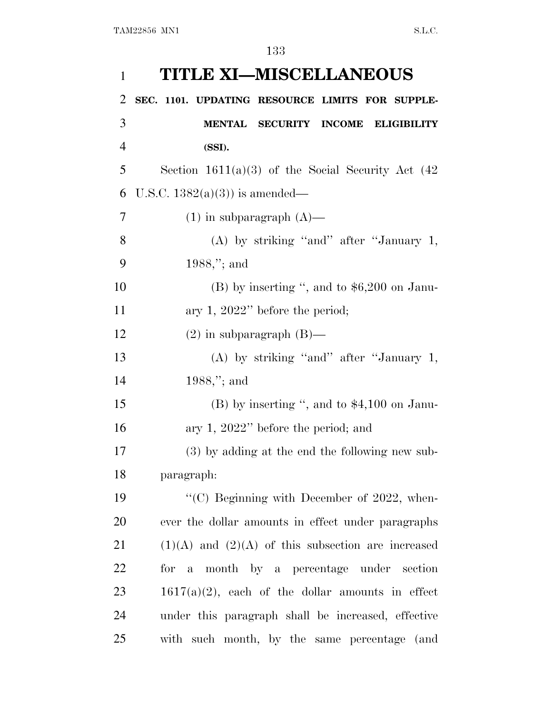| $\mathbf{1}$   | <b>TITLE XI-MISCELLANEOUS</b>                          |
|----------------|--------------------------------------------------------|
| 2              | SEC. 1101. UPDATING RESOURCE LIMITS FOR SUPPLE-        |
| 3              | <b>MENTAL SECURITY INCOME</b><br>ELIGIBILITY           |
| $\overline{4}$ | (SSI).                                                 |
| 5              | Section $1611(a)(3)$ of the Social Security Act $(42)$ |
| 6              | U.S.C. $1382(a)(3)$ is amended—                        |
| 7              | $(1)$ in subparagraph $(A)$ —                          |
| 8              | (A) by striking "and" after "January 1,                |
| 9              | $1988$ ,"; and                                         |
| 10             | $(B)$ by inserting ", and to \$6,200 on Janu-          |
| 11             | ary 1, $2022$ " before the period;                     |
| 12             | $(2)$ in subparagraph $(B)$ —                          |
| 13             | (A) by striking "and" after "January 1,                |
| 14             | $1988$ ,"; and                                         |
| 15             | $(B)$ by inserting ", and to \$4,100 on Janu-          |
| 16             | ary 1, $2022"$ before the period; and                  |
| 17             | (3) by adding at the end the following new sub-        |
| 18             | paragraph:                                             |
| 19             | "(C) Beginning with December of 2022, when-            |
| 20             | ever the dollar amounts in effect under paragraphs     |
| 21             | $(1)(A)$ and $(2)(A)$ of this subsection are increased |
| 22             | for a month by a percentage under section              |
| 23             | $1617(a)(2)$ , each of the dollar amounts in effect    |
| 24             | under this paragraph shall be increased, effective     |
| 25             | with such month, by the same percentage (and           |